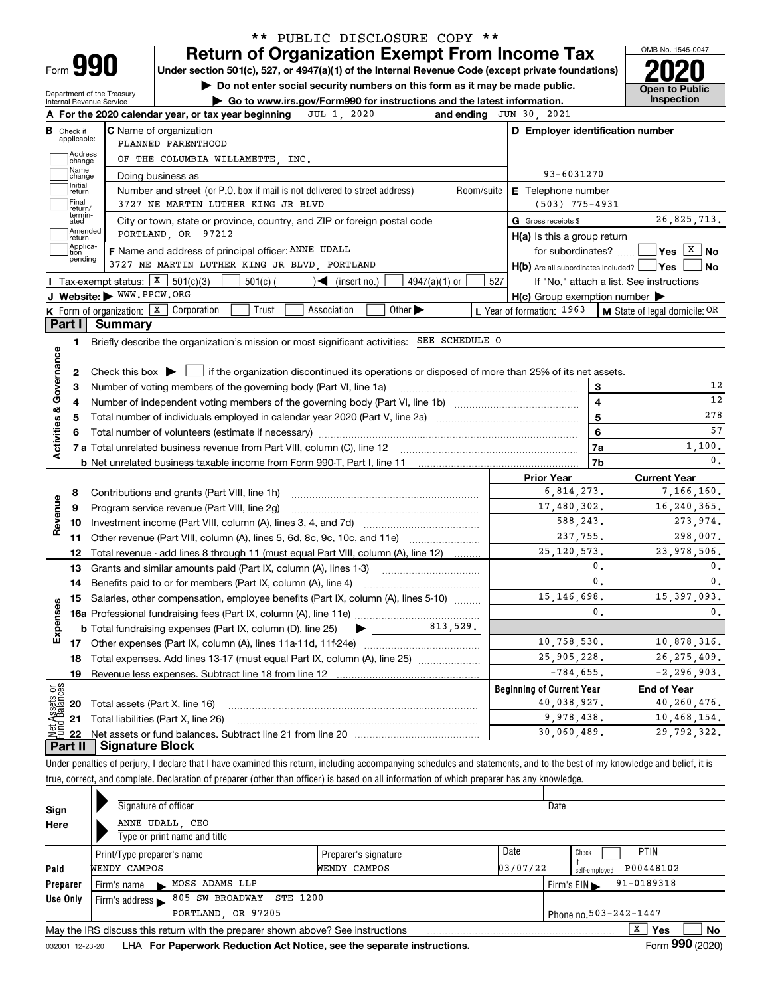| Form |  |
|------|--|
|      |  |

# **Return of Organization Exempt From Income Tax** \*\* PUBLIC DISCLOSURE COPY \*\*

**Under section 501(c), 527, or 4947(a)(1) of the Internal Revenue Code (except private foundations) 2020**

**| Do not enter social security numbers on this form as it may be made public.**

Department of the Treasury Internal Revenue Service

**| Go to www.irs.gov/Form990 for instructions and the latest information. Inspection**



|                         |                             | JUL 1, 2020<br>A For the 2020 calendar year, or tax year beginning                                                                      |                | and ending $JUN$ 30, 2021                           |                                          |
|-------------------------|-----------------------------|-----------------------------------------------------------------------------------------------------------------------------------------|----------------|-----------------------------------------------------|------------------------------------------|
| В                       | Check if<br>applicable:     | <b>C</b> Name of organization<br>PLANNED PARENTHOOD                                                                                     |                | D Employer identification number                    |                                          |
|                         | Address<br>change           | OF THE COLUMBIA WILLAMETTE, INC.                                                                                                        |                |                                                     |                                          |
|                         | Name                        | Doing business as                                                                                                                       |                | 93-6031270                                          |                                          |
|                         | change<br>Initial<br>return | Number and street (or P.O. box if mail is not delivered to street address)                                                              | Room/suite     | E Telephone number                                  |                                          |
|                         | Final                       | 3727 NE MARTIN LUTHER KING JR BLVD                                                                                                      |                | $(503)$ 775-4931                                    |                                          |
|                         | return/<br>termin-<br>ated  | City or town, state or province, country, and ZIP or foreign postal code                                                                |                | G Gross receipts \$                                 | 26,825,713.                              |
|                         | Amended                     | PORTLAND, OR 97212                                                                                                                      |                | H(a) Is this a group return                         |                                          |
|                         | return<br>Applica-          | F Name and address of principal officer: ANNE UDALL                                                                                     |                | for subordinates?                                   | $ Yes X $ No                             |
|                         | tion<br>pending             | 3727 NE MARTIN LUTHER KING JR BLVD, PORTLAND                                                                                            |                | $H(b)$ Are all subordinates included? $ $   Yes     | <b>No</b>                                |
|                         |                             | Tax-exempt status: $X \ 501(c)(3)$<br>$501(c)$ (<br>$4947(a)(1)$ or<br>◀<br>(insert no.)                                                | 527            |                                                     | If "No," attach a list. See instructions |
|                         |                             | J Website: WWW.PPCW.ORG                                                                                                                 |                | $H(c)$ Group exemption number $\blacktriangleright$ |                                          |
|                         |                             | K Form of organization: $\boxed{\mathbf{X}}$ Corporation<br>Other $\blacktriangleright$<br>Trust<br>Association                         |                | L Year of formation: 1963                           | M State of legal domicile: OR            |
|                         | Part I                      | <b>Summary</b>                                                                                                                          |                |                                                     |                                          |
|                         | 1.                          | Briefly describe the organization's mission or most significant activities: SEE SCHEDULE O                                              |                |                                                     |                                          |
|                         |                             |                                                                                                                                         |                |                                                     |                                          |
|                         | 2                           | Check this box $\blacktriangleright$<br>if the organization discontinued its operations or disposed of more than 25% of its net assets. |                |                                                     |                                          |
|                         | з                           | Number of voting members of the governing body (Part VI, line 1a)                                                                       |                | 3                                                   | 12                                       |
|                         | 4                           |                                                                                                                                         |                | $\overline{4}$                                      | 12                                       |
|                         | 5                           | Total number of individuals employed in calendar year 2020 (Part V, line 2a) <i>mummumumumumumum</i>                                    | $\overline{5}$ | 278                                                 |                                          |
|                         | 6                           |                                                                                                                                         | 6              | 57                                                  |                                          |
| Activities & Governance |                             |                                                                                                                                         | 7a             | 1,100.                                              |                                          |
|                         |                             |                                                                                                                                         |                | 7b                                                  | 0.                                       |
|                         |                             |                                                                                                                                         |                | <b>Prior Year</b>                                   | <b>Current Year</b>                      |
|                         | 8                           | Contributions and grants (Part VIII, line 1h)                                                                                           |                | 6,814,273.                                          | 7,166,160.                               |
| Revenue                 | 9                           | Program service revenue (Part VIII, line 2g)                                                                                            |                | 17,480,302.                                         | 16, 240, 365.                            |
|                         | 10                          |                                                                                                                                         |                | 588,243.                                            | 273,974.                                 |
|                         |                             | 11 Other revenue (Part VIII, column (A), lines 5, 6d, 8c, 9c, 10c, and 11e)                                                             |                | 237,755.                                            | 298,007.                                 |
|                         | 12                          | Total revenue - add lines 8 through 11 (must equal Part VIII, column (A), line 12)                                                      |                | 25, 120, 573.                                       | 23,978,506.                              |
|                         | 13                          | Grants and similar amounts paid (Part IX, column (A), lines 1-3)                                                                        |                | 0.                                                  | 0.                                       |
|                         | 14                          |                                                                                                                                         |                | $\mathbf{0}$ .                                      | $\mathbf{0}$ .                           |
|                         | 15                          | Salaries, other compensation, employee benefits (Part IX, column (A), lines 5-10)                                                       |                | 15, 146, 698.                                       | 15, 397, 093.                            |
| Expenses                |                             |                                                                                                                                         |                | $\mathbf{0}$ .                                      | 0.                                       |
|                         |                             | $\bullet$ 813,529.<br><b>b</b> Total fundraising expenses (Part IX, column (D), line 25)                                                |                |                                                     |                                          |
|                         |                             |                                                                                                                                         |                | 10,758,530.                                         | 10,878,316.                              |
|                         | 18                          | Total expenses. Add lines 13-17 (must equal Part IX, column (A), line 25) [                                                             |                | 25,905,228.                                         | 26, 275, 409.                            |
|                         | 19                          |                                                                                                                                         |                | $-784,655.$                                         | $-2, 296, 903.$                          |
| ăğ                      |                             |                                                                                                                                         |                | <b>Beginning of Current Year</b>                    | <b>End of Year</b>                       |
|                         |                             | 20 Total assets (Part X, line 16)                                                                                                       |                | 40,038,927.                                         | 40,260,476.                              |
| Assets<br>Ralanc        |                             | 21 Total liabilities (Part X, line 26)                                                                                                  |                | 9.978.438.                                          | 10,468,154.                              |
|                         | 22                          |                                                                                                                                         |                | 30,060.489.                                         | 29.792.322.                              |
|                         | Part II                     | <b>Signature Block</b>                                                                                                                  |                |                                                     |                                          |

Under penalties of perjury, I declare that I have examined this return, including accompanying schedules and statements, and to the best of my knowledge and belief, it is true, correct, and complete. Declaration of preparer (other than officer) is based on all information of which preparer has any knowledge.

| Sign     | Signature of officer                                                            | Date                 |          |                              |  |  |  |  |  |  |
|----------|---------------------------------------------------------------------------------|----------------------|----------|------------------------------|--|--|--|--|--|--|
| Here     | ANNE UDALL, CEO                                                                 |                      |          |                              |  |  |  |  |  |  |
|          | Type or print name and title                                                    |                      |          |                              |  |  |  |  |  |  |
|          | Print/Type preparer's name                                                      | Preparer's signature | Date     | <b>PTIN</b><br>Check         |  |  |  |  |  |  |
| Paid     | WENDY CAMPOS                                                                    | WENDY CAMPOS         | 03/07/22 | P00448102<br>self-emploved   |  |  |  |  |  |  |
| Preparer | MOSS ADAMS LLP<br>Firm's name<br>$\sim$                                         |                      |          | $91 - 0189318$<br>Firm's EIN |  |  |  |  |  |  |
| Use Only | STE 1200<br>805 SW BROADWAY<br>Firm's address $\blacktriangleright$             |                      |          |                              |  |  |  |  |  |  |
|          | PORTLAND, OR 97205<br>Phone no. 503-242-1447                                    |                      |          |                              |  |  |  |  |  |  |
|          | May the IRS discuss this return with the preparer shown above? See instructions |                      |          | x<br><b>Yes</b><br>No        |  |  |  |  |  |  |
|          |                                                                                 |                      |          | $000 \times 0.00$<br>-       |  |  |  |  |  |  |

032001 12-23-20 LHA **For Paperwork Reduction Act Notice, see the separate instructions. Form 990 (2020)**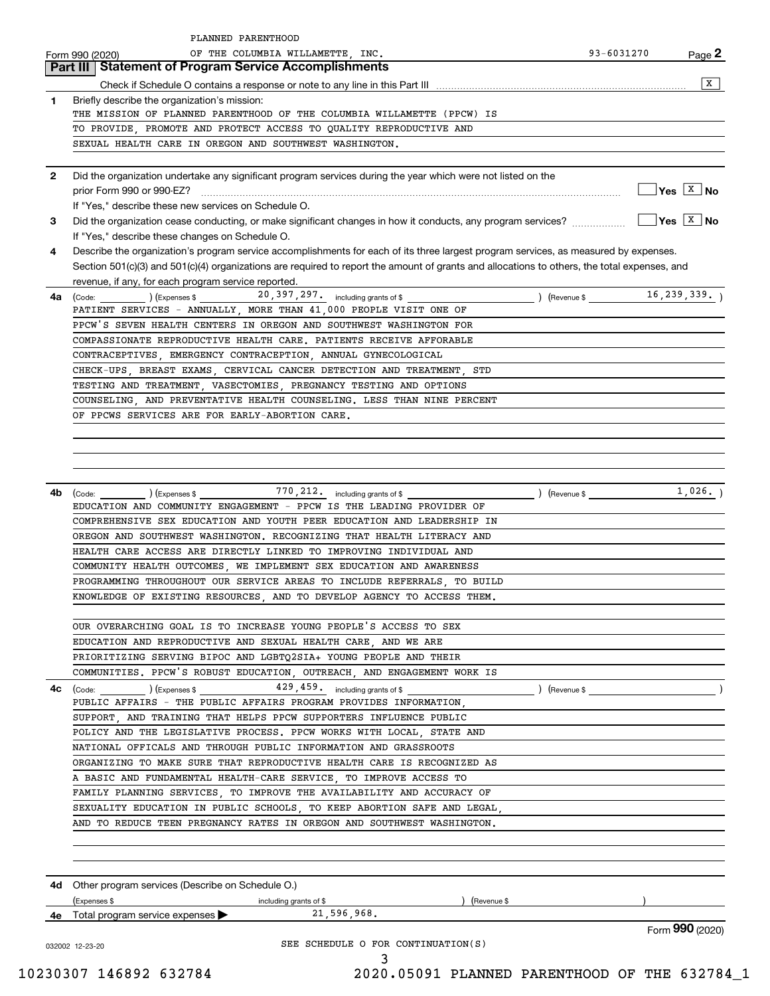|              | PLANNED PARENTHOOD                                                                                                                                                                                     |               |                               |
|--------------|--------------------------------------------------------------------------------------------------------------------------------------------------------------------------------------------------------|---------------|-------------------------------|
|              | OF THE COLUMBIA WILLAMETTE, INC.<br>Form 990 (2020)                                                                                                                                                    | 93-6031270    | $Page$ 2                      |
|              | Part III Statement of Program Service Accomplishments                                                                                                                                                  |               |                               |
|              |                                                                                                                                                                                                        |               | $\overline{\mathbf{x}}$       |
| 1            | Briefly describe the organization's mission:                                                                                                                                                           |               |                               |
|              | THE MISSION OF PLANNED PARENTHOOD OF THE COLUMBIA WILLAMETTE (PPCW) IS                                                                                                                                 |               |                               |
|              | TO PROVIDE, PROMOTE AND PROTECT ACCESS TO QUALITY REPRODUCTIVE AND                                                                                                                                     |               |                               |
|              | SEXUAL HEALTH CARE IN OREGON AND SOUTHWEST WASHINGTON.                                                                                                                                                 |               |                               |
|              |                                                                                                                                                                                                        |               |                               |
| $\mathbf{2}$ | Did the organization undertake any significant program services during the year which were not listed on the                                                                                           |               | $\sqrt{}$ Yes $\sqrt{X}$ No   |
|              | prior Form 990 or 990-EZ?                                                                                                                                                                              |               |                               |
|              | If "Yes," describe these new services on Schedule O.                                                                                                                                                   |               | $\sqrt{Y}$ Yes $\boxed{X}$ No |
| 3            | Did the organization cease conducting, or make significant changes in how it conducts, any program services?                                                                                           |               |                               |
|              | If "Yes," describe these changes on Schedule O.                                                                                                                                                        |               |                               |
| 4            | Describe the organization's program service accomplishments for each of its three largest program services, as measured by expenses.                                                                   |               |                               |
|              | Section 501(c)(3) and 501(c)(4) organizations are required to report the amount of grants and allocations to others, the total expenses, and                                                           |               |                               |
|              | revenue, if any, for each program service reported.<br>$\left(\text{Code:}\begin{array}{c} \text{[Code]} \end{array}\right)\left(\text{Express $$\$}\begin{array}{c} \text{[Cabe]} \end{array}\right)$ |               |                               |
| 4a           | PATIENT SERVICES - ANNUALLY, MORE THAN 41,000 PEOPLE VISIT ONE OF                                                                                                                                      |               |                               |
|              | PPCW'S SEVEN HEALTH CENTERS IN OREGON AND SOUTHWEST WASHINGTON FOR                                                                                                                                     |               |                               |
|              | COMPASSIONATE REPRODUCTIVE HEALTH CARE. PATIENTS RECEIVE AFFORABLE                                                                                                                                     |               |                               |
|              | CONTRACEPTIVES, EMERGENCY CONTRACEPTION, ANNUAL GYNECOLOGICAL                                                                                                                                          |               |                               |
|              | CHECK-UPS, BREAST EXAMS, CERVICAL CANCER DETECTION AND TREATMENT, STD                                                                                                                                  |               |                               |
|              | TESTING AND TREATMENT, VASECTOMIES, PREGNANCY TESTING AND OPTIONS                                                                                                                                      |               |                               |
|              | COUNSELING, AND PREVENTATIVE HEALTH COUNSELING. LESS THAN NINE PERCENT                                                                                                                                 |               |                               |
|              | OF PPCWS SERVICES ARE FOR EARLY-ABORTION CARE.                                                                                                                                                         |               |                               |
|              |                                                                                                                                                                                                        |               |                               |
|              |                                                                                                                                                                                                        |               |                               |
|              |                                                                                                                                                                                                        |               |                               |
|              |                                                                                                                                                                                                        |               |                               |
|              |                                                                                                                                                                                                        |               |                               |
| 4b           | EDUCATION AND COMMUNITY ENGAGEMENT - PPCW IS THE LEADING PROVIDER OF                                                                                                                                   |               |                               |
|              | COMPREHENSIVE SEX EDUCATION AND YOUTH PEER EDUCATION AND LEADERSHIP IN                                                                                                                                 |               |                               |
|              | OREGON AND SOUTHWEST WASHINGTON. RECOGNIZING THAT HEALTH LITERACY AND                                                                                                                                  |               |                               |
|              | HEALTH CARE ACCESS ARE DIRECTLY LINKED TO IMPROVING INDIVIDUAL AND                                                                                                                                     |               |                               |
|              | COMMUNITY HEALTH OUTCOMES, WE IMPLEMENT SEX EDUCATION AND AWARENESS                                                                                                                                    |               |                               |
|              | PROGRAMMING THROUGHOUT OUR SERVICE AREAS TO INCLUDE REFERRALS  TO BUILD                                                                                                                                |               |                               |
|              | KNOWLEDGE OF EXISTING RESOURCES, AND TO DEVELOP AGENCY TO ACCESS THEM.                                                                                                                                 |               |                               |
|              |                                                                                                                                                                                                        |               |                               |
|              | OUR OVERARCHING GOAL IS TO INCREASE YOUNG PEOPLE'S ACCESS TO SEX                                                                                                                                       |               |                               |
|              | EDUCATION AND REPRODUCTIVE AND SEXUAL HEALTH CARE, AND WE ARE                                                                                                                                          |               |                               |
|              | PRIORITIZING SERVING BIPOC AND LGBTQ2SIA+ YOUNG PEOPLE AND THEIR                                                                                                                                       |               |                               |
|              | COMMUNITIES. PPCW'S ROBUST EDUCATION, OUTREACH, AND ENGAGEMENT WORK IS                                                                                                                                 |               |                               |
| 4c           | (Code: (Code: ) (Expenses \$ 429, 459. including grants of \$                                                                                                                                          | ) (Revenue \$ |                               |
|              | PUBLIC AFFAIRS - THE PUBLIC AFFAIRS PROGRAM PROVIDES INFORMATION,                                                                                                                                      |               |                               |
|              | SUPPORT, AND TRAINING THAT HELPS PPCW SUPPORTERS INFLUENCE PUBLIC                                                                                                                                      |               |                               |
|              | POLICY AND THE LEGISLATIVE PROCESS. PPCW WORKS WITH LOCAL, STATE AND                                                                                                                                   |               |                               |
|              | NATIONAL OFFICALS AND THROUGH PUBLIC INFORMATION AND GRASSROOTS                                                                                                                                        |               |                               |
|              | ORGANIZING TO MAKE SURE THAT REPRODUCTIVE HEALTH CARE IS RECOGNIZED AS                                                                                                                                 |               |                               |
|              | A BASIC AND FUNDAMENTAL HEALTH-CARE SERVICE, TO IMPROVE ACCESS TO                                                                                                                                      |               |                               |
|              | FAMILY PLANNING SERVICES, TO IMPROVE THE AVAILABILITY AND ACCURACY OF                                                                                                                                  |               |                               |
|              | SEXUALITY EDUCATION IN PUBLIC SCHOOLS, TO KEEP ABORTION SAFE AND LEGAL,                                                                                                                                |               |                               |
|              | AND TO REDUCE TEEN PREGNANCY RATES IN OREGON AND SOUTHWEST WASHINGTON.                                                                                                                                 |               |                               |
|              |                                                                                                                                                                                                        |               |                               |
|              |                                                                                                                                                                                                        |               |                               |
|              |                                                                                                                                                                                                        |               |                               |
|              | <b>4d</b> Other program services (Describe on Schedule O.)                                                                                                                                             |               |                               |
|              | (Expenses \$<br>) (Revenue \$<br>including grants of \$                                                                                                                                                |               |                               |
|              | 21,596,968.<br>4e Total program service expenses >                                                                                                                                                     |               |                               |
|              | SEE SCHEDULE O FOR CONTINUATION(S)                                                                                                                                                                     |               | Form 990 (2020)               |
|              | 032002 12-23-20<br>3                                                                                                                                                                                   |               |                               |
|              |                                                                                                                                                                                                        |               |                               |

 <sup>10230307 146892 632784 2020.05091</sup> PLANNED PARENTHOOD OF THE 632784\_1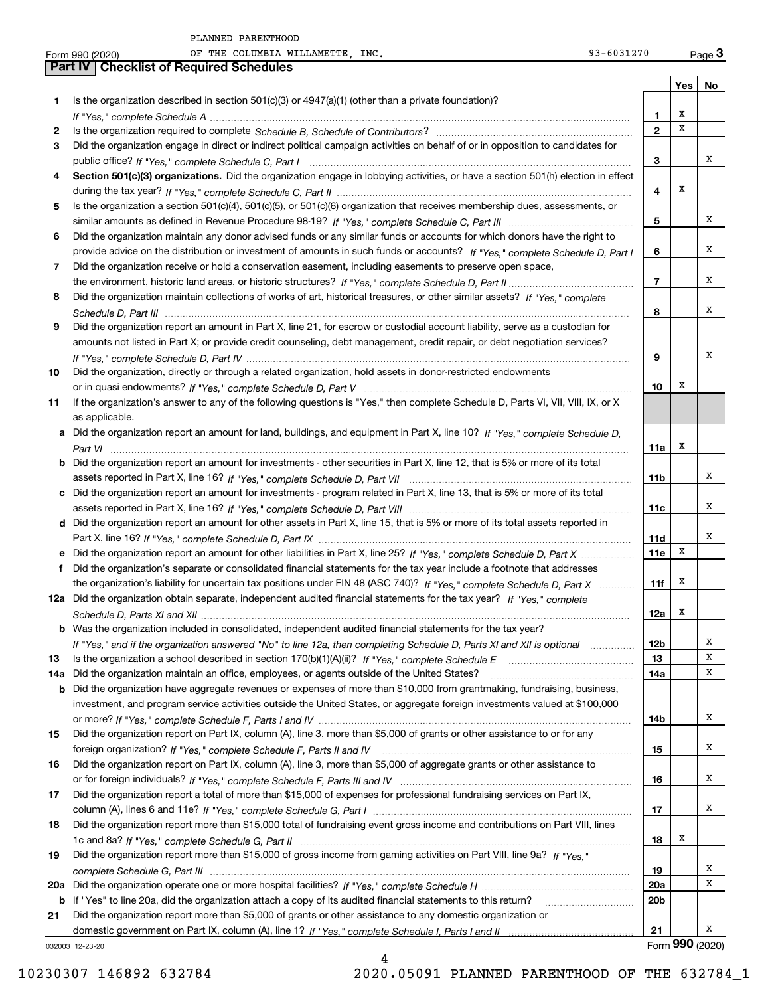| $\overline{\phantom{0}}$<br>nor<br>$-$ orn.<br>. | (0.000)<br>:∪∠∪ | INC.<br><b>LLAME</b><br>.<br>пmъ.<br>ጥዝቡ:<br>OF.<br>COL.<br>TIMBT.<br>T4T-<br><br>_____ | $\sqrt{2}$<br>0 U<br>$\overline{\phantom{a}}$<br>aue |
|--------------------------------------------------|-----------------|-----------------------------------------------------------------------------------------|------------------------------------------------------|
|                                                  |                 |                                                                                         |                                                      |

|     | 93-6031270<br>OF THE COLUMBIA WILLAMETTE, INC.<br>Form 990 (2020)                                                                |                 |     | Page $3$        |
|-----|----------------------------------------------------------------------------------------------------------------------------------|-----------------|-----|-----------------|
|     | Part IV<br><b>Checklist of Required Schedules</b>                                                                                |                 |     |                 |
|     |                                                                                                                                  |                 | Yes | No              |
| 1   | Is the organization described in section $501(c)(3)$ or $4947(a)(1)$ (other than a private foundation)?                          |                 |     |                 |
|     |                                                                                                                                  | 1               | х   |                 |
| 2   |                                                                                                                                  | $\mathbf{2}$    | X   |                 |
| 3   | Did the organization engage in direct or indirect political campaign activities on behalf of or in opposition to candidates for  |                 |     |                 |
|     |                                                                                                                                  | 3               |     | х               |
| 4   | Section 501(c)(3) organizations. Did the organization engage in lobbying activities, or have a section 501(h) election in effect |                 |     |                 |
|     |                                                                                                                                  | 4               | х   |                 |
| 5   | Is the organization a section 501(c)(4), 501(c)(5), or 501(c)(6) organization that receives membership dues, assessments, or     |                 |     |                 |
|     |                                                                                                                                  | 5               |     | х               |
| 6   | Did the organization maintain any donor advised funds or any similar funds or accounts for which donors have the right to        |                 |     |                 |
|     | provide advice on the distribution or investment of amounts in such funds or accounts? If "Yes," complete Schedule D, Part I     | 6               |     | х               |
|     |                                                                                                                                  |                 |     |                 |
| 7   | Did the organization receive or hold a conservation easement, including easements to preserve open space,                        |                 |     | х               |
|     |                                                                                                                                  | $\overline{7}$  |     |                 |
| 8   | Did the organization maintain collections of works of art, historical treasures, or other similar assets? If "Yes," complete     |                 |     |                 |
|     |                                                                                                                                  | 8               |     | х               |
| 9   | Did the organization report an amount in Part X, line 21, for escrow or custodial account liability, serve as a custodian for    |                 |     |                 |
|     | amounts not listed in Part X; or provide credit counseling, debt management, credit repair, or debt negotiation services?        |                 |     |                 |
|     |                                                                                                                                  | 9               |     | х               |
| 10  | Did the organization, directly or through a related organization, hold assets in donor-restricted endowments                     |                 |     |                 |
|     |                                                                                                                                  | 10              | х   |                 |
| 11  | If the organization's answer to any of the following questions is "Yes," then complete Schedule D, Parts VI, VII, VIII, IX, or X |                 |     |                 |
|     | as applicable.                                                                                                                   |                 |     |                 |
|     | Did the organization report an amount for land, buildings, and equipment in Part X, line 10? If "Yes," complete Schedule D,      |                 |     |                 |
|     |                                                                                                                                  | 11a             | х   |                 |
| b   | Did the organization report an amount for investments - other securities in Part X, line 12, that is 5% or more of its total     |                 |     |                 |
|     |                                                                                                                                  | 11b             |     | x               |
| c   | Did the organization report an amount for investments - program related in Part X, line 13, that is 5% or more of its total      |                 |     |                 |
|     |                                                                                                                                  | 11c             |     | х               |
|     | d Did the organization report an amount for other assets in Part X, line 15, that is 5% or more of its total assets reported in  |                 |     |                 |
|     |                                                                                                                                  | 11d             |     | х               |
|     | Did the organization report an amount for other liabilities in Part X, line 25? If "Yes," complete Schedule D, Part X            | <b>11e</b>      | Х   |                 |
| f   | Did the organization's separate or consolidated financial statements for the tax year include a footnote that addresses          |                 |     |                 |
|     | the organization's liability for uncertain tax positions under FIN 48 (ASC 740)? If "Yes," complete Schedule D, Part X           | 11f             | x   |                 |
|     | 12a Did the organization obtain separate, independent audited financial statements for the tax year? If "Yes," complete          |                 |     |                 |
|     |                                                                                                                                  |                 | x   |                 |
|     |                                                                                                                                  | 12a             |     |                 |
| b   | Was the organization included in consolidated, independent audited financial statements for the tax year?                        |                 |     |                 |
|     | If "Yes," and if the organization answered "No" to line 12a, then completing Schedule D, Parts XI and XII is optional manum      | 12b             |     | x<br>х          |
| 13  |                                                                                                                                  | 13              |     |                 |
| 14a | Did the organization maintain an office, employees, or agents outside of the United States?                                      | 14a             |     | х               |
| b   | Did the organization have aggregate revenues or expenses of more than \$10,000 from grantmaking, fundraising, business,          |                 |     |                 |
|     | investment, and program service activities outside the United States, or aggregate foreign investments valued at \$100,000       |                 |     |                 |
|     |                                                                                                                                  | 14b             |     | х               |
| 15  | Did the organization report on Part IX, column (A), line 3, more than \$5,000 of grants or other assistance to or for any        |                 |     |                 |
|     |                                                                                                                                  | 15              |     | x               |
| 16  | Did the organization report on Part IX, column (A), line 3, more than \$5,000 of aggregate grants or other assistance to         |                 |     |                 |
|     |                                                                                                                                  | 16              |     | х               |
| 17  | Did the organization report a total of more than \$15,000 of expenses for professional fundraising services on Part IX,          |                 |     |                 |
|     |                                                                                                                                  | 17              |     | х               |
| 18  | Did the organization report more than \$15,000 total of fundraising event gross income and contributions on Part VIII, lines     |                 |     |                 |
|     |                                                                                                                                  | 18              | x   |                 |
| 19  | Did the organization report more than \$15,000 of gross income from gaming activities on Part VIII, line 9a? If "Yes."           |                 |     |                 |
|     |                                                                                                                                  | 19              |     | x               |
| 20a |                                                                                                                                  | 20a             |     | X               |
|     |                                                                                                                                  | 20 <sub>b</sub> |     |                 |
| b   | If "Yes" to line 20a, did the organization attach a copy of its audited financial statements to this return?                     |                 |     |                 |
| 21  | Did the organization report more than \$5,000 of grants or other assistance to any domestic organization or                      | 21              |     | х               |
|     |                                                                                                                                  |                 |     | Form 990 (2020) |
|     | 032003 12-23-20                                                                                                                  |                 |     |                 |

4

032003 12-23-20

10230307 146892 632784 2020.05091 PLANNED PARENTHOOD OF THE 632784\_1

 $93 - 6031270$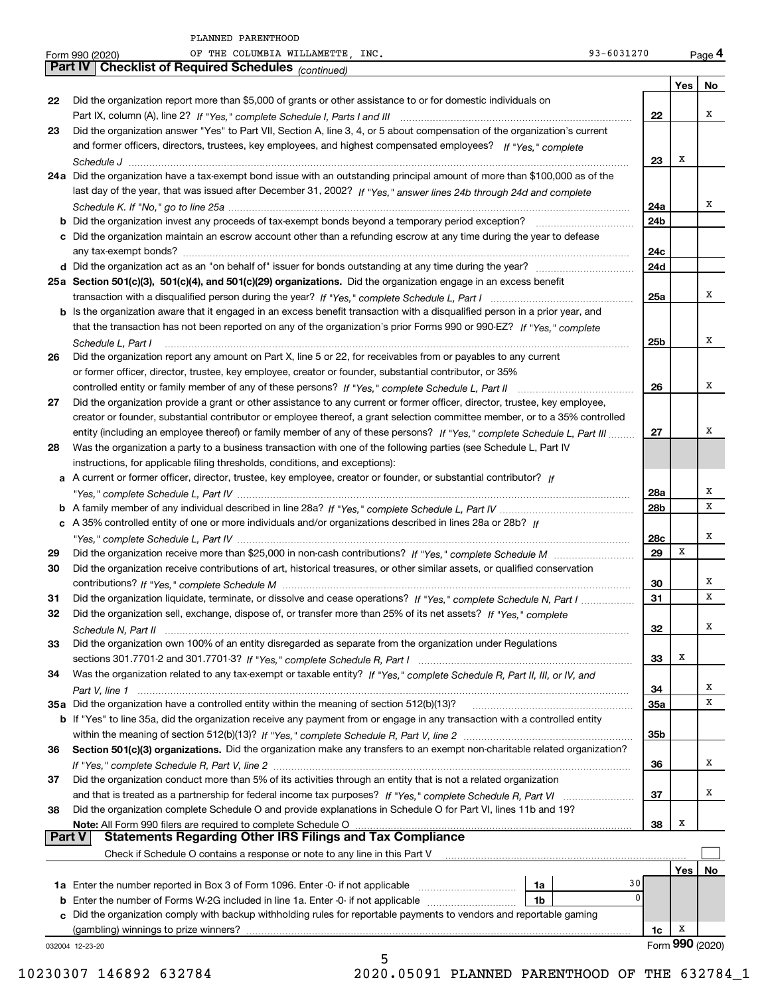|               | 93-6031270<br>OF THE COLUMBIA WILLAMETTE, INC.<br>Form 990 (2020)                                                                     |                 |       | Page 4          |
|---------------|---------------------------------------------------------------------------------------------------------------------------------------|-----------------|-------|-----------------|
|               | <b>Checklist of Required Schedules</b> (continued)<br><b>Part IV I</b>                                                                |                 |       |                 |
|               |                                                                                                                                       |                 | Yes   | No              |
| 22            | Did the organization report more than \$5,000 of grants or other assistance to or for domestic individuals on                         |                 |       |                 |
|               |                                                                                                                                       | 22              |       | x               |
| 23            | Did the organization answer "Yes" to Part VII, Section A, line 3, 4, or 5 about compensation of the organization's current            |                 |       |                 |
|               | and former officers, directors, trustees, key employees, and highest compensated employees? If "Yes," complete                        |                 |       |                 |
|               |                                                                                                                                       | 23              | х     |                 |
|               | 24a Did the organization have a tax-exempt bond issue with an outstanding principal amount of more than \$100,000 as of the           |                 |       |                 |
|               | last day of the year, that was issued after December 31, 2002? If "Yes," answer lines 24b through 24d and complete                    |                 |       |                 |
|               |                                                                                                                                       | 24a             |       | X               |
|               |                                                                                                                                       | 24b             |       |                 |
|               | c Did the organization maintain an escrow account other than a refunding escrow at any time during the year to defease                |                 |       |                 |
|               |                                                                                                                                       | 24c             |       |                 |
|               |                                                                                                                                       | 24d             |       |                 |
|               | 25a Section 501(c)(3), 501(c)(4), and 501(c)(29) organizations. Did the organization engage in an excess benefit                      |                 |       |                 |
|               |                                                                                                                                       | 25a             |       | X               |
|               | b Is the organization aware that it engaged in an excess benefit transaction with a disqualified person in a prior year, and          |                 |       |                 |
|               | that the transaction has not been reported on any of the organization's prior Forms 990 or 990-EZ? If "Yes," complete                 |                 |       |                 |
|               |                                                                                                                                       | 25 <sub>b</sub> |       | X               |
| 26            | Schedule L, Part I<br>Did the organization report any amount on Part X, line 5 or 22, for receivables from or payables to any current |                 |       |                 |
|               |                                                                                                                                       |                 |       |                 |
|               | or former officer, director, trustee, key employee, creator or founder, substantial contributor, or 35%                               | 26              |       | X               |
|               |                                                                                                                                       |                 |       |                 |
| 27            | Did the organization provide a grant or other assistance to any current or former officer, director, trustee, key employee,           |                 |       |                 |
|               | creator or founder, substantial contributor or employee thereof, a grant selection committee member, or to a 35% controlled           |                 |       | X               |
|               | entity (including an employee thereof) or family member of any of these persons? If "Yes," complete Schedule L, Part III              | 27              |       |                 |
| 28            | Was the organization a party to a business transaction with one of the following parties (see Schedule L, Part IV                     |                 |       |                 |
|               | instructions, for applicable filing thresholds, conditions, and exceptions):                                                          |                 |       |                 |
|               | a A current or former officer, director, trustee, key employee, creator or founder, or substantial contributor? If                    |                 |       |                 |
|               |                                                                                                                                       | 28a             |       | х               |
|               |                                                                                                                                       | 28b             |       | x               |
|               | c A 35% controlled entity of one or more individuals and/or organizations described in lines 28a or 28b? If                           |                 |       |                 |
|               |                                                                                                                                       | 28c             |       | х               |
| 29            |                                                                                                                                       | 29              | Х     |                 |
| 30            | Did the organization receive contributions of art, historical treasures, or other similar assets, or qualified conservation           |                 |       |                 |
|               |                                                                                                                                       | 30              |       | х               |
| 31            | Did the organization liquidate, terminate, or dissolve and cease operations? If "Yes," complete Schedule N, Part I                    | 31              |       | x               |
| 32            | Did the organization sell, exchange, dispose of, or transfer more than 25% of its net assets? If "Yes," complete                      |                 |       |                 |
|               |                                                                                                                                       | 32              |       | x               |
| 33            | Did the organization own 100% of an entity disregarded as separate from the organization under Regulations                            |                 |       |                 |
|               |                                                                                                                                       | 33              | х     |                 |
| 34            | Was the organization related to any tax-exempt or taxable entity? If "Yes," complete Schedule R, Part II, III, or IV, and             |                 |       |                 |
|               |                                                                                                                                       | 34              |       | x               |
|               | 35a Did the organization have a controlled entity within the meaning of section 512(b)(13)?                                           | <b>35a</b>      |       | x               |
|               | b If "Yes" to line 35a, did the organization receive any payment from or engage in any transaction with a controlled entity           |                 |       |                 |
|               |                                                                                                                                       | 35b             |       |                 |
| 36            | Section 501(c)(3) organizations. Did the organization make any transfers to an exempt non-charitable related organization?            |                 |       |                 |
|               |                                                                                                                                       | 36              |       | х               |
| 37            | Did the organization conduct more than 5% of its activities through an entity that is not a related organization                      |                 |       |                 |
|               |                                                                                                                                       | 37              |       | х               |
| 38            | Did the organization complete Schedule O and provide explanations in Schedule O for Part VI, lines 11b and 19?                        |                 |       |                 |
|               | Note: All Form 990 filers are required to complete Schedule O                                                                         | 38              | x     |                 |
| <b>Part V</b> | <b>Statements Regarding Other IRS Filings and Tax Compliance</b>                                                                      |                 |       |                 |
|               | Check if Schedule O contains a response or note to any line in this Part V                                                            |                 |       |                 |
|               |                                                                                                                                       |                 | Yes l | No              |
|               | 30<br>1a                                                                                                                              |                 |       |                 |
|               | 0<br><b>b</b> Enter the number of Forms W-2G included in line 1a. Enter -0- if not applicable<br>1b                                   |                 |       |                 |
|               | c Did the organization comply with backup withholding rules for reportable payments to vendors and reportable gaming                  |                 |       |                 |
|               |                                                                                                                                       | 1c              | x     |                 |
|               | 032004 12-23-20                                                                                                                       |                 |       | Form 990 (2020) |
|               | 5                                                                                                                                     |                 |       |                 |

10230307 146892 632784 2020.05091 PLANNED PARENTHOOD OF THE 632784\_1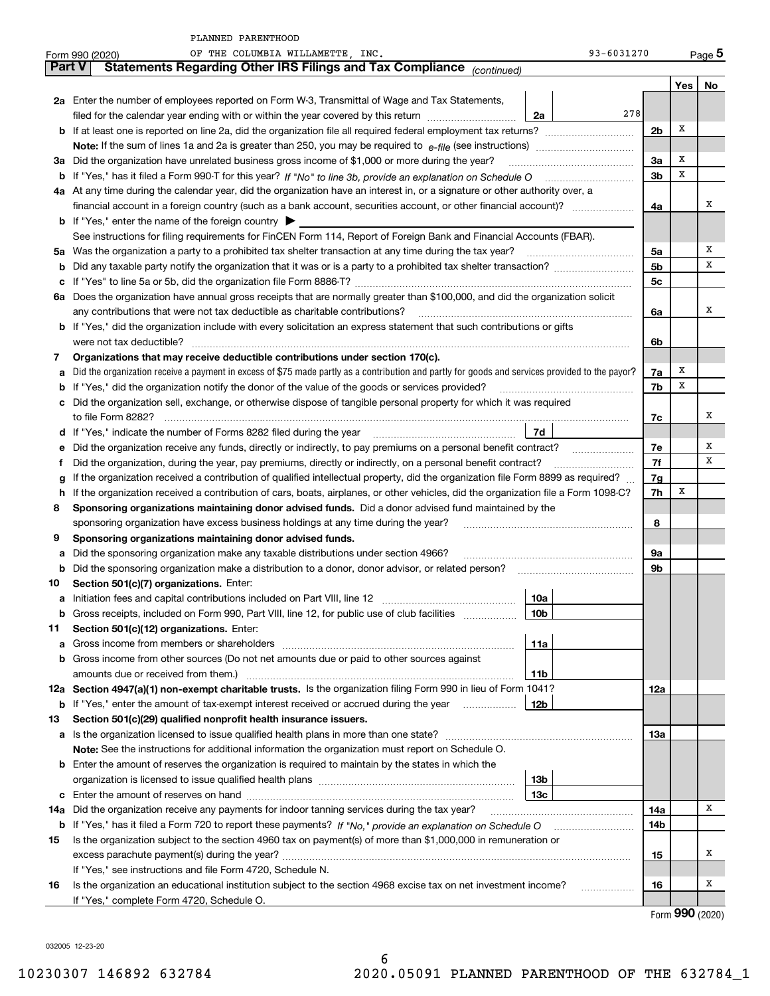|               | PLANNED PARENTHOOD                                                                                                                                                            |                |     |        |  |  |  |  |
|---------------|-------------------------------------------------------------------------------------------------------------------------------------------------------------------------------|----------------|-----|--------|--|--|--|--|
|               | OF THE COLUMBIA WILLAMETTE, INC.<br>93-6031270<br>Form 990 (2020)                                                                                                             |                |     | Page 5 |  |  |  |  |
| <b>Part V</b> | Statements Regarding Other IRS Filings and Tax Compliance (continued)                                                                                                         |                |     |        |  |  |  |  |
|               |                                                                                                                                                                               |                | Yes | No     |  |  |  |  |
|               | 2a Enter the number of employees reported on Form W-3, Transmittal of Wage and Tax Statements,                                                                                |                |     |        |  |  |  |  |
|               | 278<br>filed for the calendar year ending with or within the year covered by this return<br>2a                                                                                |                |     |        |  |  |  |  |
|               |                                                                                                                                                                               | 2 <sub>b</sub> | х   |        |  |  |  |  |
|               |                                                                                                                                                                               |                |     |        |  |  |  |  |
|               | 3a Did the organization have unrelated business gross income of \$1,000 or more during the year?                                                                              | 3a             | х   |        |  |  |  |  |
|               |                                                                                                                                                                               | 3 <sub>b</sub> | х   |        |  |  |  |  |
|               | 4a At any time during the calendar year, did the organization have an interest in, or a signature or other authority over, a                                                  |                |     |        |  |  |  |  |
|               |                                                                                                                                                                               | 4a             |     | х      |  |  |  |  |
|               | <b>b</b> If "Yes," enter the name of the foreign country $\triangleright$                                                                                                     |                |     |        |  |  |  |  |
|               | See instructions for filing requirements for FinCEN Form 114, Report of Foreign Bank and Financial Accounts (FBAR).                                                           |                |     | Х      |  |  |  |  |
|               |                                                                                                                                                                               | 5a<br>5b       |     | х      |  |  |  |  |
|               |                                                                                                                                                                               | 5c             |     |        |  |  |  |  |
|               | 6a Does the organization have annual gross receipts that are normally greater than \$100,000, and did the organization solicit                                                |                |     |        |  |  |  |  |
|               |                                                                                                                                                                               | 6a             |     | x      |  |  |  |  |
|               | <b>b</b> If "Yes," did the organization include with every solicitation an express statement that such contributions or gifts                                                 |                |     |        |  |  |  |  |
|               | were not tax deductible?                                                                                                                                                      | 6b             |     |        |  |  |  |  |
| 7             | Organizations that may receive deductible contributions under section 170(c).                                                                                                 |                |     |        |  |  |  |  |
| a             | Did the organization receive a payment in excess of \$75 made partly as a contribution and partly for goods and services provided to the payor?                               | 7a             | х   |        |  |  |  |  |
|               | <b>b</b> If "Yes," did the organization notify the donor of the value of the goods or services provided?                                                                      | 7b             | х   |        |  |  |  |  |
|               | c Did the organization sell, exchange, or otherwise dispose of tangible personal property for which it was required                                                           |                |     |        |  |  |  |  |
|               |                                                                                                                                                                               | 7с             |     | х      |  |  |  |  |
|               | 7d                                                                                                                                                                            |                |     |        |  |  |  |  |
| е             | Did the organization receive any funds, directly or indirectly, to pay premiums on a personal benefit contract?                                                               | 7e             |     | Х      |  |  |  |  |
| Ť.            | Did the organization, during the year, pay premiums, directly or indirectly, on a personal benefit contract?                                                                  | 7f             |     | Х      |  |  |  |  |
| g             | If the organization received a contribution of qualified intellectual property, did the organization file Form 8899 as required?                                              | 7g             |     |        |  |  |  |  |
| h.            | If the organization received a contribution of cars, boats, airplanes, or other vehicles, did the organization file a Form 1098-C?                                            | 7h             | х   |        |  |  |  |  |
| 8             | Sponsoring organizations maintaining donor advised funds. Did a donor advised fund maintained by the                                                                          |                |     |        |  |  |  |  |
|               | sponsoring organization have excess business holdings at any time during the year?                                                                                            | 8              |     |        |  |  |  |  |
| 9             | Sponsoring organizations maintaining donor advised funds.                                                                                                                     |                |     |        |  |  |  |  |
| а             | Did the sponsoring organization make any taxable distributions under section 4966?                                                                                            | 9a             |     |        |  |  |  |  |
| b             | Did the sponsoring organization make a distribution to a donor, donor advisor, or related person?                                                                             | 9b             |     |        |  |  |  |  |
| 10            | Section 501(c)(7) organizations. Enter:                                                                                                                                       |                |     |        |  |  |  |  |
|               | 10a<br>Initiation fees and capital contributions included on Part VIII, line 12                                                                                               |                |     |        |  |  |  |  |
|               | b Gross receipts, included on Form 990, Part VIII, line 12, for public use of club facilities<br>10b                                                                          |                |     |        |  |  |  |  |
| 11            | Section 501(c)(12) organizations. Enter:                                                                                                                                      |                |     |        |  |  |  |  |
| а             | 11a<br>Gross income from members or shareholders [11] continuum material contracts income from members or shareholders                                                        |                |     |        |  |  |  |  |
|               | <b>b</b> Gross income from other sources (Do not net amounts due or paid to other sources against                                                                             |                |     |        |  |  |  |  |
|               | 11b                                                                                                                                                                           |                |     |        |  |  |  |  |
|               | 12a Section 4947(a)(1) non-exempt charitable trusts. Is the organization filing Form 990 in lieu of Form 1041?                                                                | 12a            |     |        |  |  |  |  |
|               | 12b<br><b>b</b> If "Yes," enter the amount of tax-exempt interest received or accrued during the year                                                                         |                |     |        |  |  |  |  |
| 13            | Section 501(c)(29) qualified nonprofit health insurance issuers.                                                                                                              |                |     |        |  |  |  |  |
|               |                                                                                                                                                                               | 13a            |     |        |  |  |  |  |
|               | Note: See the instructions for additional information the organization must report on Schedule O.                                                                             |                |     |        |  |  |  |  |
|               | <b>b</b> Enter the amount of reserves the organization is required to maintain by the states in which the                                                                     |                |     |        |  |  |  |  |
|               | 13b                                                                                                                                                                           |                |     |        |  |  |  |  |
|               | 13c                                                                                                                                                                           |                |     | x      |  |  |  |  |
| 14a           | Did the organization receive any payments for indoor tanning services during the tax year?                                                                                    | 14a            |     |        |  |  |  |  |
|               |                                                                                                                                                                               | 14b            |     |        |  |  |  |  |
| 15            | Is the organization subject to the section 4960 tax on payment(s) of more than \$1,000,000 in remuneration or                                                                 |                |     | х      |  |  |  |  |
|               |                                                                                                                                                                               | 15             |     |        |  |  |  |  |
| 16            | If "Yes," see instructions and file Form 4720, Schedule N.<br>Is the organization an educational institution subject to the section 4968 excise tax on net investment income? | 16             |     | х      |  |  |  |  |
|               | If "Yes," complete Form 4720, Schedule O.                                                                                                                                     |                |     |        |  |  |  |  |
|               |                                                                                                                                                                               |                |     |        |  |  |  |  |

Form (2020) **990**

032005 12-23-20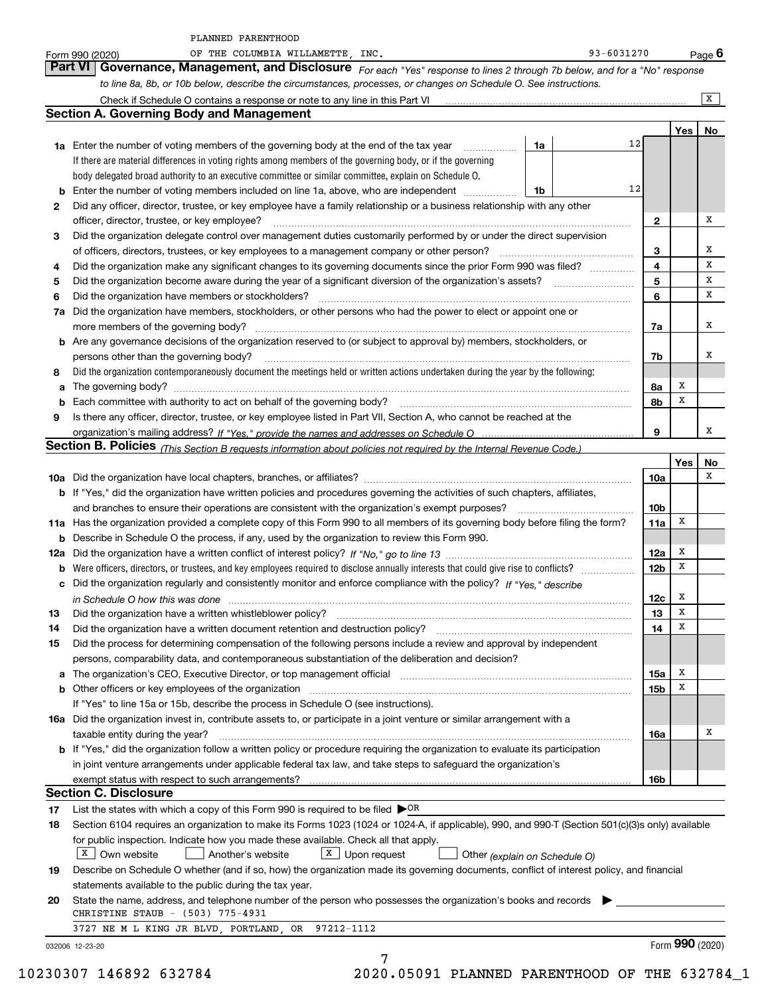|    | to line 8a, 8b, or 10b below, describe the circumstances, processes, or changes on Schedule O. See instructions.                                                  |                 |     |                |
|----|-------------------------------------------------------------------------------------------------------------------------------------------------------------------|-----------------|-----|----------------|
|    | Check if Schedule O contains a response or note to any line in this Part VI [11] [12] Check if Schedule O contains a response or note to any line in this Part VI |                 |     | $\overline{X}$ |
|    | <b>Section A. Governing Body and Management</b>                                                                                                                   |                 |     |                |
|    |                                                                                                                                                                   |                 | Yes | No             |
|    | 1a Enter the number of voting members of the governing body at the end of the tax year<br>1a                                                                      | 12              |     |                |
|    | If there are material differences in voting rights among members of the governing body, or if the governing                                                       |                 |     |                |
|    | body delegated broad authority to an executive committee or similar committee, explain on Schedule O.                                                             |                 |     |                |
| b  | 12<br>Enter the number of voting members included on line 1a, above, who are independent<br>  1b                                                                  |                 |     |                |
| 2  | Did any officer, director, trustee, or key employee have a family relationship or a business relationship with any other                                          |                 |     |                |
|    | officer, director, trustee, or key employee?                                                                                                                      | $\mathbf{2}$    |     | x              |
| з  | Did the organization delegate control over management duties customarily performed by or under the direct supervision                                             |                 |     |                |
|    | of officers, directors, trustees, or key employees to a management company or other person?                                                                       | з               |     | х              |
| 4  | Did the organization make any significant changes to its governing documents since the prior Form 990 was filed?                                                  | 4               |     | X              |
| 5  |                                                                                                                                                                   | 5               |     | х              |
| 6  | Did the organization have members or stockholders?                                                                                                                | 6               |     | х              |
| 7a | Did the organization have members, stockholders, or other persons who had the power to elect or appoint one or                                                    |                 |     |                |
|    |                                                                                                                                                                   | 7a              |     | x              |
|    | b Are any governance decisions of the organization reserved to (or subject to approval by) members, stockholders, or                                              |                 |     |                |
|    | persons other than the governing body?                                                                                                                            | 7b              |     | х              |
| 8  | Did the organization contemporaneously document the meetings held or written actions undertaken during the year by the following:                                 |                 |     |                |
|    |                                                                                                                                                                   | 8a              | x   |                |
|    |                                                                                                                                                                   | 8b              | X   |                |
| 9  | Is there any officer, director, trustee, or key employee listed in Part VII, Section A, who cannot be reached at the                                              |                 |     |                |
|    |                                                                                                                                                                   | 9               |     | x              |
|    | Section B. Policies (This Section B requests information about policies not required by the Internal Revenue Code.)                                               |                 |     |                |
|    |                                                                                                                                                                   |                 | Yes | No             |
|    |                                                                                                                                                                   | <b>10a</b>      |     | х              |
|    | b If "Yes," did the organization have written policies and procedures governing the activities of such chapters, affiliates,                                      |                 |     |                |
|    | and branches to ensure their operations are consistent with the organization's exempt purposes?                                                                   | 10 <sub>b</sub> |     |                |
|    | 11a Has the organization provided a complete copy of this Form 990 to all members of its governing body before filing the form?                                   | 11a             | x   |                |
|    | <b>b</b> Describe in Schedule O the process, if any, used by the organization to review this Form 990.                                                            |                 |     |                |
|    |                                                                                                                                                                   | 12a             | x   |                |
|    | Were officers, directors, or trustees, and key employees required to disclose annually interests that could give rise to conflicts?                               | 12 <sub>b</sub> | x   |                |
|    | c Did the organization regularly and consistently monitor and enforce compliance with the policy? If "Yes," describe                                              |                 |     |                |
|    | in Schedule O how this was done with an accommodation of the control of the control of the control of the cont                                                    | 12c             | x   |                |
| 13 | Did the organization have a written whistleblower policy?                                                                                                         | 13              | x   |                |
| 14 | Did the organization have a written document retention and destruction policy?                                                                                    | 14              | X   |                |
| 15 | Did the process for determining compensation of the following persons include a review and approval by independent                                                |                 |     |                |
|    | persons, comparability data, and contemporaneous substantiation of the deliberation and decision?                                                                 |                 |     |                |
|    |                                                                                                                                                                   | 15a             | х   |                |
|    | <b>b</b> Other officers or key employees of the organization                                                                                                      | 15b             | X   |                |
|    | If "Yes" to line 15a or 15b, describe the process in Schedule O (see instructions).                                                                               |                 |     |                |
|    | 16a Did the organization invest in, contribute assets to, or participate in a joint venture or similar arrangement with a                                         |                 |     |                |
|    | taxable entity during the year?                                                                                                                                   | 16a             |     | х              |
|    | <b>b</b> If "Yes," did the organization follow a written policy or procedure requiring the organization to evaluate its participation                             |                 |     |                |
|    | in joint venture arrangements under applicable federal tax law, and take steps to safeguard the organization's                                                    |                 |     |                |
|    | exempt status with respect to such arrangements?                                                                                                                  | 16b             |     |                |
|    | <b>Section C. Disclosure</b>                                                                                                                                      |                 |     |                |
| 17 | List the states with which a copy of this Form 990 is required to be filed $\triangleright$ OR                                                                    |                 |     |                |
| 18 | Section 6104 requires an organization to make its Forms 1023 (1024 or 1024-A, if applicable), 990, and 990-T (Section 501(c)(3)s only) available                  |                 |     |                |
|    | for public inspection. Indicate how you made these available. Check all that apply.                                                                               |                 |     |                |
|    | $X \mid$ Own website<br>$X$ Upon request<br>Another's website<br>Other (explain on Schedule O)                                                                    |                 |     |                |
| 19 | Describe on Schedule O whether (and if so, how) the organization made its governing documents, conflict of interest policy, and financial                         |                 |     |                |
|    |                                                                                                                                                                   |                 |     |                |
|    | statements available to the public during the tax year.                                                                                                           |                 |     |                |
|    | State the name, address, and telephone number of the person who possesses the organization's books and records                                                    |                 |     |                |
|    |                                                                                                                                                                   |                 |     |                |
| 20 | CHRISTINE STAUB - (503) 775-4931<br>3727 NE M L KING JR BLVD, PORTLAND, OR 97212-1112                                                                             |                 |     |                |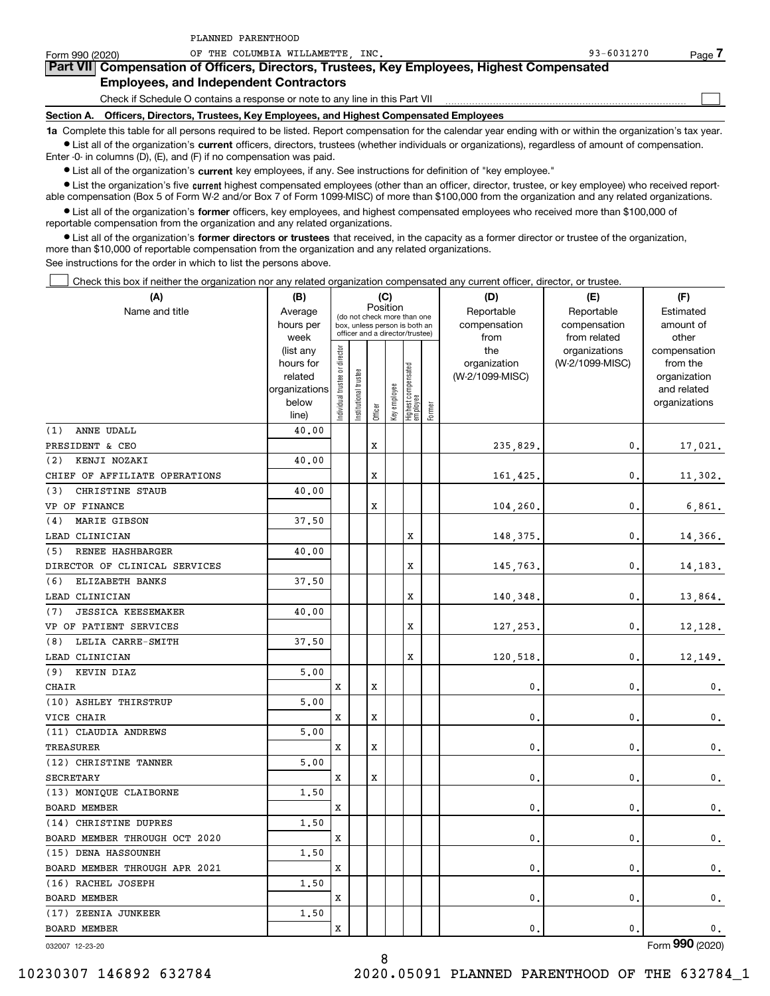| Form 990 (2020)                                                                            | OF THE COLUMBIA WILLAMETTE INC.                                                                                                                            | 93-6031270 | Page |  |  |  |  |  |  |  |
|--------------------------------------------------------------------------------------------|------------------------------------------------------------------------------------------------------------------------------------------------------------|------------|------|--|--|--|--|--|--|--|
| Part VII Compensation of Officers, Directors, Trustees, Key Employees, Highest Compensated |                                                                                                                                                            |            |      |  |  |  |  |  |  |  |
| <b>Employees, and Independent Contractors</b>                                              |                                                                                                                                                            |            |      |  |  |  |  |  |  |  |
|                                                                                            | Check if Schedule O contains a response or note to any line in this Part VII                                                                               |            |      |  |  |  |  |  |  |  |
|                                                                                            | Section A. Officers, Directors, Trustees, Key Employees, and Highest Compensated Employees                                                                 |            |      |  |  |  |  |  |  |  |
|                                                                                            | 1a Complete this table for all persons required to be listed. Report compensation for the calendar year ending with or within the organization's tax year. |            |      |  |  |  |  |  |  |  |

**•** List all of the organization's current officers, directors, trustees (whether individuals or organizations), regardless of amount of compensation. Enter -0- in columns (D), (E), and (F) if no compensation was paid.

PLANNED PARENTHOOD

 $\bullet$  List all of the organization's  $\,$ current key employees, if any. See instructions for definition of "key employee."

**•** List the organization's five current highest compensated employees (other than an officer, director, trustee, or key employee) who received reportable compensation (Box 5 of Form W-2 and/or Box 7 of Form 1099-MISC) of more than \$100,000 from the organization and any related organizations.

**•** List all of the organization's former officers, key employees, and highest compensated employees who received more than \$100,000 of reportable compensation from the organization and any related organizations.

**former directors or trustees**  ¥ List all of the organization's that received, in the capacity as a former director or trustee of the organization, more than \$10,000 of reportable compensation from the organization and any related organizations.

See instructions for the order in which to list the persons above.

Check this box if neither the organization nor any related organization compensated any current officer, director, or trustee.  $\mathcal{L}^{\text{max}}$ 

| (A)                              | (B)               |                               |                                                                  |             | (C)          |                                  |        | (D)                  | (E)                          | (F)                |  |  |
|----------------------------------|-------------------|-------------------------------|------------------------------------------------------------------|-------------|--------------|----------------------------------|--------|----------------------|------------------------------|--------------------|--|--|
| Name and title                   | Average           |                               | Position<br>(do not check more than one                          |             |              |                                  |        | Reportable           | Reportable                   | Estimated          |  |  |
|                                  | hours per<br>week |                               | box, unless person is both an<br>officer and a director/trustee) |             |              |                                  |        | compensation<br>from | compensation<br>from related | amount of<br>other |  |  |
|                                  | (list any         |                               |                                                                  |             |              |                                  |        | the                  | organizations                | compensation       |  |  |
|                                  | hours for         |                               |                                                                  |             |              |                                  |        | organization         | (W-2/1099-MISC)              | from the           |  |  |
|                                  | related           |                               |                                                                  |             |              |                                  |        | (W-2/1099-MISC)      |                              | organization       |  |  |
|                                  | organizations     |                               |                                                                  |             |              |                                  |        |                      |                              | and related        |  |  |
|                                  | below<br>line)    | ndividual trustee or director | nstitutional trustee                                             | Officer     | Key employee | Highest compensated<br> employee | Former |                      |                              | organizations      |  |  |
| (1)<br>ANNE UDALL                | 40.00             |                               |                                                                  |             |              |                                  |        |                      |                              |                    |  |  |
| PRESIDENT & CEO                  |                   |                               |                                                                  | X           |              |                                  |        | 235,829.             | 0.                           | 17,021.            |  |  |
| KENJI NOZAKI<br>(2)              | 40.00             |                               |                                                                  |             |              |                                  |        |                      |                              |                    |  |  |
| CHIEF OF AFFILIATE OPERATIONS    |                   |                               |                                                                  | X           |              |                                  |        | 161,425.             | $\mathbf{0}$ .               | 11,302.            |  |  |
| CHRISTINE STAUB<br>(3)           | 40.00             |                               |                                                                  |             |              |                                  |        |                      |                              |                    |  |  |
| VP OF FINANCE                    |                   |                               |                                                                  | X           |              |                                  |        | 104,260              | $\mathbf{0}$ .               | 6,861.             |  |  |
| MARIE GIBSON<br>(4)              | 37.50             |                               |                                                                  |             |              |                                  |        |                      |                              |                    |  |  |
| LEAD CLINICIAN                   |                   |                               |                                                                  |             |              | X                                |        | 148,375.             | $\mathbf{0}$ .               | 14,366.            |  |  |
| RENEE HASHBARGER<br>(5)          | 40.00             |                               |                                                                  |             |              |                                  |        |                      |                              |                    |  |  |
| DIRECTOR OF CLINICAL SERVICES    |                   |                               |                                                                  |             |              | X                                |        | 145,763.             | 0.                           | 14,183.            |  |  |
| ELIZABETH BANKS<br>(6)           | 37.50             |                               |                                                                  |             |              |                                  |        |                      |                              |                    |  |  |
| LEAD CLINICIAN                   |                   |                               |                                                                  |             |              | X                                |        | 140,348.             | $\mathbf{0}$ .               | 13,864.            |  |  |
| <b>JESSICA KEESEMAKER</b><br>(7) | 40.00             |                               |                                                                  |             |              |                                  |        |                      |                              |                    |  |  |
| VP OF PATIENT SERVICES           |                   |                               |                                                                  |             |              | X                                |        | 127,253              | 0.                           | 12,128.            |  |  |
| LELIA CARRE-SMITH<br>(8)         | 37.50             |                               |                                                                  |             |              |                                  |        |                      |                              |                    |  |  |
| LEAD CLINICIAN                   |                   |                               |                                                                  |             |              | X                                |        | 120,518.             | $\mathbf{0}$ .               | 12,149.            |  |  |
| (9)<br>KEVIN DIAZ                | 5.00              |                               |                                                                  |             |              |                                  |        |                      |                              |                    |  |  |
| <b>CHAIR</b>                     |                   | x                             |                                                                  | X           |              |                                  |        | 0.                   | $\mathbf{0}$ .               | 0.                 |  |  |
| (10) ASHLEY THIRSTRUP            | 5.00              |                               |                                                                  |             |              |                                  |        |                      |                              |                    |  |  |
| VICE CHAIR                       |                   | x                             |                                                                  | $\mathbf x$ |              |                                  |        | $\mathbf{0}$ .       | $\mathbf{0}$ .               | 0.                 |  |  |
| (11) CLAUDIA ANDREWS             | 5.00              |                               |                                                                  |             |              |                                  |        |                      |                              |                    |  |  |
| <b>TREASURER</b>                 |                   | x                             |                                                                  | $\mathbf x$ |              |                                  |        | $\mathbf{0}$ .       | $\mathbf{0}$ .               | 0.                 |  |  |
| (12) CHRISTINE TANNER            | 5.00              |                               |                                                                  |             |              |                                  |        |                      |                              |                    |  |  |
| <b>SECRETARY</b>                 |                   | x                             |                                                                  | $\mathbf x$ |              |                                  |        | $\mathbf{0}$ .       | $\mathbf{0}$ .               | 0.                 |  |  |
| (13) MONIQUE CLAIBORNE           | 1.50              |                               |                                                                  |             |              |                                  |        |                      |                              |                    |  |  |
| BOARD MEMBER                     |                   | x                             |                                                                  |             |              |                                  |        | $\mathbf 0$ .        | $\mathbf{0}$ .               | $\mathbf{0}$ .     |  |  |
| (14) CHRISTINE DUPRES            | 1.50              |                               |                                                                  |             |              |                                  |        |                      |                              |                    |  |  |
| BOARD MEMBER THROUGH OCT 2020    |                   | x                             |                                                                  |             |              |                                  |        | $\mathbf{0}$ .       | $\mathbf{0}$ .               | $\mathfrak{o}$ .   |  |  |
| (15) DENA HASSOUNEH              | 1.50              |                               |                                                                  |             |              |                                  |        |                      |                              |                    |  |  |
| BOARD MEMBER THROUGH APR 2021    |                   | x                             |                                                                  |             |              |                                  |        | $\mathbf{0}$ .       | $\mathbf{0}$ .               | $\mathfrak{o}$ .   |  |  |
| (16) RACHEL JOSEPH               | 1.50              |                               |                                                                  |             |              |                                  |        |                      |                              |                    |  |  |
| BOARD MEMBER                     |                   | x                             |                                                                  |             |              |                                  |        | $\mathbf{0}$ .       | $\mathbf{0}$ .               | $\mathsf{0}\,.$    |  |  |
| (17) ZEENIA JUNKEER              | 1.50              |                               |                                                                  |             |              |                                  |        |                      |                              |                    |  |  |
| <b>BOARD MEMBER</b>              |                   | x                             |                                                                  |             |              |                                  |        | $\mathbf{0}$ .       | $\mathbf{0}$ .               | $\mathbf 0$ .      |  |  |

8

032007 12-23-20

Form (2020) **990**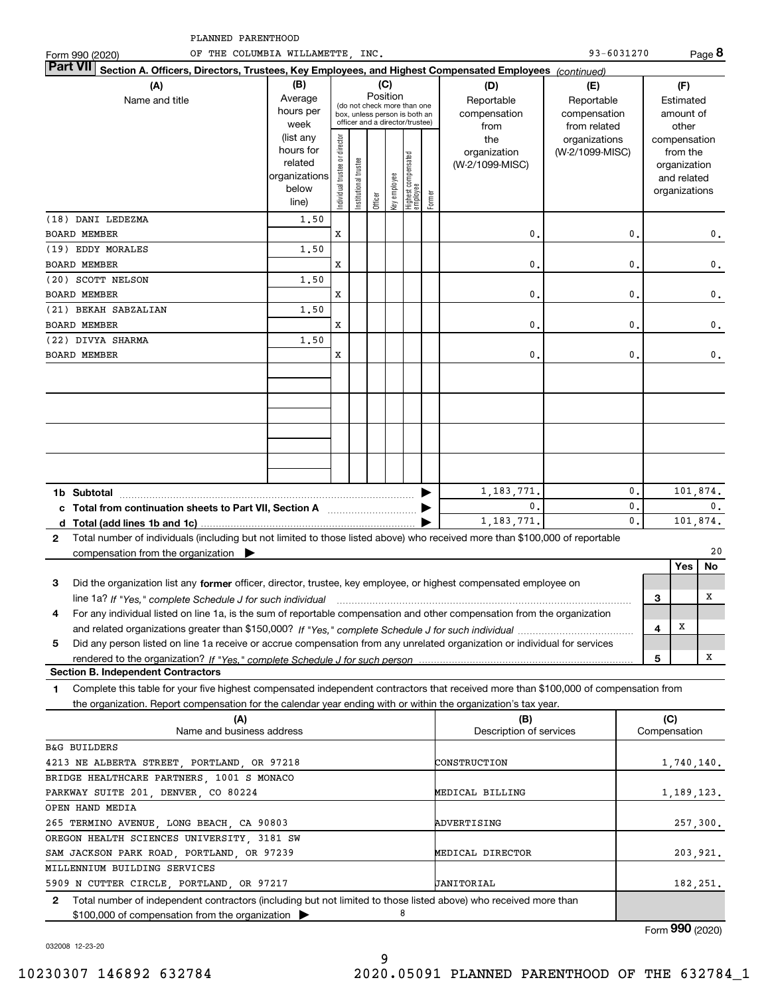| PLANNED PARENTHOOD                                                                                                                                                                                                                              |                                                                      |                                                                                                                    |                       |         |              |                                 |                                           |                                                   |                                  |                                  |                                                                          |                     |                 |
|-------------------------------------------------------------------------------------------------------------------------------------------------------------------------------------------------------------------------------------------------|----------------------------------------------------------------------|--------------------------------------------------------------------------------------------------------------------|-----------------------|---------|--------------|---------------------------------|-------------------------------------------|---------------------------------------------------|----------------------------------|----------------------------------|--------------------------------------------------------------------------|---------------------|-----------------|
| OF THE COLUMBIA WILLAMETTE, INC.<br>Form 990 (2020)                                                                                                                                                                                             |                                                                      |                                                                                                                    |                       |         |              |                                 |                                           |                                                   | 93-6031270                       |                                  |                                                                          |                     | Page 8          |
| <b>Part VII</b><br>Section A. Officers, Directors, Trustees, Key Employees, and Highest Compensated Employees (continued)                                                                                                                       |                                                                      |                                                                                                                    |                       |         |              |                                 |                                           |                                                   |                                  |                                  |                                                                          |                     |                 |
| (A)<br>Name and title                                                                                                                                                                                                                           | (B)<br>Average<br>hours per<br>week                                  | (C)<br>Position<br>(do not check more than one<br>box, unless person is both an<br>officer and a director/trustee) |                       |         |              |                                 | (D)<br>Reportable<br>compensation<br>from | (E)<br>Reportable<br>compensation<br>from related |                                  |                                  | (F)<br>Estimated<br>amount of<br>other                                   |                     |                 |
|                                                                                                                                                                                                                                                 | (list any<br>hours for<br>related<br>organizations<br>below<br>line) | Individual trustee or director                                                                                     | Institutional trustee | Officer | Key employee | Highest compensated<br>employee | Former                                    | the<br>organization<br>(W-2/1099-MISC)            | organizations<br>(W-2/1099-MISC) |                                  | compensation<br>from the<br>organization<br>and related<br>organizations |                     |                 |
| (18) DANI LEDEZMA                                                                                                                                                                                                                               | 1.50                                                                 |                                                                                                                    |                       |         |              |                                 |                                           |                                                   |                                  |                                  |                                                                          |                     |                 |
| <b>BOARD MEMBER</b><br>(19) EDDY MORALES                                                                                                                                                                                                        | 1.50                                                                 | X                                                                                                                  |                       |         |              |                                 |                                           | 0.                                                |                                  | 0                                |                                                                          |                     | 0.              |
| <b>BOARD MEMBER</b>                                                                                                                                                                                                                             |                                                                      | X                                                                                                                  |                       |         |              |                                 |                                           | $\mathbf{0}$ .                                    |                                  | 0                                |                                                                          |                     | $\mathbf 0$ .   |
| (20) SCOTT NELSON                                                                                                                                                                                                                               | 1.50                                                                 |                                                                                                                    |                       |         |              |                                 |                                           |                                                   |                                  |                                  |                                                                          |                     |                 |
| <b>BOARD MEMBER</b>                                                                                                                                                                                                                             |                                                                      | X                                                                                                                  |                       |         |              |                                 |                                           | $\mathbf{0}$ .                                    |                                  | 0                                |                                                                          |                     | $\mathbf 0$ .   |
| (21) BEKAH SABZALIAN                                                                                                                                                                                                                            | 1.50                                                                 |                                                                                                                    |                       |         |              |                                 |                                           |                                                   |                                  |                                  |                                                                          |                     |                 |
| <b>BOARD MEMBER</b>                                                                                                                                                                                                                             |                                                                      | X                                                                                                                  |                       |         |              |                                 |                                           | $\mathbf{0}$ .                                    |                                  | 0                                |                                                                          |                     | $\mathbf 0$ .   |
| (22) DIVYA SHARMA                                                                                                                                                                                                                               | 1.50                                                                 |                                                                                                                    |                       |         |              |                                 |                                           |                                                   |                                  |                                  |                                                                          |                     |                 |
| <b>BOARD MEMBER</b>                                                                                                                                                                                                                             |                                                                      | X                                                                                                                  |                       |         |              |                                 |                                           | 0.                                                |                                  | 0                                |                                                                          |                     | $\mathbf 0$ .   |
|                                                                                                                                                                                                                                                 |                                                                      |                                                                                                                    |                       |         |              |                                 |                                           |                                                   |                                  |                                  |                                                                          |                     |                 |
|                                                                                                                                                                                                                                                 |                                                                      |                                                                                                                    |                       |         |              |                                 |                                           |                                                   |                                  |                                  |                                                                          |                     |                 |
|                                                                                                                                                                                                                                                 |                                                                      |                                                                                                                    |                       |         |              |                                 |                                           |                                                   |                                  |                                  |                                                                          |                     |                 |
|                                                                                                                                                                                                                                                 |                                                                      |                                                                                                                    |                       |         |              |                                 |                                           |                                                   |                                  |                                  |                                                                          |                     |                 |
| 1b Subtotal                                                                                                                                                                                                                                     |                                                                      |                                                                                                                    |                       |         |              |                                 |                                           | 1, 183, 771.                                      |                                  | 0.                               |                                                                          |                     | 101,874.        |
| c Total from continuation sheets to Part VII, Section A [11, 11] [11] Total from continuation sheets to Part VII, Section A                                                                                                                     |                                                                      |                                                                                                                    |                       |         |              |                                 |                                           | $\mathbf{0}$ .<br>1, 183, 771.                    |                                  | $\mathbf{0}$ .<br>$\mathbf{0}$ . |                                                                          |                     | 0.<br>101,874.  |
| Total number of individuals (including but not limited to those listed above) who received more than \$100,000 of reportable<br>$\mathbf{2}$<br>compensation from the organization $\blacktriangleright$                                        |                                                                      |                                                                                                                    |                       |         |              |                                 |                                           |                                                   |                                  |                                  |                                                                          |                     | 20              |
|                                                                                                                                                                                                                                                 |                                                                      |                                                                                                                    |                       |         |              |                                 |                                           |                                                   |                                  |                                  |                                                                          | Yes                 | No              |
| з<br>Did the organization list any former officer, director, trustee, key employee, or highest compensated employee on                                                                                                                          |                                                                      |                                                                                                                    |                       |         |              |                                 |                                           |                                                   |                                  |                                  |                                                                          |                     | x               |
| line 1a? If "Yes," complete Schedule J for such individual manumental contents and the new manumental complete<br>For any individual listed on line 1a, is the sum of reportable compensation and other compensation from the organization<br>4 |                                                                      |                                                                                                                    |                       |         |              |                                 |                                           |                                                   |                                  |                                  | з                                                                        |                     |                 |
|                                                                                                                                                                                                                                                 |                                                                      |                                                                                                                    |                       |         |              |                                 |                                           |                                                   |                                  |                                  | 4                                                                        | х                   |                 |
| 5<br>Did any person listed on line 1a receive or accrue compensation from any unrelated organization or individual for services                                                                                                                 |                                                                      |                                                                                                                    |                       |         |              |                                 |                                           |                                                   |                                  |                                  |                                                                          |                     |                 |
|                                                                                                                                                                                                                                                 |                                                                      |                                                                                                                    |                       |         |              |                                 |                                           |                                                   |                                  |                                  | 5                                                                        |                     | х               |
| <b>Section B. Independent Contractors</b><br>Complete this table for your five highest compensated independent contractors that received more than \$100,000 of compensation from<br>1                                                          |                                                                      |                                                                                                                    |                       |         |              |                                 |                                           |                                                   |                                  |                                  |                                                                          |                     |                 |
| the organization. Report compensation for the calendar year ending with or within the organization's tax year.                                                                                                                                  |                                                                      |                                                                                                                    |                       |         |              |                                 |                                           |                                                   |                                  |                                  |                                                                          |                     |                 |
| (A)<br>Name and business address                                                                                                                                                                                                                |                                                                      |                                                                                                                    |                       |         |              |                                 |                                           | (B)<br>Description of services                    |                                  |                                  |                                                                          | (C)<br>Compensation |                 |
| <b>B&amp;G BUILDERS</b>                                                                                                                                                                                                                         |                                                                      |                                                                                                                    |                       |         |              |                                 |                                           |                                                   |                                  |                                  |                                                                          |                     |                 |
| 4213 NE ALBERTA STREET, PORTLAND, OR 97218                                                                                                                                                                                                      |                                                                      |                                                                                                                    |                       |         |              |                                 |                                           | CONSTRUCTION                                      |                                  |                                  |                                                                          |                     | 1,740,140.      |
| BRIDGE HEALTHCARE PARTNERS, 1001 S MONACO                                                                                                                                                                                                       |                                                                      |                                                                                                                    |                       |         |              |                                 |                                           |                                                   |                                  |                                  |                                                                          |                     |                 |
| PARKWAY SUITE 201, DENVER, CO 80224                                                                                                                                                                                                             |                                                                      |                                                                                                                    |                       |         |              |                                 |                                           | MEDICAL BILLING                                   |                                  |                                  |                                                                          |                     | 1,189,123.      |
| OPEN HAND MEDIA<br>265 TERMINO AVENUE, LONG BEACH, CA 90803                                                                                                                                                                                     |                                                                      |                                                                                                                    |                       |         |              |                                 |                                           | ADVERTISING                                       |                                  |                                  |                                                                          |                     | 257,300.        |
| OREGON HEALTH SCIENCES UNIVERSITY, 3181 SW                                                                                                                                                                                                      |                                                                      |                                                                                                                    |                       |         |              |                                 |                                           |                                                   |                                  |                                  |                                                                          |                     |                 |
| SAM JACKSON PARK ROAD, PORTLAND, OR 97239                                                                                                                                                                                                       |                                                                      |                                                                                                                    |                       |         |              |                                 |                                           | MEDICAL DIRECTOR                                  |                                  |                                  |                                                                          |                     | 203,921.        |
| MILLENNIUM BUILDING SERVICES<br>5909 N CUTTER CIRCLE, PORTLAND, OR 97217                                                                                                                                                                        |                                                                      |                                                                                                                    |                       |         |              |                                 |                                           | JANITORIAL                                        |                                  |                                  |                                                                          |                     | 182,251.        |
| Total number of independent contractors (including but not limited to those listed above) who received more than<br>$\mathbf{2}$                                                                                                                |                                                                      |                                                                                                                    |                       |         |              |                                 |                                           |                                                   |                                  |                                  |                                                                          |                     |                 |
| \$100,000 of compensation from the organization                                                                                                                                                                                                 |                                                                      |                                                                                                                    |                       |         | 8            |                                 |                                           |                                                   |                                  |                                  |                                                                          |                     |                 |
|                                                                                                                                                                                                                                                 |                                                                      |                                                                                                                    |                       |         |              |                                 |                                           |                                                   |                                  |                                  |                                                                          |                     | Form 990 (2020) |

032008 12-23-20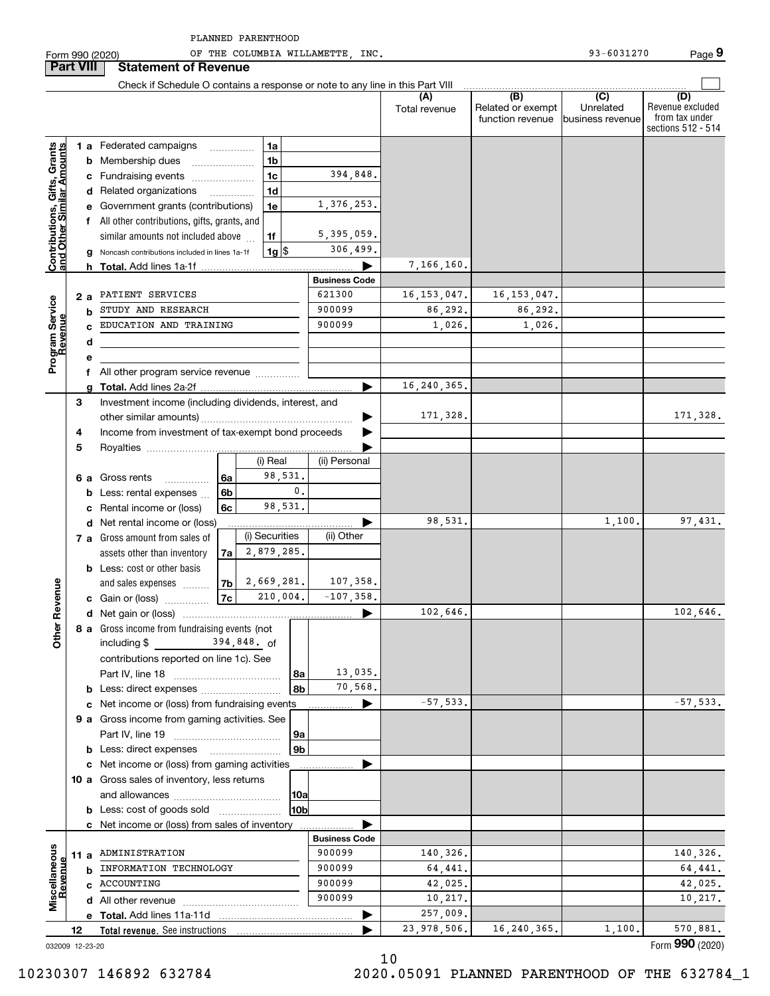|                                                                                         | <b>Part VIII</b> |                              | <b>Statement of Revenue</b>                                                                                                                                                                                                                                                                                                                                                                |                |                                                                                 |                      |                                                                                                          |                                                   |                                              |                                                 |                                                                 |
|-----------------------------------------------------------------------------------------|------------------|------------------------------|--------------------------------------------------------------------------------------------------------------------------------------------------------------------------------------------------------------------------------------------------------------------------------------------------------------------------------------------------------------------------------------------|----------------|---------------------------------------------------------------------------------|----------------------|----------------------------------------------------------------------------------------------------------|---------------------------------------------------|----------------------------------------------|-------------------------------------------------|-----------------------------------------------------------------|
|                                                                                         |                  |                              | Check if Schedule O contains a response or note to any line in this Part VIII                                                                                                                                                                                                                                                                                                              |                |                                                                                 |                      |                                                                                                          |                                                   |                                              |                                                 |                                                                 |
|                                                                                         |                  |                              |                                                                                                                                                                                                                                                                                                                                                                                            |                |                                                                                 |                      |                                                                                                          | (A)<br>Total revenue                              | (B)<br>Related or exempt<br>function revenue | $\overline{C}$<br>Unrelated<br>business revenue | (D)<br>Revenue excluded<br>from tax under<br>sections 512 - 514 |
| Contributions, Gifts, Grants<br>and Other Similar Amounts<br>Program Service<br>Revenue |                  | b<br>c<br>2 a<br>b<br>d<br>f | <b>1 a</b> Federated campaigns<br>Membership dues<br>Fundraising events<br>d Related organizations<br>e Government grants (contributions)<br>f All other contributions, gifts, grants, and<br>similar amounts not included above<br>Noncash contributions included in lines 1a-1f<br>PATIENT SERVICES<br>STUDY AND RESEARCH<br>EDUCATION AND TRAINING<br>All other program service revenue |                | 1a<br>1 <sub>b</sub><br>1 <sub>c</sub><br>1 <sub>d</sub><br>1e<br>1f<br>$1g$ \$ |                      | 394,848.<br>1,376,253.<br>5, 395, 059.<br>306,499.<br><b>Business Code</b><br>621300<br>900099<br>900099 | 7,166,160.<br>16, 153, 047.<br>86, 292.<br>1,026. | 16, 153, 047.<br>86,292.<br>1,026.           |                                                 |                                                                 |
|                                                                                         | 3                |                              |                                                                                                                                                                                                                                                                                                                                                                                            |                |                                                                                 |                      | 16,240,365.                                                                                              |                                                   |                                              |                                                 |                                                                 |
|                                                                                         | 4<br>5           |                              | Investment income (including dividends, interest, and<br>Income from investment of tax-exempt bond proceeds                                                                                                                                                                                                                                                                                |                |                                                                                 |                      |                                                                                                          | 171,328.                                          |                                              |                                                 | 171,328.                                                        |
|                                                                                         |                  | 6а<br>b<br>c                 | Gross rents<br>.<br>Less: rental expenses<br>Rental income or (loss)                                                                                                                                                                                                                                                                                                                       | 6a<br>6b<br>6c | (i) Real<br>98,531.<br>98,531.                                                  | 0.                   | (ii) Personal                                                                                            |                                                   |                                              |                                                 |                                                                 |
|                                                                                         |                  | d                            | Net rental income or (loss)<br>7 a Gross amount from sales of<br>assets other than inventory<br><b>b</b> Less: cost or other basis                                                                                                                                                                                                                                                         | 7a l           | (i) Securities<br>2,879,285.                                                    |                      | (ii) Other                                                                                               | 98,531.                                           |                                              | 1,100.                                          | 97,431.                                                         |
| Revenue                                                                                 |                  |                              | and sales expenses<br>c Gain or (loss)                                                                                                                                                                                                                                                                                                                                                     | 7c             | $ 7b $ 2,669,281.<br>210,004.                                                   |                      | 107,358.<br>$-107,358.$                                                                                  | 102,646.                                          |                                              |                                                 | 102,646.                                                        |
| <b>Othe</b>                                                                             |                  |                              | 8 a Gross income from fundraising events (not<br>$394,848$ . of<br>including $$$<br>contributions reported on line 1c). See<br><b>b</b> Less: direct expenses <i>manually contained</i>                                                                                                                                                                                                    |                |                                                                                 | 8a<br>8b             | 13,035.<br>70,568.                                                                                       |                                                   |                                              |                                                 |                                                                 |
|                                                                                         |                  |                              | c Net income or (loss) from fundraising events<br>9 a Gross income from gaming activities. See                                                                                                                                                                                                                                                                                             |                |                                                                                 | 9a<br>9 <sub>b</sub> |                                                                                                          | $-57,533.$                                        |                                              |                                                 | $-57, 533.$                                                     |
|                                                                                         |                  |                              | <b>b</b> Less: direct expenses<br>c Net income or (loss) from gaming activities<br>10 a Gross sales of inventory, less returns<br><b>b</b> Less: cost of goods sold                                                                                                                                                                                                                        |                |                                                                                 | 10a<br>10bl          |                                                                                                          |                                                   |                                              |                                                 |                                                                 |
|                                                                                         |                  |                              | c Net income or (loss) from sales of inventory                                                                                                                                                                                                                                                                                                                                             |                |                                                                                 |                      | <b>Business Code</b>                                                                                     |                                                   |                                              |                                                 |                                                                 |
| Miscellaneous<br>Revenue                                                                |                  | b                            | 11 a ADMINISTRATION<br>INFORMATION TECHNOLOGY<br>c ACCOUNTING                                                                                                                                                                                                                                                                                                                              |                |                                                                                 |                      | 900099<br>900099<br>900099<br>900099                                                                     | 140,326.<br>64,441.<br>42,025.<br>10,217.         |                                              |                                                 | 140,326.<br>64,441.<br>42,025.<br>10,217.                       |
|                                                                                         | 12               |                              |                                                                                                                                                                                                                                                                                                                                                                                            |                |                                                                                 |                      |                                                                                                          | 257,009.<br>23, 978, 506.                         | 16, 240, 365.                                | 1,100.                                          | 570,881.                                                        |

Form 990 (2020) Page

PLANNED PARENTHOOD

OF THE COLUMBIA WILLAMETTE, INC. 93-6031270

032009 12-23-20

10 10230307 146892 632784 2020.05091 PLANNED PARENTHOOD OF THE 632784\_1

Form (2020) **990**

**9**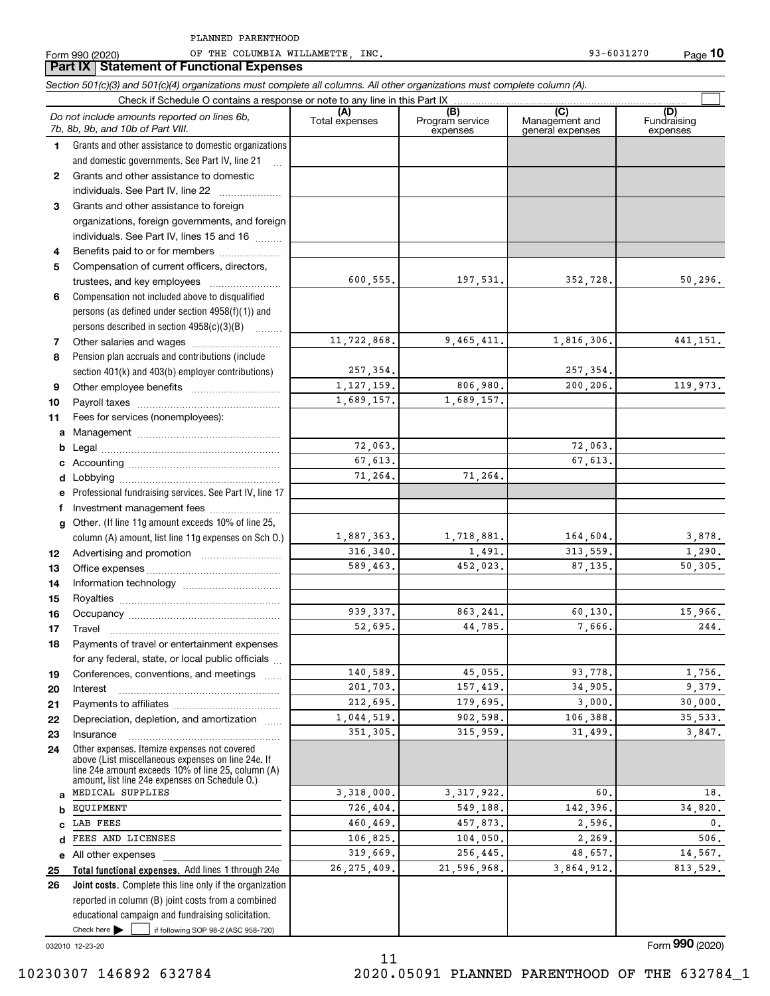Form 990 (2020) Page OF THE COLUMBIA WILLAMETTE, INC. 93-6031270

|          | <b>Part IX   Statement of Functional Expenses</b>                                                                                                        |                       |                                    |                                           |                                |
|----------|----------------------------------------------------------------------------------------------------------------------------------------------------------|-----------------------|------------------------------------|-------------------------------------------|--------------------------------|
|          | Section 501(c)(3) and 501(c)(4) organizations must complete all columns. All other organizations must complete column (A).                               |                       |                                    |                                           |                                |
|          | Check if Schedule O contains a response or note to any line in this Part IX                                                                              |                       |                                    |                                           |                                |
|          | Do not include amounts reported on lines 6b,<br>7b, 8b, 9b, and 10b of Part VIII.                                                                        | (A)<br>Total expenses | (B)<br>Program service<br>expenses | (C)<br>Management and<br>general expenses | (D)<br>Fundraising<br>expenses |
| 1.       | Grants and other assistance to domestic organizations                                                                                                    |                       |                                    |                                           |                                |
|          | and domestic governments. See Part IV, line 21<br>$\ddotsc$                                                                                              |                       |                                    |                                           |                                |
| 2        | Grants and other assistance to domestic                                                                                                                  |                       |                                    |                                           |                                |
|          | individuals. See Part IV, line 22                                                                                                                        |                       |                                    |                                           |                                |
| 3        | Grants and other assistance to foreign                                                                                                                   |                       |                                    |                                           |                                |
|          | organizations, foreign governments, and foreign                                                                                                          |                       |                                    |                                           |                                |
|          | individuals. See Part IV, lines 15 and 16                                                                                                                |                       |                                    |                                           |                                |
| 4        | Benefits paid to or for members                                                                                                                          |                       |                                    |                                           |                                |
| 5        | Compensation of current officers, directors,                                                                                                             |                       |                                    |                                           |                                |
|          | trustees, and key employees                                                                                                                              | 600,555.              | 197,531.                           | 352,728.                                  | 50, 296.                       |
| 6        | Compensation not included above to disqualified                                                                                                          |                       |                                    |                                           |                                |
|          | persons (as defined under section $4958(f)(1)$ ) and                                                                                                     |                       |                                    |                                           |                                |
|          | persons described in section $4958(c)(3)(B)$                                                                                                             |                       |                                    |                                           |                                |
| 7        |                                                                                                                                                          | 11,722,868.           | 9,465,411.                         | 1,816,306.                                | 441, 151.                      |
| 8        | Pension plan accruals and contributions (include                                                                                                         |                       |                                    |                                           |                                |
|          | section 401(k) and 403(b) employer contributions)                                                                                                        | 257,354.              |                                    | 257, 354.                                 |                                |
| 9        |                                                                                                                                                          | 1, 127, 159.          | 806,980.                           | 200,206.                                  | 119,973.                       |
| 10       |                                                                                                                                                          | 1,689,157.            | 1,689,157.                         |                                           |                                |
| 11       | Fees for services (nonemployees):                                                                                                                        |                       |                                    |                                           |                                |
| a        |                                                                                                                                                          |                       |                                    |                                           |                                |
| b        |                                                                                                                                                          | 72,063.               |                                    | 72,063.                                   |                                |
| c        |                                                                                                                                                          | 67,613.               |                                    | 67,613.                                   |                                |
| d        |                                                                                                                                                          | 71,264.               | 71,264.                            |                                           |                                |
| е        | Professional fundraising services. See Part IV, line 17                                                                                                  |                       |                                    |                                           |                                |
| f        | Investment management fees                                                                                                                               |                       |                                    |                                           |                                |
| q        | Other. (If line 11g amount exceeds 10% of line 25,                                                                                                       | 1,887,363.            | 1,718,881.                         | 164,604.                                  | 3,878.                         |
|          | column (A) amount, list line 11g expenses on Sch O.)                                                                                                     | 316,340.              | 1,491.                             | 313,559.                                  | 1,290.                         |
| 12       |                                                                                                                                                          | 589,463.              | 452,023.                           | 87,135.                                   | 50, 305.                       |
| 13       |                                                                                                                                                          |                       |                                    |                                           |                                |
| 14       |                                                                                                                                                          |                       |                                    |                                           |                                |
| 15<br>16 |                                                                                                                                                          | 939, 337.             | 863.241.                           | 60,130.                                   | 15,966.                        |
|          |                                                                                                                                                          | 52,695.               | 44,785.                            | 7,666.                                    | 244.                           |
| 17<br>18 | <b>I</b> ravel<br>Payments of travel or entertainment expenses                                                                                           |                       |                                    |                                           |                                |
|          | for any federal, state, or local public officials                                                                                                        |                       |                                    |                                           |                                |
| 19       | Conferences, conventions, and meetings                                                                                                                   | 140,589.              | 45,055.                            | 93,778.                                   | 1,756.                         |
| 20       | Interest                                                                                                                                                 | 201.703.              | 157,419.                           | 34,905.                                   | 9.379.                         |
| 21       |                                                                                                                                                          | 212,695.              | 179,695.                           | 3,000.                                    | 30,000.                        |
| 22       | Depreciation, depletion, and amortization                                                                                                                | 1,044,519.            | 902,598.                           | 106,388.                                  | 35,533.                        |
| 23       | Insurance                                                                                                                                                | 351,305.              | 315,959.                           | 31,499.                                   | 3,847.                         |
| 24       | Other expenses. Itemize expenses not covered<br>above (List miscellaneous expenses on line 24e. If<br>line 24e amount exceeds 10% of line 25, column (A) |                       |                                    |                                           |                                |
|          | amount, list line 24e expenses on Schedule O.)<br>MEDICAL SUPPLIES                                                                                       | 3,318,000.            | 3, 317, 922.                       | 60.                                       | 18.                            |
| a<br>b   | EQUIPMENT                                                                                                                                                | 726,404.              | 549,188.                           | 142,396.                                  | 34,820.                        |
| C        | LAB FEES                                                                                                                                                 | 460,469.              | 457,873.                           | 2,596.                                    | $\mathfrak o$ .                |
| d        | FEES AND LICENSES                                                                                                                                        | 106,825.              | 104,050.                           | 2,269.                                    | 506.                           |
| е        | All other expenses                                                                                                                                       | 319,669.              | 256,445.                           | 48,657.                                   | 14,567.                        |
| 25       | Total functional expenses. Add lines 1 through 24e                                                                                                       | 26, 275, 409.         | 21,596,968.                        | 3,864,912.                                | 813,529.                       |
| 26       | Joint costs. Complete this line only if the organization                                                                                                 |                       |                                    |                                           |                                |
|          | reported in column (B) joint costs from a combined                                                                                                       |                       |                                    |                                           |                                |
|          | educational campaign and fundraising solicitation.                                                                                                       |                       |                                    |                                           |                                |

032010 12-23-20

Form (2020) **990**

**10**

Check here  $\blacktriangleright$ 

Check here  $\begin{array}{|c|c|c|c|c|}\hline \text{ } & \text{ if following SOP 98-2 (ASC 958-720)} \hline \end{array}$ 

11 10230307 146892 632784 2020.05091 PLANNED PARENTHOOD OF THE 632784\_1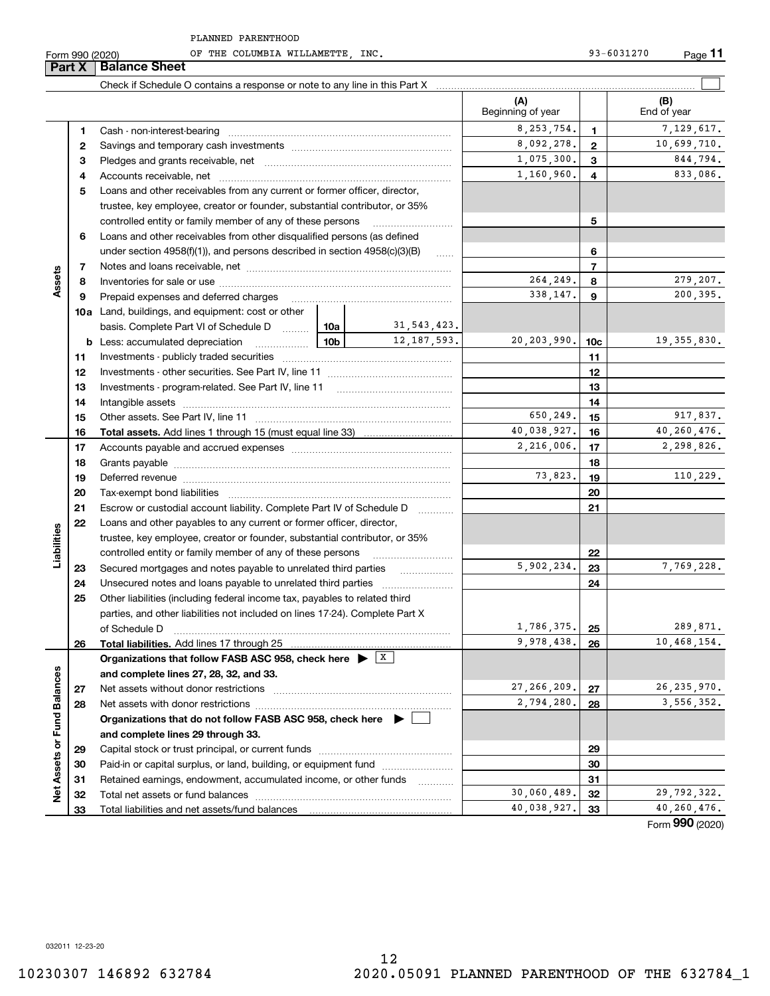73,823. 110,229.

|             |                           | PLANNED PARENTHOOD                                                            |              |                |                          |                 |                              |
|-------------|---------------------------|-------------------------------------------------------------------------------|--------------|----------------|--------------------------|-----------------|------------------------------|
|             | Form 990 (2020)<br>Part X | OF THE COLUMBIA WILLAMETTE, INC.<br><b>Balance Sheet</b>                      |              |                |                          |                 | 93-6031270<br><u>Page</u> 11 |
|             |                           | Check if Schedule O contains a response or note to any line in this Part X    |              |                |                          |                 |                              |
|             |                           |                                                                               |              |                | (A)<br>Beginning of year |                 | (B)<br>End of year           |
|             | 1                         |                                                                               | 8, 253, 754. | $\mathbf 1$    | 7,129,617.               |                 |                              |
|             | $\mathbf{2}$              |                                                                               |              |                | 8,092,278.               | $\overline{2}$  | 10,699,710.                  |
|             | 3                         |                                                                               |              |                | 1,075,300.               | 3               | 844,794.                     |
|             | 4                         |                                                                               |              |                | 1,160,960.               | 4               | 833,086.                     |
|             | 5                         | Loans and other receivables from any current or former officer, director,     |              |                |                          |                 |                              |
|             |                           | trustee, key employee, creator or founder, substantial contributor, or 35%    |              |                |                          |                 |                              |
|             |                           | controlled entity or family member of any of these persons                    |              |                |                          | 5               |                              |
|             | 6                         | Loans and other receivables from other disqualified persons (as defined       |              |                |                          |                 |                              |
|             |                           | under section $4958(f)(1)$ , and persons described in section $4958(c)(3)(B)$ |              | 6              |                          |                 |                              |
|             | 7                         |                                                                               |              | $\overline{7}$ |                          |                 |                              |
| Assets      | 8                         |                                                                               | 264,249.     | 8              | 279,207.                 |                 |                              |
|             | 9                         | Prepaid expenses and deferred charges                                         | 338,147.     | 9              | 200,395.                 |                 |                              |
|             |                           | <b>10a</b> Land, buildings, and equipment: cost or other                      |              |                |                          |                 |                              |
|             |                           | basis. Complete Part VI of Schedule D                                         | 10a          | 31, 543, 423.  |                          |                 |                              |
|             |                           | <b>b</b> Less: accumulated depreciation<br>. 1                                | 10b l        | 12, 187, 593.  | 20, 203, 990.            | 10 <sub>c</sub> | 19,355,830.                  |
|             | 11                        |                                                                               |              |                |                          | 11              |                              |
|             | 12                        |                                                                               |              |                |                          | 12              |                              |
|             | 13                        |                                                                               |              |                |                          | 13              |                              |
|             | 14                        |                                                                               |              |                |                          | 14              |                              |
|             | 15                        |                                                                               |              |                | 650,249.                 | 15              | 917,837.                     |
|             | 16                        | <b>Total assets.</b> Add lines 1 through 15 (must equal line 33) <i></i>      |              |                | 40,038,927.              | 16              | 40,260,476.                  |
|             | 17                        |                                                                               |              |                | 2,216,006.               | 17              | 2,298,826.                   |
|             | 18                        |                                                                               |              |                |                          | 18              |                              |
|             | 19                        |                                                                               |              |                | 73,823.                  | 19              | 110,229.                     |
|             | 20                        |                                                                               |              |                |                          | 20              |                              |
|             | 21                        | Escrow or custodial account liability. Complete Part IV of Schedule D         |              |                |                          | 21              |                              |
|             | 22                        | Loans and other payables to any current or former officer, director,          |              |                |                          |                 |                              |
|             |                           | trustee, key employee, creator or founder, substantial contributor, or 35%    |              |                |                          |                 |                              |
| Liabilities |                           | controlled entity or family member of any of these persons                    |              |                |                          | 22              |                              |
|             | 23                        | Secured mortgages and notes payable to unrelated third parties                |              | $\cdots$       | 5,902,234.               | 23              | 7,769,228,                   |
|             | 24                        |                                                                               |              |                |                          | 24              |                              |
|             | 25                        | Other liabilities (including federal income tax, payables to related third    |              |                |                          |                 |                              |
|             |                           | parties, and other liabilities not included on lines 17-24). Complete Part X  |              |                |                          |                 |                              |
|             |                           | of Schedule D                                                                 | 1,786,375.   | 25             | 289.871.                 |                 |                              |

**Total liabilities.**  Add lines 17 through 25

Net assets with donor restrictions ~~~~~~~~~~~~~~~~~~~~~~

**Organizations that follow FASB ASC 958, check here** | X

**and complete lines 27, 28, 32, and 33.**

Net assets without donor restrictions

Total liabilities and net assets/fund balances

**and complete lines 29 through 33.**

**Organizations that do not follow FASB ASC 958, check here** | **2930313233**Capital stock or trust principal, or current funds ~~~~~~~~~~~~~~~Paid-in or capital surplus, or land, building, or equipment fund www.commun.com Retained earnings, endowment, accumulated income, or other funds ~~~~ Total net assets or fund balances ~~~~~~~~~~~~~~~~~~~~~~ 30,060,489. 29,792,322. 40,038,927. 33 40,260,476.

**26**

 $9,978,438.$  26 10,468,154.

27, 266, 209. | 27 | 26, 235, 970. 2,794,280. 28 3,556,352.

**2728**

Form (2020) **990**

032011 12-23-20

**26**

**2728**

**Net Assets or Fund Balances**

Net Assets or Fund Balances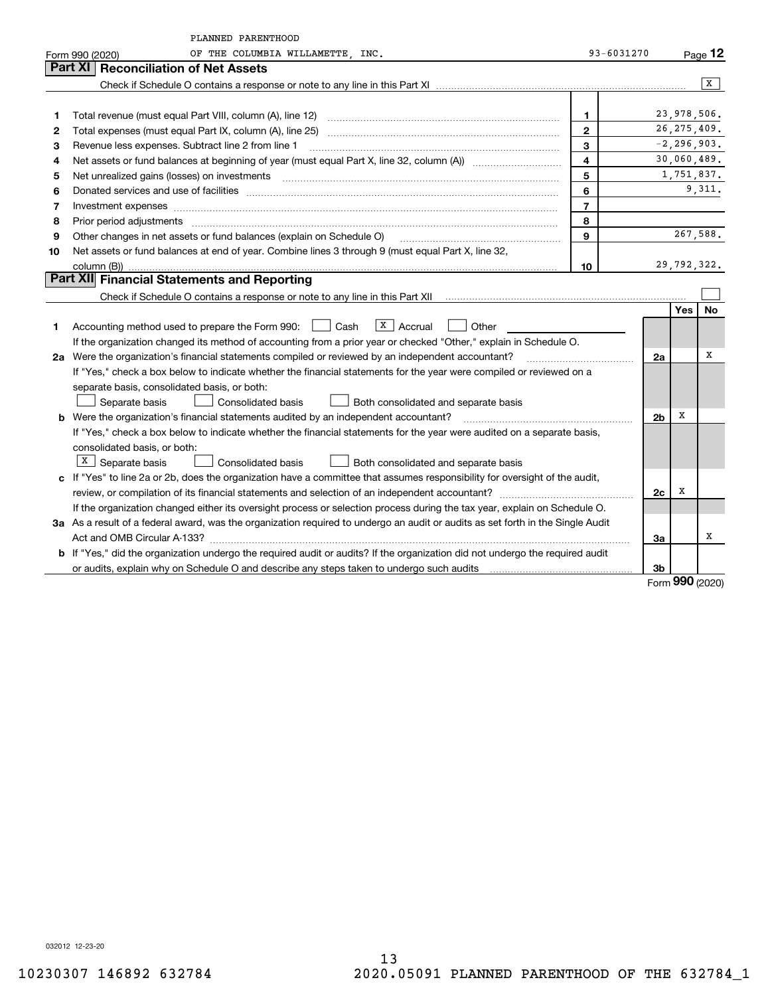|    | PLANNED PARENTHOOD                                                                                                                                                                                                             |                |                |                 |           |
|----|--------------------------------------------------------------------------------------------------------------------------------------------------------------------------------------------------------------------------------|----------------|----------------|-----------------|-----------|
|    | OF THE COLUMBIA WILLAMETTE, INC.<br>Form 990 (2020)                                                                                                                                                                            | 93-6031270     |                |                 | Page 12   |
|    | <b>Reconciliation of Net Assets</b><br>Part XI                                                                                                                                                                                 |                |                |                 |           |
|    |                                                                                                                                                                                                                                |                |                |                 | X         |
|    |                                                                                                                                                                                                                                |                |                |                 |           |
| 1  |                                                                                                                                                                                                                                | $\mathbf{1}$   |                | 23,978,506.     |           |
| 2  |                                                                                                                                                                                                                                | $\mathbf{2}$   |                | 26, 275, 409.   |           |
| 3  | Revenue less expenses. Subtract line 2 from line 1                                                                                                                                                                             | 3              |                | $-2, 296, 903.$ |           |
| 4  |                                                                                                                                                                                                                                | 4              |                | 30,060,489.     |           |
| 5  | Net unrealized gains (losses) on investments [11] matter contracts and the state of the state of the state of the state of the state of the state of the state of the state of the state of the state of the state of the stat | 5              |                | 1,751,837.      |           |
| 6  |                                                                                                                                                                                                                                | 6              |                |                 | 9,311.    |
| 7  | Investment expenses www.communication.communication.com/www.communication.com/www.communication.com                                                                                                                            | $\overline{7}$ |                |                 |           |
| 8  | Prior period adjustments                                                                                                                                                                                                       | 8              |                |                 |           |
| 9  | Other changes in net assets or fund balances (explain on Schedule O)                                                                                                                                                           | 9              |                |                 | 267,588.  |
| 10 | Net assets or fund balances at end of year. Combine lines 3 through 9 (must equal Part X, line 32,                                                                                                                             |                |                |                 |           |
|    | column (B))                                                                                                                                                                                                                    | 10             |                | 29,792,322.     |           |
|    | Part XII Financial Statements and Reporting                                                                                                                                                                                    |                |                |                 |           |
|    |                                                                                                                                                                                                                                |                |                |                 |           |
|    |                                                                                                                                                                                                                                |                |                | Yes             | <b>No</b> |
| 1. | X   Accrual<br>Accounting method used to prepare the Form 990: <u>[16</u> ] Cash<br>Other                                                                                                                                      |                |                |                 |           |
|    | If the organization changed its method of accounting from a prior year or checked "Other," explain in Schedule O.                                                                                                              |                |                |                 |           |
|    | 2a Were the organization's financial statements compiled or reviewed by an independent accountant?                                                                                                                             |                | 2a             |                 | х         |
|    | If "Yes," check a box below to indicate whether the financial statements for the year were compiled or reviewed on a                                                                                                           |                |                |                 |           |
|    | separate basis, consolidated basis, or both:                                                                                                                                                                                   |                |                |                 |           |
|    | Separate basis<br>Consolidated basis<br>Both consolidated and separate basis                                                                                                                                                   |                |                |                 |           |
|    | b Were the organization's financial statements audited by an independent accountant?                                                                                                                                           |                | 2 <sub>b</sub> | х               |           |
|    | If "Yes," check a box below to indicate whether the financial statements for the year were audited on a separate basis,                                                                                                        |                |                |                 |           |
|    | consolidated basis, or both:                                                                                                                                                                                                   |                |                |                 |           |
|    | $X$ Separate basis<br><b>Consolidated basis</b><br>Both consolidated and separate basis                                                                                                                                        |                |                |                 |           |
|    | c If "Yes" to line 2a or 2b, does the organization have a committee that assumes responsibility for oversight of the audit,                                                                                                    |                |                |                 |           |
|    |                                                                                                                                                                                                                                |                | 2c             | х               |           |
|    | If the organization changed either its oversight process or selection process during the tax year, explain on Schedule O.                                                                                                      |                |                |                 |           |
|    | 3a As a result of a federal award, was the organization required to undergo an audit or audits as set forth in the Single Audit                                                                                                |                |                |                 |           |
|    |                                                                                                                                                                                                                                |                | 3a             |                 | х         |
|    | b If "Yes," did the organization undergo the required audit or audits? If the organization did not undergo the required audit                                                                                                  |                |                |                 |           |
|    |                                                                                                                                                                                                                                |                | 3b             |                 |           |

Form (2020) **990**

032012 12-23-20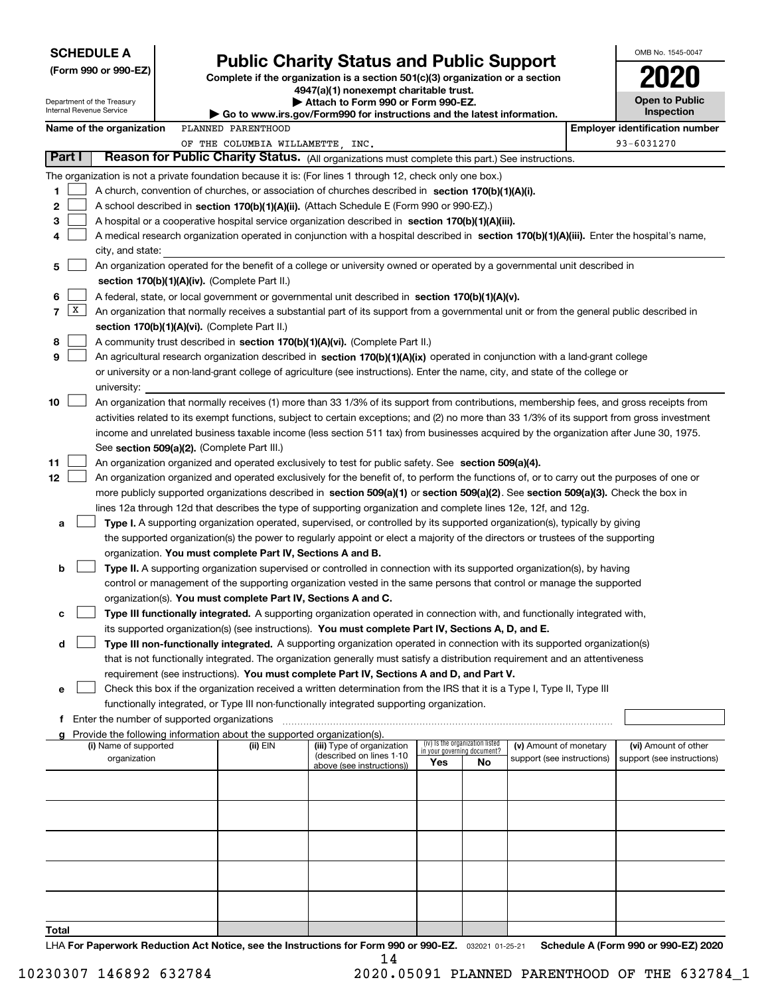|  | <b>SCHEDULE A</b> |  |  |
|--|-------------------|--|--|
|  |                   |  |  |

Department of the Treasury

| (Form 990 or 990-EZ) |  |  |  |  |
|----------------------|--|--|--|--|
|----------------------|--|--|--|--|

# **Public Charity Status and Public Support**

**Complete if the organization is a section 501(c)(3) organization or a section 4947(a)(1) nonexempt charitable trust.**

**| Attach to Form 990 or Form 990-EZ.** 

| OMB No 1545-0047                    |
|-------------------------------------|
| 2020                                |
| <b>Open to Public</b><br>Inspection |

|    |        | Internal Revenue Service                                                                                                  |  |                                                                        | Go to www.irs.gov/Form990 for instructions and the latest information.                                                                                                                                                                                         |     |                                                                |                            | Inspection                            |
|----|--------|---------------------------------------------------------------------------------------------------------------------------|--|------------------------------------------------------------------------|----------------------------------------------------------------------------------------------------------------------------------------------------------------------------------------------------------------------------------------------------------------|-----|----------------------------------------------------------------|----------------------------|---------------------------------------|
|    |        | Name of the organization                                                                                                  |  | PLANNED PARENTHOOD                                                     |                                                                                                                                                                                                                                                                |     |                                                                |                            | <b>Employer identification number</b> |
|    |        |                                                                                                                           |  | OF THE COLUMBIA WILLAMETTE, INC.                                       |                                                                                                                                                                                                                                                                |     |                                                                |                            | 93-6031270                            |
|    | Part I |                                                                                                                           |  |                                                                        | <b>Reason for Public Charity Status.</b> (All organizations must complete this part.) See instructions.                                                                                                                                                        |     |                                                                |                            |                                       |
|    |        |                                                                                                                           |  |                                                                        | The organization is not a private foundation because it is: (For lines 1 through 12, check only one box.)                                                                                                                                                      |     |                                                                |                            |                                       |
| 1. |        |                                                                                                                           |  |                                                                        | A church, convention of churches, or association of churches described in section 170(b)(1)(A)(i).                                                                                                                                                             |     |                                                                |                            |                                       |
| 2  |        |                                                                                                                           |  |                                                                        | A school described in section 170(b)(1)(A)(ii). (Attach Schedule E (Form 990 or 990-EZ).)                                                                                                                                                                      |     |                                                                |                            |                                       |
| з  |        |                                                                                                                           |  |                                                                        | A hospital or a cooperative hospital service organization described in section 170(b)(1)(A)(iii).                                                                                                                                                              |     |                                                                |                            |                                       |
| 4  |        |                                                                                                                           |  |                                                                        | A medical research organization operated in conjunction with a hospital described in section 170(b)(1)(A)(iii). Enter the hospital's name,                                                                                                                     |     |                                                                |                            |                                       |
|    |        | city, and state:                                                                                                          |  |                                                                        |                                                                                                                                                                                                                                                                |     |                                                                |                            |                                       |
| 5  |        | An organization operated for the benefit of a college or university owned or operated by a governmental unit described in |  |                                                                        |                                                                                                                                                                                                                                                                |     |                                                                |                            |                                       |
|    |        |                                                                                                                           |  | section 170(b)(1)(A)(iv). (Complete Part II.)                          |                                                                                                                                                                                                                                                                |     |                                                                |                            |                                       |
| 6  |        |                                                                                                                           |  |                                                                        | A federal, state, or local government or governmental unit described in section 170(b)(1)(A)(v).                                                                                                                                                               |     |                                                                |                            |                                       |
| 7  | X      |                                                                                                                           |  |                                                                        | An organization that normally receives a substantial part of its support from a governmental unit or from the general public described in                                                                                                                      |     |                                                                |                            |                                       |
|    |        |                                                                                                                           |  | section 170(b)(1)(A)(vi). (Complete Part II.)                          |                                                                                                                                                                                                                                                                |     |                                                                |                            |                                       |
| 8  |        |                                                                                                                           |  |                                                                        | A community trust described in section 170(b)(1)(A)(vi). (Complete Part II.)                                                                                                                                                                                   |     |                                                                |                            |                                       |
| 9  |        |                                                                                                                           |  |                                                                        | An agricultural research organization described in section 170(b)(1)(A)(ix) operated in conjunction with a land-grant college                                                                                                                                  |     |                                                                |                            |                                       |
|    |        |                                                                                                                           |  |                                                                        | or university or a non-land-grant college of agriculture (see instructions). Enter the name, city, and state of the college or                                                                                                                                 |     |                                                                |                            |                                       |
|    |        | university:                                                                                                               |  |                                                                        |                                                                                                                                                                                                                                                                |     |                                                                |                            |                                       |
| 10 |        |                                                                                                                           |  |                                                                        | An organization that normally receives (1) more than 33 1/3% of its support from contributions, membership fees, and gross receipts from                                                                                                                       |     |                                                                |                            |                                       |
|    |        |                                                                                                                           |  |                                                                        | activities related to its exempt functions, subject to certain exceptions; and (2) no more than 33 1/3% of its support from gross investment                                                                                                                   |     |                                                                |                            |                                       |
|    |        |                                                                                                                           |  |                                                                        | income and unrelated business taxable income (less section 511 tax) from businesses acquired by the organization after June 30, 1975.                                                                                                                          |     |                                                                |                            |                                       |
|    |        |                                                                                                                           |  | See section 509(a)(2). (Complete Part III.)                            |                                                                                                                                                                                                                                                                |     |                                                                |                            |                                       |
| 11 |        |                                                                                                                           |  |                                                                        | An organization organized and operated exclusively to test for public safety. See section 509(a)(4).                                                                                                                                                           |     |                                                                |                            |                                       |
| 12 |        |                                                                                                                           |  |                                                                        | An organization organized and operated exclusively for the benefit of, to perform the functions of, or to carry out the purposes of one or                                                                                                                     |     |                                                                |                            |                                       |
|    |        |                                                                                                                           |  |                                                                        | more publicly supported organizations described in section 509(a)(1) or section 509(a)(2). See section 509(a)(3). Check the box in                                                                                                                             |     |                                                                |                            |                                       |
|    |        |                                                                                                                           |  |                                                                        | lines 12a through 12d that describes the type of supporting organization and complete lines 12e, 12f, and 12g.                                                                                                                                                 |     |                                                                |                            |                                       |
| а  |        |                                                                                                                           |  |                                                                        | Type I. A supporting organization operated, supervised, or controlled by its supported organization(s), typically by giving<br>the supported organization(s) the power to regularly appoint or elect a majority of the directors or trustees of the supporting |     |                                                                |                            |                                       |
|    |        |                                                                                                                           |  | organization. You must complete Part IV, Sections A and B.             |                                                                                                                                                                                                                                                                |     |                                                                |                            |                                       |
| b  |        |                                                                                                                           |  |                                                                        | Type II. A supporting organization supervised or controlled in connection with its supported organization(s), by having                                                                                                                                        |     |                                                                |                            |                                       |
|    |        |                                                                                                                           |  |                                                                        | control or management of the supporting organization vested in the same persons that control or manage the supported                                                                                                                                           |     |                                                                |                            |                                       |
|    |        |                                                                                                                           |  | organization(s). You must complete Part IV, Sections A and C.          |                                                                                                                                                                                                                                                                |     |                                                                |                            |                                       |
|    |        |                                                                                                                           |  |                                                                        | Type III functionally integrated. A supporting organization operated in connection with, and functionally integrated with,                                                                                                                                     |     |                                                                |                            |                                       |
|    |        |                                                                                                                           |  |                                                                        | its supported organization(s) (see instructions). You must complete Part IV, Sections A, D, and E.                                                                                                                                                             |     |                                                                |                            |                                       |
| d  |        |                                                                                                                           |  |                                                                        | Type III non-functionally integrated. A supporting organization operated in connection with its supported organization(s)                                                                                                                                      |     |                                                                |                            |                                       |
|    |        |                                                                                                                           |  |                                                                        | that is not functionally integrated. The organization generally must satisfy a distribution requirement and an attentiveness                                                                                                                                   |     |                                                                |                            |                                       |
|    |        |                                                                                                                           |  |                                                                        | requirement (see instructions). You must complete Part IV, Sections A and D, and Part V.                                                                                                                                                                       |     |                                                                |                            |                                       |
| е  |        |                                                                                                                           |  |                                                                        | Check this box if the organization received a written determination from the IRS that it is a Type I, Type II, Type III                                                                                                                                        |     |                                                                |                            |                                       |
|    |        |                                                                                                                           |  |                                                                        | functionally integrated, or Type III non-functionally integrated supporting organization.                                                                                                                                                                      |     |                                                                |                            |                                       |
|    |        | <b>f</b> Enter the number of supported organizations                                                                      |  |                                                                        |                                                                                                                                                                                                                                                                |     |                                                                |                            |                                       |
|    |        |                                                                                                                           |  | Provide the following information about the supported organization(s). |                                                                                                                                                                                                                                                                |     |                                                                |                            |                                       |
|    |        | (i) Name of supported                                                                                                     |  | (ii) EIN                                                               | (iii) Type of organization<br>(described on lines 1-10                                                                                                                                                                                                         |     | (iv) Is the organization listed<br>in your governing document? | (v) Amount of monetary     | (vi) Amount of other                  |
|    |        | organization                                                                                                              |  |                                                                        | above (see instructions))                                                                                                                                                                                                                                      | Yes | <b>No</b>                                                      | support (see instructions) | support (see instructions)            |
|    |        |                                                                                                                           |  |                                                                        |                                                                                                                                                                                                                                                                |     |                                                                |                            |                                       |
|    |        |                                                                                                                           |  |                                                                        |                                                                                                                                                                                                                                                                |     |                                                                |                            |                                       |
|    |        |                                                                                                                           |  |                                                                        |                                                                                                                                                                                                                                                                |     |                                                                |                            |                                       |
|    |        |                                                                                                                           |  |                                                                        |                                                                                                                                                                                                                                                                |     |                                                                |                            |                                       |
|    |        |                                                                                                                           |  |                                                                        |                                                                                                                                                                                                                                                                |     |                                                                |                            |                                       |
|    |        |                                                                                                                           |  |                                                                        |                                                                                                                                                                                                                                                                |     |                                                                |                            |                                       |
|    |        |                                                                                                                           |  |                                                                        |                                                                                                                                                                                                                                                                |     |                                                                |                            |                                       |
|    |        |                                                                                                                           |  |                                                                        |                                                                                                                                                                                                                                                                |     |                                                                |                            |                                       |
|    |        |                                                                                                                           |  |                                                                        |                                                                                                                                                                                                                                                                |     |                                                                |                            |                                       |

**Total**

LHA For Paperwork Reduction Act Notice, see the Instructions for Form 990 or 990-EZ. <sub>032021</sub> o1-25-21 Schedule A (Form 990 or 990-EZ) 2020 14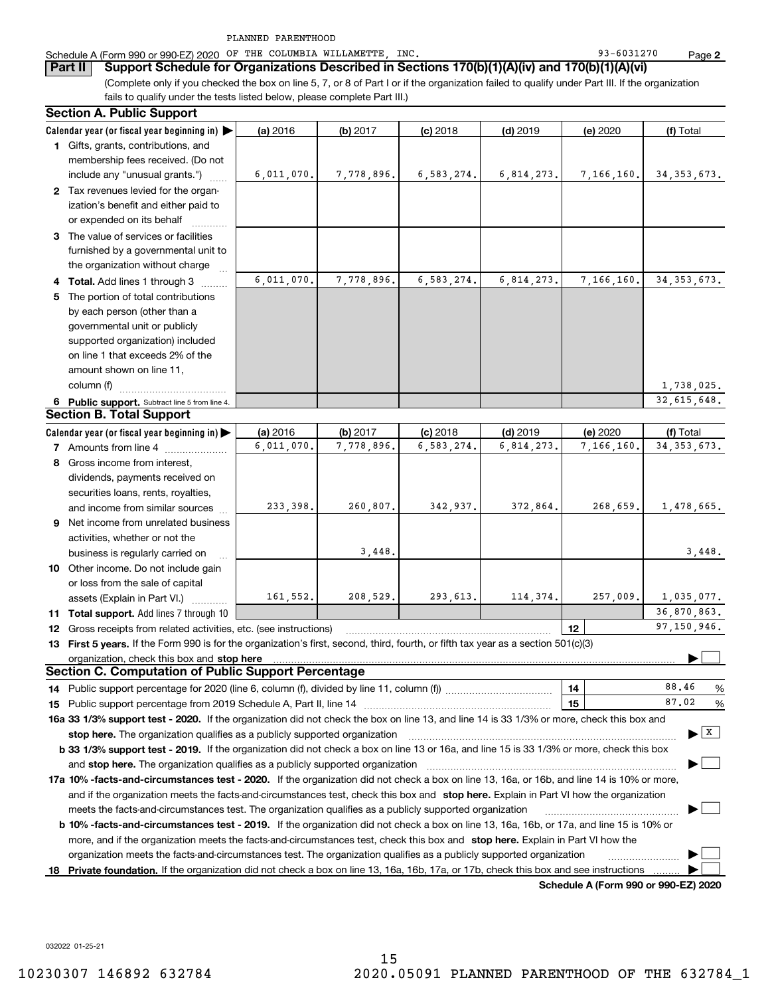| $-6031270$<br>ດຈ<br>Schedule A (Form 990 or 990-EZ) 2020 OF THE COLUMBIA WILLAMETTE,<br><b>INC</b> | Page |  |
|----------------------------------------------------------------------------------------------------|------|--|
|----------------------------------------------------------------------------------------------------|------|--|

(Complete only if you checked the box on line 5, 7, or 8 of Part I or if the organization failed to qualify under Part III. If the organization **Part II Support Schedule for Organizations Described in Sections 170(b)(1)(A)(iv) and 170(b)(1)(A)(vi)**

fails to qualify under the tests listed below, please complete Part III.)

| <b>Section A. Public Support</b>                                                                                                               |            |            |            |            |                                      |                                           |
|------------------------------------------------------------------------------------------------------------------------------------------------|------------|------------|------------|------------|--------------------------------------|-------------------------------------------|
| Calendar year (or fiscal year beginning in)                                                                                                    | (a) 2016   | (b) 2017   | $(c)$ 2018 | $(d)$ 2019 | (e) 2020                             | (f) Total                                 |
| 1 Gifts, grants, contributions, and                                                                                                            |            |            |            |            |                                      |                                           |
| membership fees received. (Do not                                                                                                              |            |            |            |            |                                      |                                           |
| include any "unusual grants.")                                                                                                                 | 6,011,070. | 7,778,896. | 6,583,274. | 6,814,273. | 7,166,160.                           | 34, 353, 673.                             |
| 2 Tax revenues levied for the organ-                                                                                                           |            |            |            |            |                                      |                                           |
| ization's benefit and either paid to                                                                                                           |            |            |            |            |                                      |                                           |
| or expended on its behalf                                                                                                                      |            |            |            |            |                                      |                                           |
| 3 The value of services or facilities                                                                                                          |            |            |            |            |                                      |                                           |
| furnished by a governmental unit to                                                                                                            |            |            |            |            |                                      |                                           |
| the organization without charge                                                                                                                |            |            |            |            |                                      |                                           |
| 4 Total. Add lines 1 through 3                                                                                                                 | 6,011,070. | 7,778,896. | 6,583,274. | 6,814,273. | 7,166,160.                           | 34, 353, 673.                             |
| 5 The portion of total contributions                                                                                                           |            |            |            |            |                                      |                                           |
| by each person (other than a                                                                                                                   |            |            |            |            |                                      |                                           |
| governmental unit or publicly                                                                                                                  |            |            |            |            |                                      |                                           |
| supported organization) included                                                                                                               |            |            |            |            |                                      |                                           |
| on line 1 that exceeds 2% of the                                                                                                               |            |            |            |            |                                      |                                           |
| amount shown on line 11,                                                                                                                       |            |            |            |            |                                      |                                           |
| column (f)                                                                                                                                     |            |            |            |            |                                      | 1,738,025.                                |
| 6 Public support. Subtract line 5 from line 4.                                                                                                 |            |            |            |            |                                      | 32,615,648.                               |
| <b>Section B. Total Support</b>                                                                                                                |            |            |            |            |                                      |                                           |
| Calendar year (or fiscal year beginning in)                                                                                                    | (a) 2016   | (b) 2017   | $(c)$ 2018 | $(d)$ 2019 | (e) 2020                             | (f) Total                                 |
| <b>7</b> Amounts from line 4                                                                                                                   | 6,011,070. | 7,778,896. | 6,583,274. | 6,814,273. | 7,166,160.                           | 34, 353, 673.                             |
| 8 Gross income from interest,                                                                                                                  |            |            |            |            |                                      |                                           |
| dividends, payments received on                                                                                                                |            |            |            |            |                                      |                                           |
| securities loans, rents, royalties,                                                                                                            |            |            |            |            |                                      |                                           |
| and income from similar sources                                                                                                                | 233,398.   | 260,807.   | 342,937.   | 372,864.   | 268,659.                             | 1,478,665.                                |
| 9 Net income from unrelated business                                                                                                           |            |            |            |            |                                      |                                           |
| activities, whether or not the                                                                                                                 |            |            |            |            |                                      |                                           |
| business is regularly carried on                                                                                                               |            | 3,448.     |            |            |                                      | 3,448.                                    |
| 10 Other income. Do not include gain                                                                                                           |            |            |            |            |                                      |                                           |
| or loss from the sale of capital                                                                                                               |            |            |            |            |                                      |                                           |
| assets (Explain in Part VI.)                                                                                                                   | 161,552.   | 208,529.   | 293,613.   | 114,374.   | 257,009.                             | 1,035,077.                                |
| 11 Total support. Add lines 7 through 10                                                                                                       |            |            |            |            |                                      | 36,870,863.                               |
| 12 Gross receipts from related activities, etc. (see instructions)                                                                             |            |            |            |            | 12                                   | 97,150,946.                               |
| 13 First 5 years. If the Form 990 is for the organization's first, second, third, fourth, or fifth tax year as a section 501(c)(3)             |            |            |            |            |                                      |                                           |
| organization, check this box and stop here                                                                                                     |            |            |            |            |                                      |                                           |
| <b>Section C. Computation of Public Support Percentage</b>                                                                                     |            |            |            |            |                                      |                                           |
| 14 Public support percentage for 2020 (line 6, column (f), divided by line 11, column (f) <i>mummumumum</i>                                    |            |            |            |            | 14                                   | 88.46<br>%                                |
|                                                                                                                                                |            |            |            |            | 15                                   | 87.02<br>%                                |
| 16a 33 1/3% support test - 2020. If the organization did not check the box on line 13, and line 14 is 33 1/3% or more, check this box and      |            |            |            |            |                                      |                                           |
| stop here. The organization qualifies as a publicly supported organization                                                                     |            |            |            |            |                                      | $\blacktriangleright$ $\lfloor x \rfloor$ |
| b 33 1/3% support test - 2019. If the organization did not check a box on line 13 or 16a, and line 15 is 33 1/3% or more, check this box       |            |            |            |            |                                      |                                           |
| and stop here. The organization qualifies as a publicly supported organization                                                                 |            |            |            |            |                                      |                                           |
| 17a 10% -facts-and-circumstances test - 2020. If the organization did not check a box on line 13, 16a, or 16b, and line 14 is 10% or more,     |            |            |            |            |                                      |                                           |
| and if the organization meets the facts-and-circumstances test, check this box and stop here. Explain in Part VI how the organization          |            |            |            |            |                                      |                                           |
| meets the facts-and-circumstances test. The organization qualifies as a publicly supported organization                                        |            |            |            |            |                                      |                                           |
| <b>b 10% -facts-and-circumstances test - 2019.</b> If the organization did not check a box on line 13, 16a, 16b, or 17a, and line 15 is 10% or |            |            |            |            |                                      |                                           |
| more, and if the organization meets the facts-and-circumstances test, check this box and stop here. Explain in Part VI how the                 |            |            |            |            |                                      |                                           |
| organization meets the facts-and-circumstances test. The organization qualifies as a publicly supported organization                           |            |            |            |            |                                      |                                           |
| 18 Private foundation. If the organization did not check a box on line 13, 16a, 16b, 17a, or 17b, check this box and see instructions          |            |            |            |            |                                      |                                           |
|                                                                                                                                                |            |            |            |            | Schedule A (Form 990 or 990-F7) 2020 |                                           |

**Schedule A (Form 990 or 990-EZ) 2020**

032022 01-25-21

**2**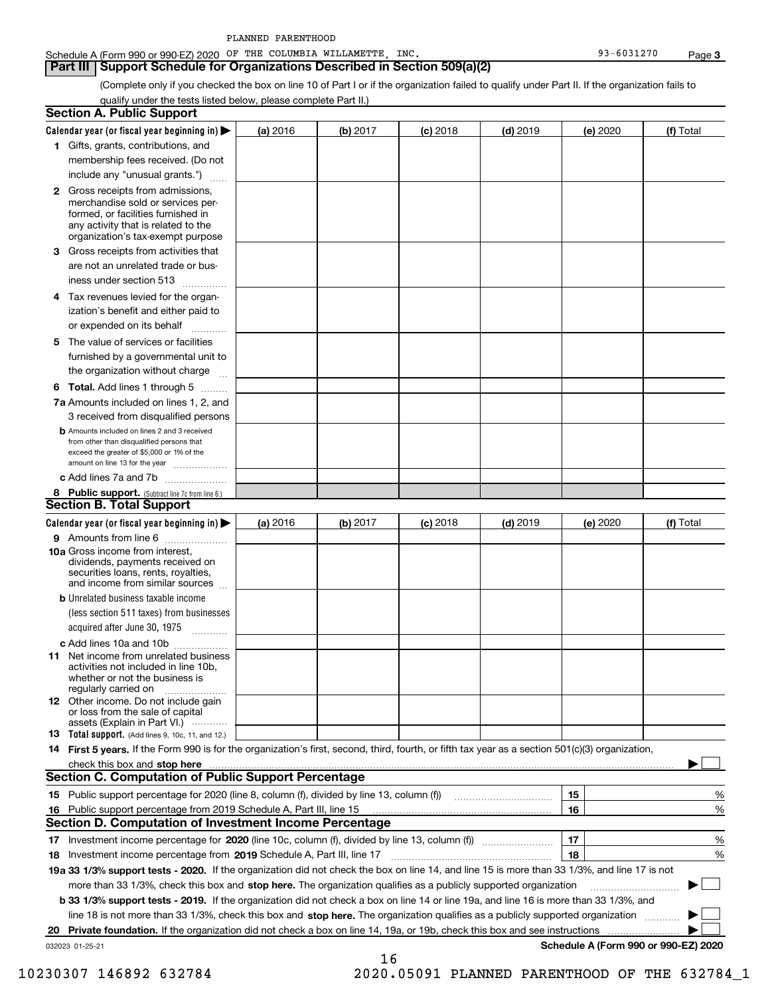| Schedule A (Form 990 or 990-EZ) 2020 OF |  | THE COLUMBIA WILLAMETTE ' | <b>INC</b> | <b>131270</b><br>ດຈ<br>$-00J$ |      |
|-----------------------------------------|--|---------------------------|------------|-------------------------------|------|
|                                         |  |                           |            |                               | Page |

**3**  $93 - 6031270$ 

(Complete only if you checked the box on line 10 of Part I or if the organization failed to qualify under Part II. If the organization fails to qualify under the tests listed below, please complete Part II.)

|     | <b>Section A. Public Support</b>                                                                                                                                                                                               |          |          |                 |            |          |                                      |
|-----|--------------------------------------------------------------------------------------------------------------------------------------------------------------------------------------------------------------------------------|----------|----------|-----------------|------------|----------|--------------------------------------|
|     | Calendar year (or fiscal year beginning in) $\blacktriangleright$                                                                                                                                                              | (a) 2016 | (b) 2017 | <b>(c)</b> 2018 | $(d)$ 2019 | (e) 2020 | (f) Total                            |
|     | 1 Gifts, grants, contributions, and                                                                                                                                                                                            |          |          |                 |            |          |                                      |
|     | membership fees received. (Do not                                                                                                                                                                                              |          |          |                 |            |          |                                      |
|     | include any "unusual grants.")                                                                                                                                                                                                 |          |          |                 |            |          |                                      |
|     | <b>2</b> Gross receipts from admissions,<br>merchandise sold or services per-<br>formed, or facilities furnished in<br>any activity that is related to the<br>organization's tax-exempt purpose                                |          |          |                 |            |          |                                      |
|     | 3 Gross receipts from activities that                                                                                                                                                                                          |          |          |                 |            |          |                                      |
|     | are not an unrelated trade or bus-                                                                                                                                                                                             |          |          |                 |            |          |                                      |
|     | iness under section 513                                                                                                                                                                                                        |          |          |                 |            |          |                                      |
|     | 4 Tax revenues levied for the organ-                                                                                                                                                                                           |          |          |                 |            |          |                                      |
|     | ization's benefit and either paid to<br>or expended on its behalf<br>.                                                                                                                                                         |          |          |                 |            |          |                                      |
|     | 5 The value of services or facilities                                                                                                                                                                                          |          |          |                 |            |          |                                      |
|     | furnished by a governmental unit to                                                                                                                                                                                            |          |          |                 |            |          |                                      |
|     | the organization without charge                                                                                                                                                                                                |          |          |                 |            |          |                                      |
|     | <b>6 Total.</b> Add lines 1 through 5 $\dots$                                                                                                                                                                                  |          |          |                 |            |          |                                      |
|     | 7a Amounts included on lines 1, 2, and<br>3 received from disqualified persons                                                                                                                                                 |          |          |                 |            |          |                                      |
|     | <b>b</b> Amounts included on lines 2 and 3 received<br>from other than disqualified persons that<br>exceed the greater of \$5,000 or 1% of the<br>amount on line 13 for the year                                               |          |          |                 |            |          |                                      |
|     | c Add lines 7a and 7b                                                                                                                                                                                                          |          |          |                 |            |          |                                      |
|     | 8 Public support. (Subtract line 7c from line 6.)<br><b>Section B. Total Support</b>                                                                                                                                           |          |          |                 |            |          |                                      |
|     | Calendar year (or fiscal year beginning in)                                                                                                                                                                                    | (a) 2016 | (b) 2017 | <b>(c)</b> 2018 | $(d)$ 2019 | (e) 2020 | (f) Total                            |
|     | 9 Amounts from line 6                                                                                                                                                                                                          |          |          |                 |            |          |                                      |
|     | 10a Gross income from interest,<br>dividends, payments received on<br>securities loans, rents, royalties,<br>and income from similar sources                                                                                   |          |          |                 |            |          |                                      |
|     | <b>b</b> Unrelated business taxable income                                                                                                                                                                                     |          |          |                 |            |          |                                      |
|     | (less section 511 taxes) from businesses<br>acquired after June 30, 1975 [10001]                                                                                                                                               |          |          |                 |            |          |                                      |
|     | c Add lines 10a and 10b                                                                                                                                                                                                        |          |          |                 |            |          |                                      |
|     | 11 Net income from unrelated business<br>activities not included in line 10b,<br>whether or not the business is<br>regularly carried on                                                                                        |          |          |                 |            |          |                                      |
|     | <b>12</b> Other income. Do not include gain<br>or loss from the sale of capital<br>assets (Explain in Part VI.)                                                                                                                |          |          |                 |            |          |                                      |
|     | 13 Total support. (Add lines 9, 10c, 11, and 12.)                                                                                                                                                                              |          |          |                 |            |          |                                      |
|     | 14 First 5 years. If the Form 990 is for the organization's first, second, third, fourth, or fifth tax year as a section 501(c)(3) organization,                                                                               |          |          |                 |            |          |                                      |
|     | check this box and stop here measurement content to the state of the state of the state of the state of the state of the state of the state of the state of the state of the state of the state of the state of the state of t |          |          |                 |            |          |                                      |
|     | <b>Section C. Computation of Public Support Percentage</b>                                                                                                                                                                     |          |          |                 |            |          |                                      |
|     |                                                                                                                                                                                                                                |          |          |                 |            | 15       | %                                    |
| 16. | Public support percentage from 2019 Schedule A, Part III, line 15                                                                                                                                                              |          |          |                 |            | 16       | %                                    |
|     | <b>Section D. Computation of Investment Income Percentage</b>                                                                                                                                                                  |          |          |                 |            |          |                                      |
|     | 17 Investment income percentage for 2020 (line 10c, column (f), divided by line 13, column (f))                                                                                                                                |          |          |                 |            | 17       | %                                    |
|     | 18 Investment income percentage from 2019 Schedule A, Part III, line 17                                                                                                                                                        |          |          |                 |            | 18       | %                                    |
|     | 19a 33 1/3% support tests - 2020. If the organization did not check the box on line 14, and line 15 is more than 33 1/3%, and line 17 is not                                                                                   |          |          |                 |            |          |                                      |
|     | more than 33 1/3%, check this box and stop here. The organization qualifies as a publicly supported organization                                                                                                               |          |          |                 |            |          | $\sim$ 1                             |
|     | b 33 1/3% support tests - 2019. If the organization did not check a box on line 14 or line 19a, and line 16 is more than 33 1/3%, and                                                                                          |          |          |                 |            |          |                                      |
|     | line 18 is not more than 33 1/3%, check this box and stop here. The organization qualifies as a publicly supported organization                                                                                                |          |          |                 |            |          |                                      |
| 20  | Private foundation. If the organization did not check a box on line 14, 19a, or 19b, check this box and see instructions                                                                                                       |          |          |                 |            |          |                                      |
|     | 032023 01-25-21                                                                                                                                                                                                                |          |          |                 |            |          | Schedule A (Form 990 or 990-EZ) 2020 |
|     |                                                                                                                                                                                                                                |          | 16       |                 |            |          |                                      |

10230307 146892 632784 2020.05091 PLANNED PARENTHOOD OF THE 632784\_1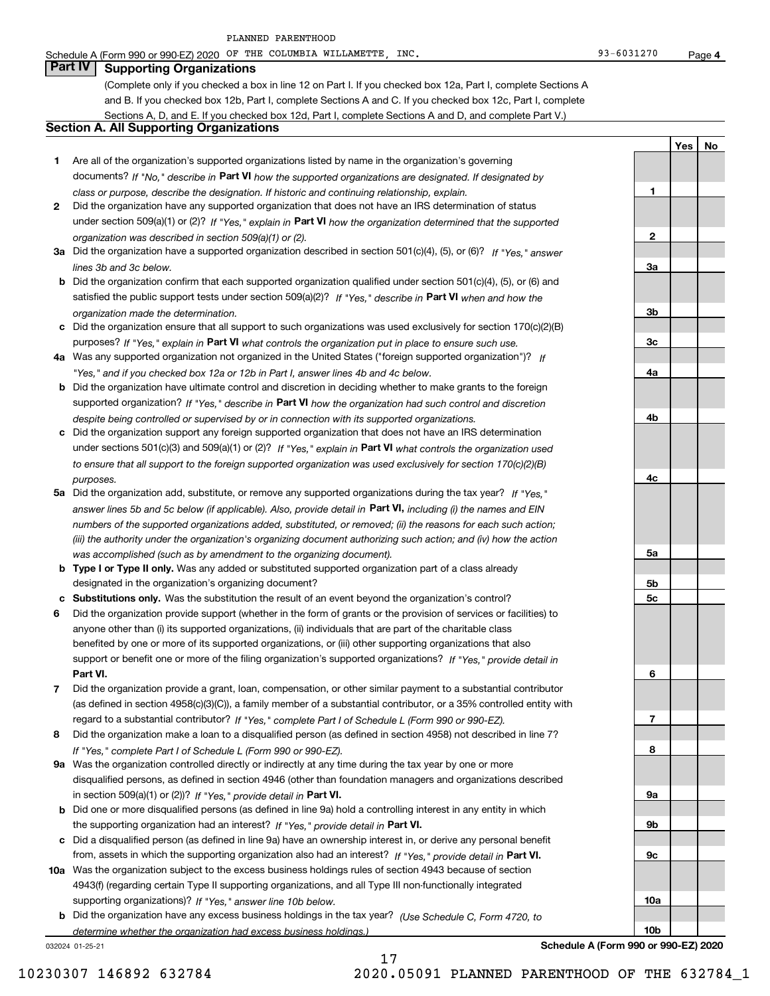### Schedule A (Form 990 or 990-EZ) 2020 Page OF THE COLUMBIA WILLAMETTE, INC. 93-6031270

**1**

**2**

**3a**

**3b**

**3c**

**YesNo**

# **Part IV Supporting Organizations**

(Complete only if you checked a box in line 12 on Part I. If you checked box 12a, Part I, complete Sections A and B. If you checked box 12b, Part I, complete Sections A and C. If you checked box 12c, Part I, complete Sections A, D, and E. If you checked box 12d, Part I, complete Sections A and D, and complete Part V.)

# **Section A. All Supporting Organizations**

- **1** Are all of the organization's supported organizations listed by name in the organization's governing documents? If "No," describe in **Part VI** how the supported organizations are designated. If designated by *class or purpose, describe the designation. If historic and continuing relationship, explain.*
- **2** Did the organization have any supported organization that does not have an IRS determination of status under section 509(a)(1) or (2)? If "Yes," explain in Part VI how the organization determined that the supported *organization was described in section 509(a)(1) or (2).*
- **3a** Did the organization have a supported organization described in section 501(c)(4), (5), or (6)? If "Yes," answer *lines 3b and 3c below.*
- **b** Did the organization confirm that each supported organization qualified under section 501(c)(4), (5), or (6) and satisfied the public support tests under section 509(a)(2)? If "Yes," describe in **Part VI** when and how the *organization made the determination.*
- **c**Did the organization ensure that all support to such organizations was used exclusively for section 170(c)(2)(B) purposes? If "Yes," explain in **Part VI** what controls the organization put in place to ensure such use.
- **4a***If* Was any supported organization not organized in the United States ("foreign supported organization")? *"Yes," and if you checked box 12a or 12b in Part I, answer lines 4b and 4c below.*
- **b** Did the organization have ultimate control and discretion in deciding whether to make grants to the foreign supported organization? If "Yes," describe in **Part VI** how the organization had such control and discretion *despite being controlled or supervised by or in connection with its supported organizations.*
- **c** Did the organization support any foreign supported organization that does not have an IRS determination under sections 501(c)(3) and 509(a)(1) or (2)? If "Yes," explain in **Part VI** what controls the organization used *to ensure that all support to the foreign supported organization was used exclusively for section 170(c)(2)(B) purposes.*
- **5a** Did the organization add, substitute, or remove any supported organizations during the tax year? If "Yes," answer lines 5b and 5c below (if applicable). Also, provide detail in **Part VI,** including (i) the names and EIN *numbers of the supported organizations added, substituted, or removed; (ii) the reasons for each such action; (iii) the authority under the organization's organizing document authorizing such action; and (iv) how the action was accomplished (such as by amendment to the organizing document).*
- **b** Type I or Type II only. Was any added or substituted supported organization part of a class already designated in the organization's organizing document?
- **cSubstitutions only.**  Was the substitution the result of an event beyond the organization's control?
- **6** Did the organization provide support (whether in the form of grants or the provision of services or facilities) to **Part VI.** *If "Yes," provide detail in* support or benefit one or more of the filing organization's supported organizations? anyone other than (i) its supported organizations, (ii) individuals that are part of the charitable class benefited by one or more of its supported organizations, or (iii) other supporting organizations that also
- **7**Did the organization provide a grant, loan, compensation, or other similar payment to a substantial contributor *If "Yes," complete Part I of Schedule L (Form 990 or 990-EZ).* regard to a substantial contributor? (as defined in section 4958(c)(3)(C)), a family member of a substantial contributor, or a 35% controlled entity with
- **8** Did the organization make a loan to a disqualified person (as defined in section 4958) not described in line 7? *If "Yes," complete Part I of Schedule L (Form 990 or 990-EZ).*
- **9a** Was the organization controlled directly or indirectly at any time during the tax year by one or more in section 509(a)(1) or (2))? If "Yes," *provide detail in* <code>Part VI.</code> disqualified persons, as defined in section 4946 (other than foundation managers and organizations described
- **b** Did one or more disqualified persons (as defined in line 9a) hold a controlling interest in any entity in which the supporting organization had an interest? If "Yes," provide detail in P**art VI**.
- **c**Did a disqualified person (as defined in line 9a) have an ownership interest in, or derive any personal benefit from, assets in which the supporting organization also had an interest? If "Yes," provide detail in P**art VI.**
- **10a** Was the organization subject to the excess business holdings rules of section 4943 because of section supporting organizations)? If "Yes," answer line 10b below. 4943(f) (regarding certain Type II supporting organizations, and all Type III non-functionally integrated
- **b** Did the organization have any excess business holdings in the tax year? (Use Schedule C, Form 4720, to *determine whether the organization had excess business holdings.)*

17

032024 01-25-21

**Schedule A (Form 990 or 990-EZ) 2020**

10230307 146892 632784 2020.05091 PLANNED PARENTHOOD OF THE 632784\_1

**4a4b4c5a 5b5c6789a 9b9c10a10b**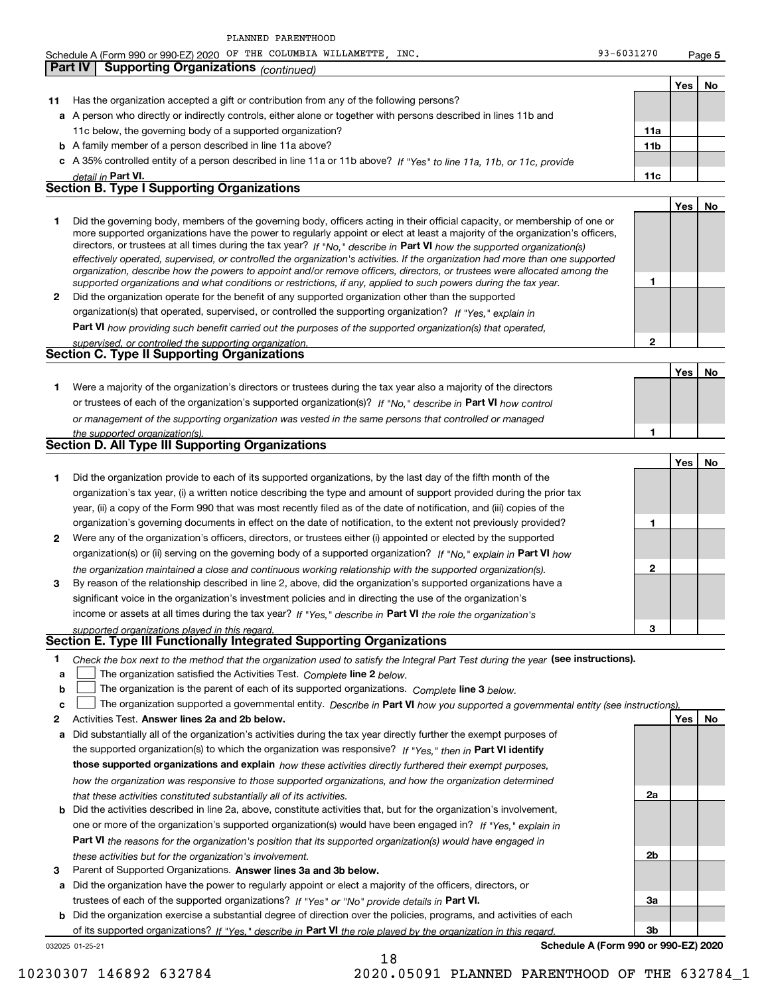Schedule A (Form 990 or 990-EZ) 2020 Page OF THE COLUMBIA WILLAMETTE, INC. 93-6031270

|        | Part IV<br><b>Supporting Organizations (continued)</b>                                                                                                                                                                  |                 |            |    |
|--------|-------------------------------------------------------------------------------------------------------------------------------------------------------------------------------------------------------------------------|-----------------|------------|----|
|        |                                                                                                                                                                                                                         |                 | <b>Yes</b> | No |
| 11     | Has the organization accepted a gift or contribution from any of the following persons?                                                                                                                                 |                 |            |    |
|        | a A person who directly or indirectly controls, either alone or together with persons described in lines 11b and                                                                                                        |                 |            |    |
|        | 11c below, the governing body of a supported organization?                                                                                                                                                              | 11a             |            |    |
|        | <b>b</b> A family member of a person described in line 11a above?                                                                                                                                                       | 11 <sub>b</sub> |            |    |
|        | c A 35% controlled entity of a person described in line 11a or 11b above? If "Yes" to line 11a, 11b, or 11c, provide                                                                                                    |                 |            |    |
|        | detail in Part VI.                                                                                                                                                                                                      | 11c             |            |    |
|        | <b>Section B. Type I Supporting Organizations</b>                                                                                                                                                                       |                 |            |    |
|        |                                                                                                                                                                                                                         |                 | Yes        | No |
| 1      | Did the governing body, members of the governing body, officers acting in their official capacity, or membership of one or                                                                                              |                 |            |    |
|        | more supported organizations have the power to regularly appoint or elect at least a majority of the organization's officers,                                                                                           |                 |            |    |
|        | directors, or trustees at all times during the tax year? If "No," describe in Part VI how the supported organization(s)                                                                                                 |                 |            |    |
|        | effectively operated, supervised, or controlled the organization's activities. If the organization had more than one supported                                                                                          |                 |            |    |
|        | organization, describe how the powers to appoint and/or remove officers, directors, or trustees were allocated among the                                                                                                | 1               |            |    |
| 2      | supported organizations and what conditions or restrictions, if any, applied to such powers during the tax year.<br>Did the organization operate for the benefit of any supported organization other than the supported |                 |            |    |
|        | organization(s) that operated, supervised, or controlled the supporting organization? If "Yes," explain in                                                                                                              |                 |            |    |
|        |                                                                                                                                                                                                                         |                 |            |    |
|        | <b>Part VI</b> how providing such benefit carried out the purposes of the supported organization(s) that operated,                                                                                                      | $\mathbf{2}$    |            |    |
|        | supervised, or controlled the supporting organization.<br><b>Section C. Type II Supporting Organizations</b>                                                                                                            |                 |            |    |
|        |                                                                                                                                                                                                                         |                 | Yes        | No |
| 1      | Were a majority of the organization's directors or trustees during the tax year also a majority of the directors                                                                                                        |                 |            |    |
|        | or trustees of each of the organization's supported organization(s)? If "No," describe in Part VI how control                                                                                                           |                 |            |    |
|        |                                                                                                                                                                                                                         |                 |            |    |
|        | or management of the supporting organization was vested in the same persons that controlled or managed                                                                                                                  | 1               |            |    |
|        | the supported organization(s).<br><b>Section D. All Type III Supporting Organizations</b>                                                                                                                               |                 |            |    |
|        |                                                                                                                                                                                                                         |                 | Yes        | No |
|        |                                                                                                                                                                                                                         |                 |            |    |
| 1      | Did the organization provide to each of its supported organizations, by the last day of the fifth month of the                                                                                                          |                 |            |    |
|        | organization's tax year, (i) a written notice describing the type and amount of support provided during the prior tax                                                                                                   |                 |            |    |
|        | year, (ii) a copy of the Form 990 that was most recently filed as of the date of notification, and (iii) copies of the                                                                                                  |                 |            |    |
|        | organization's governing documents in effect on the date of notification, to the extent not previously provided?                                                                                                        | 1               |            |    |
| 2      | Were any of the organization's officers, directors, or trustees either (i) appointed or elected by the supported                                                                                                        |                 |            |    |
|        | organization(s) or (ii) serving on the governing body of a supported organization? If "No," explain in Part VI how                                                                                                      |                 |            |    |
|        | the organization maintained a close and continuous working relationship with the supported organization(s).                                                                                                             | $\mathbf{2}$    |            |    |
| 3      | By reason of the relationship described in line 2, above, did the organization's supported organizations have a                                                                                                         |                 |            |    |
|        | significant voice in the organization's investment policies and in directing the use of the organization's                                                                                                              |                 |            |    |
|        | income or assets at all times during the tax year? If "Yes," describe in Part VI the role the organization's                                                                                                            |                 |            |    |
|        | supported organizations played in this regard.<br>Section E. Type III Functionally Integrated Supporting Organizations                                                                                                  | з               |            |    |
|        |                                                                                                                                                                                                                         |                 |            |    |
| 1      | Check the box next to the method that the organization used to satisfy the Integral Part Test during the year (see instructions).                                                                                       |                 |            |    |
| а      | The organization satisfied the Activities Test. Complete line 2 below.                                                                                                                                                  |                 |            |    |
| b      | The organization is the parent of each of its supported organizations. Complete line 3 below.                                                                                                                           |                 |            |    |
| c<br>2 | The organization supported a governmental entity. Describe in Part VI how you supported a governmental entity (see instructions).<br>Activities Test. Answer lines 2a and 2b below.                                     |                 | Yes        | No |
|        |                                                                                                                                                                                                                         |                 |            |    |
| а      | Did substantially all of the organization's activities during the tax year directly further the exempt purposes of                                                                                                      |                 |            |    |
|        | the supported organization(s) to which the organization was responsive? If "Yes," then in Part VI identify                                                                                                              |                 |            |    |
|        | those supported organizations and explain how these activities directly furthered their exempt purposes,                                                                                                                |                 |            |    |
|        | how the organization was responsive to those supported organizations, and how the organization determined                                                                                                               |                 |            |    |
|        | that these activities constituted substantially all of its activities.                                                                                                                                                  | 2a              |            |    |
| b      | Did the activities described in line 2a, above, constitute activities that, but for the organization's involvement,                                                                                                     |                 |            |    |
|        | one or more of the organization's supported organization(s) would have been engaged in? If "Yes," explain in                                                                                                            |                 |            |    |
|        | Part VI the reasons for the organization's position that its supported organization(s) would have engaged in                                                                                                            |                 |            |    |
|        | these activities but for the organization's involvement.                                                                                                                                                                | 2b              |            |    |
| з      | Parent of Supported Organizations. Answer lines 3a and 3b below.                                                                                                                                                        |                 |            |    |
| а      | Did the organization have the power to regularly appoint or elect a majority of the officers, directors, or                                                                                                             |                 |            |    |
|        | trustees of each of the supported organizations? If "Yes" or "No" provide details in Part VI.                                                                                                                           | За              |            |    |
|        | <b>b</b> Did the organization exercise a substantial degree of direction over the policies, programs, and activities of each                                                                                            | 3b              |            |    |
|        | of its supported organizations? If "Yes," describe in Part VI the role played by the organization in this regard.<br>Schedule A (Form 990 or 990-EZ) 2020                                                               |                 |            |    |
|        | 032025 01-25-21                                                                                                                                                                                                         |                 |            |    |

18

10230307 146892 632784 2020.05091 PLANNED PARENTHOOD OF THE 632784\_1

**5**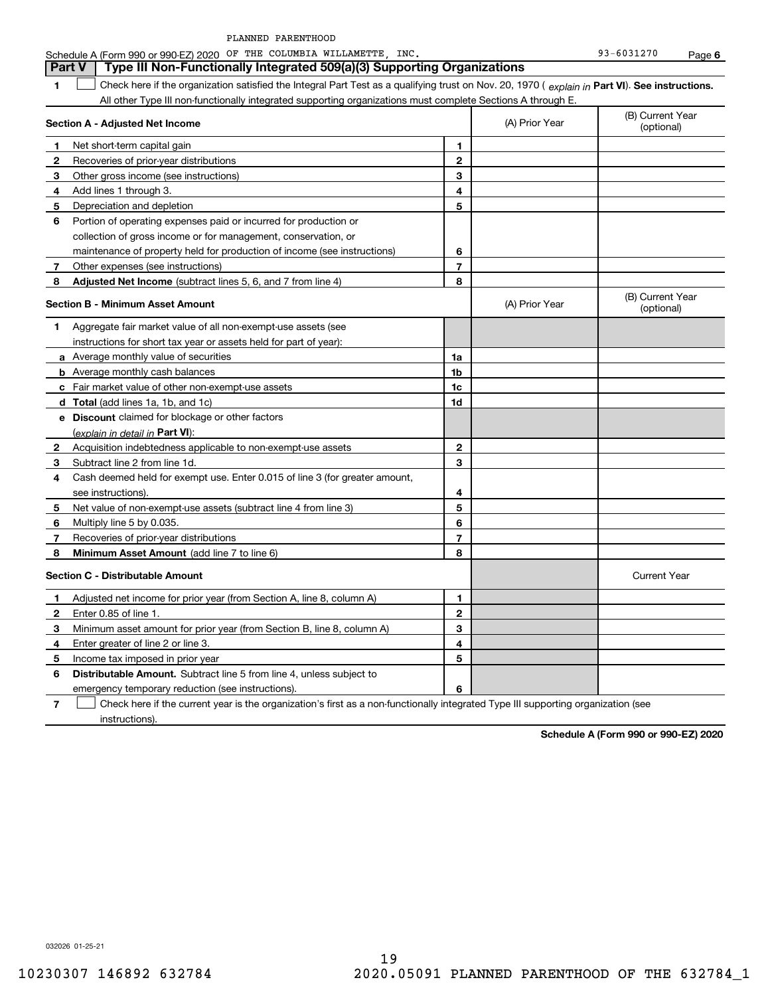**1Part VI** Check here if the organization satisfied the Integral Part Test as a qualifying trust on Nov. 20, 1970 ( *explain in* Part **VI**). See instructions. **Section A - Adjusted Net Income 12** Recoveries of prior-year distributions **3** Other gross income (see instructions) **4**Add lines 1 through 3. **56** Portion of operating expenses paid or incurred for production or **7** Other expenses (see instructions) **8** Adjusted Net Income (subtract lines 5, 6, and 7 from line 4) **8 8 1234567Section B - Minimum Asset Amount 1**Aggregate fair market value of all non-exempt-use assets (see **2**Acquisition indebtedness applicable to non-exempt-use assets **3** Subtract line 2 from line 1d. **4**Cash deemed held for exempt use. Enter 0.015 of line 3 (for greater amount, **5** Net value of non-exempt-use assets (subtract line 4 from line 3) **678a** Average monthly value of securities **b** Average monthly cash balances **c**Fair market value of other non-exempt-use assets **dTotal**  (add lines 1a, 1b, and 1c) **eDiscount** claimed for blockage or other factors **1a1b1c1d2345678**(explain in detail in Part VI): **Minimum Asset Amount**  (add line 7 to line 6) **Section C - Distributable Amount 1**Adjusted net income for prior year (from Section A, line 8, column A) **2**Enter 0.85 of line 1. **3**Minimum asset amount for prior year (from Section B, line 8, column A) **456** Distributable Amount. Subtract line 5 from line 4, unless subject to **123456**All other Type III non-functionally integrated supporting organizations must complete Sections A through E. (B) Current Year (optional)(A) Prior Year Net short-term capital gain Depreciation and depletion collection of gross income or for management, conservation, or maintenance of property held for production of income (see instructions) (B) Current Year (optional)(A) Prior Year instructions for short tax year or assets held for part of year): see instructions). Multiply line 5 by 0.035. Recoveries of prior-year distributions Current Year Enter greater of line 2 or line 3. Income tax imposed in prior year emergency temporary reduction (see instructions). **Part V Type III Non-Functionally Integrated 509(a)(3) Supporting Organizations**   $\mathcal{L}^{\text{max}}$ 

**7**Check here if the current year is the organization's first as a non-functionally integrated Type III supporting organization (see instructions). $\mathcal{L}^{\text{max}}$ 

**Schedule A (Form 990 or 990-EZ) 2020**

032026 01-25-21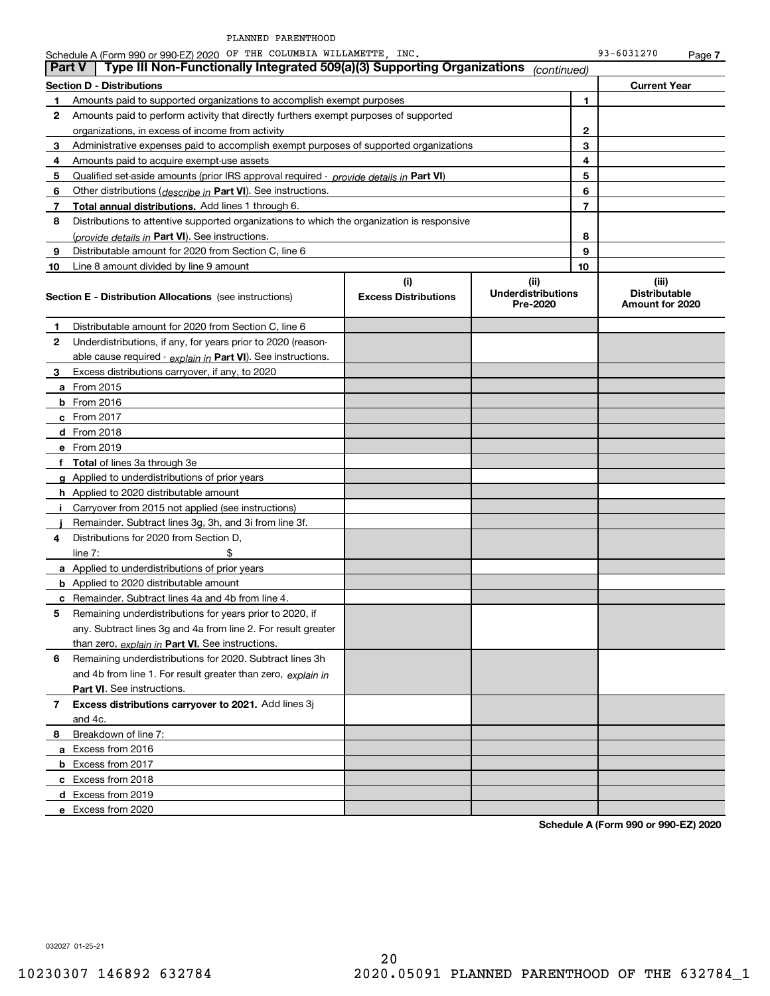| Part V | Type III Non-Functionally Integrated 509(a)(3) Supporting Organizations                    |                                    | (continued)                                   |                |                                                  |
|--------|--------------------------------------------------------------------------------------------|------------------------------------|-----------------------------------------------|----------------|--------------------------------------------------|
|        | <b>Section D - Distributions</b>                                                           |                                    |                                               |                | <b>Current Year</b>                              |
| 1      | Amounts paid to supported organizations to accomplish exempt purposes                      |                                    |                                               | 1              |                                                  |
| 2      | Amounts paid to perform activity that directly furthers exempt purposes of supported       |                                    |                                               |                |                                                  |
|        | organizations, in excess of income from activity                                           |                                    |                                               | 2              |                                                  |
| 3      | Administrative expenses paid to accomplish exempt purposes of supported organizations      |                                    |                                               | 3              |                                                  |
| 4      | Amounts paid to acquire exempt-use assets                                                  |                                    |                                               | 4              |                                                  |
| 5      | Qualified set aside amounts (prior IRS approval required - provide details in Part VI)     |                                    |                                               | 5              |                                                  |
| 6      | Other distributions ( <i>describe in</i> Part VI). See instructions.                       |                                    |                                               | 6              |                                                  |
| 7      | Total annual distributions. Add lines 1 through 6.                                         |                                    |                                               | $\overline{7}$ |                                                  |
| 8      | Distributions to attentive supported organizations to which the organization is responsive |                                    |                                               |                |                                                  |
|        | (provide details in Part VI). See instructions.                                            |                                    |                                               | 8              |                                                  |
| 9      | Distributable amount for 2020 from Section C, line 6                                       |                                    |                                               | 9              |                                                  |
| 10     | Line 8 amount divided by line 9 amount                                                     |                                    |                                               | 10             |                                                  |
|        | <b>Section E - Distribution Allocations</b> (see instructions)                             | (i)<br><b>Excess Distributions</b> | (ii)<br><b>Underdistributions</b><br>Pre-2020 |                | (iii)<br><b>Distributable</b><br>Amount for 2020 |
| 1      | Distributable amount for 2020 from Section C, line 6                                       |                                    |                                               |                |                                                  |
| 2      | Underdistributions, if any, for years prior to 2020 (reason-                               |                                    |                                               |                |                                                  |
|        | able cause required - explain in Part VI). See instructions.                               |                                    |                                               |                |                                                  |
| 3      | Excess distributions carryover, if any, to 2020                                            |                                    |                                               |                |                                                  |
|        | a From 2015                                                                                |                                    |                                               |                |                                                  |
|        | <b>b</b> From 2016                                                                         |                                    |                                               |                |                                                  |
|        | $c$ From 2017                                                                              |                                    |                                               |                |                                                  |
|        | d From 2018                                                                                |                                    |                                               |                |                                                  |
|        | e From 2019                                                                                |                                    |                                               |                |                                                  |
|        | f Total of lines 3a through 3e                                                             |                                    |                                               |                |                                                  |
|        | g Applied to underdistributions of prior years                                             |                                    |                                               |                |                                                  |
|        | <b>h</b> Applied to 2020 distributable amount                                              |                                    |                                               |                |                                                  |
|        | Carryover from 2015 not applied (see instructions)                                         |                                    |                                               |                |                                                  |
|        | Remainder. Subtract lines 3g, 3h, and 3i from line 3f.                                     |                                    |                                               |                |                                                  |
| 4      | Distributions for 2020 from Section D,                                                     |                                    |                                               |                |                                                  |
|        | line $7:$                                                                                  |                                    |                                               |                |                                                  |
|        | a Applied to underdistributions of prior years                                             |                                    |                                               |                |                                                  |
|        | <b>b</b> Applied to 2020 distributable amount                                              |                                    |                                               |                |                                                  |
|        | c Remainder. Subtract lines 4a and 4b from line 4.                                         |                                    |                                               |                |                                                  |
| 5.     | Remaining underdistributions for years prior to 2020, if                                   |                                    |                                               |                |                                                  |
|        | any. Subtract lines 3g and 4a from line 2. For result greater                              |                                    |                                               |                |                                                  |
|        | than zero, explain in Part VI. See instructions.                                           |                                    |                                               |                |                                                  |
| 6      | Remaining underdistributions for 2020. Subtract lines 3h                                   |                                    |                                               |                |                                                  |
|        | and 4b from line 1. For result greater than zero, explain in                               |                                    |                                               |                |                                                  |
|        | Part VI. See instructions.                                                                 |                                    |                                               |                |                                                  |
| 7      | Excess distributions carryover to 2021. Add lines 3j                                       |                                    |                                               |                |                                                  |
|        | and 4c.                                                                                    |                                    |                                               |                |                                                  |
| 8      | Breakdown of line 7:                                                                       |                                    |                                               |                |                                                  |
|        | a Excess from 2016                                                                         |                                    |                                               |                |                                                  |
|        | <b>b</b> Excess from 2017                                                                  |                                    |                                               |                |                                                  |
|        | c Excess from 2018                                                                         |                                    |                                               |                |                                                  |
|        | d Excess from 2019                                                                         |                                    |                                               |                |                                                  |
|        |                                                                                            |                                    |                                               |                |                                                  |

Schedule A (Form 990 or 990-EZ) 2020 Page OF THE COLUMBIA WILLAMETTE, INC. 93-6031270

**Schedule A (Form 990 or 990-EZ) 2020**

**7**

032027 01-25-21

**e**Excess from 2020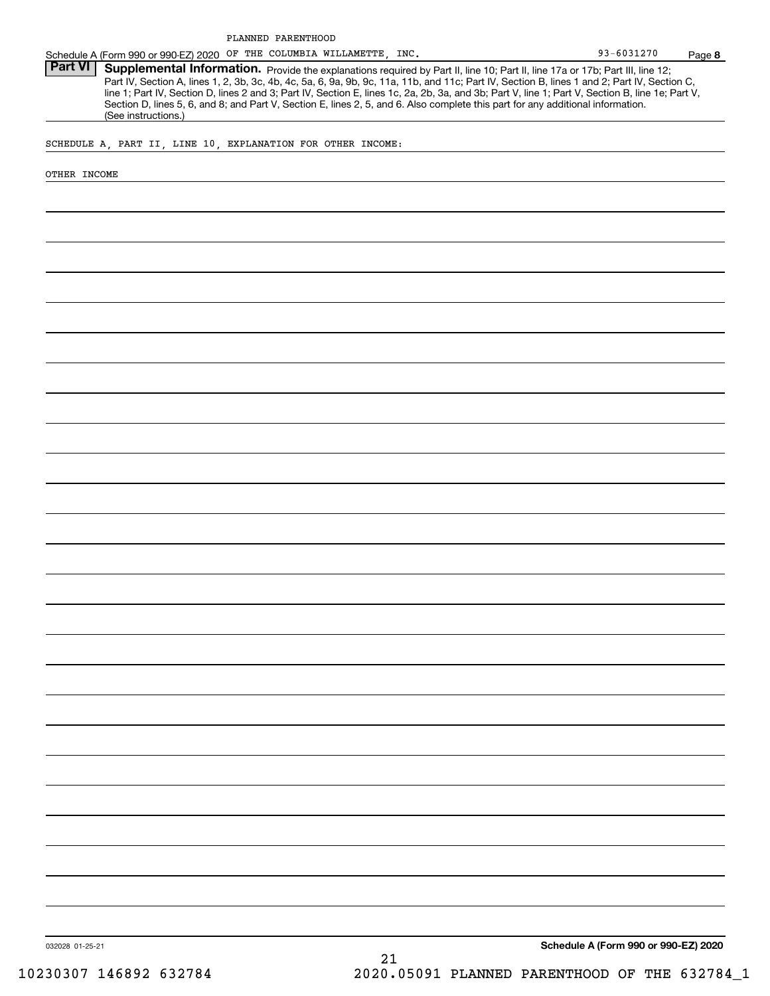Schedule A (Form 990 or 990-EZ) 2020 OF THE COLUMBIA WILLAMETTE,INC. 93-6031270 Page

Part VI | Supplemental Information. Provide the explanations required by Part II, line 10; Part II, line 17a or 17b; Part III, line 12; Part IV, Section A, lines 1, 2, 3b, 3c, 4b, 4c, 5a, 6, 9a, 9b, 9c, 11a, 11b, and 11c; Part IV, Section B, lines 1 and 2; Part IV, Section C, line 1; Part IV, Section D, lines 2 and 3; Part IV, Section E, lines 1c, 2a, 2b, 3a, and 3b; Part V, line 1; Part V, Section B, line 1e; Part V, Section D, lines 5, 6, and 8; and Part V, Section E, lines 2, 5, and 6. Also complete this part for any additional information. (See instructions.)

SCHEDULE A, PART II, LINE 10, EXPLANATION FOR OTHER INCOME:

OTHER INCOME

**Schedule A (Form 990 or 990-EZ) 2020**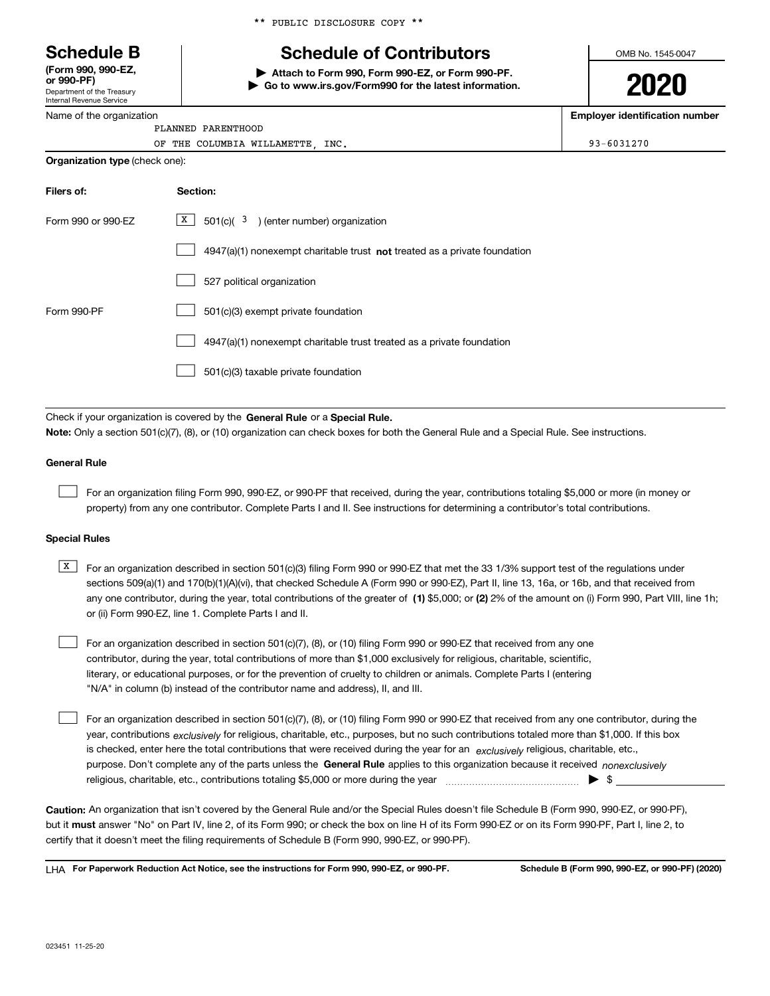Department of the Treasury Internal Revenue Service **(Form 990, 990-EZ, or 990-PF)**

Name of the organization

**Organization type** (check one):

\*\* PUBLIC DISCLOSURE COPY \*\*

# **Schedule B Schedule of Contributors**

**| Attach to Form 990, Form 990-EZ, or Form 990-PF. | Go to www.irs.gov/Form990 for the latest information.** OMB No. 1545-0047

**2020**

**Employer identification number**

| PARENTHOOD<br>דה<br><sup>9</sup> LANNEI                                                                             |         |
|---------------------------------------------------------------------------------------------------------------------|---------|
| INC.<br><b>TAT</b><br>ΟF<br>THE.<br><b>AMETTE</b><br><u>എന</u> .<br>.TTM'<br>$\cdot$ $\Delta$<br>. .<br>____<br>___ | $5 - h$ |
|                                                                                                                     |         |

| Filers of:         | Section:                                                                    |
|--------------------|-----------------------------------------------------------------------------|
| Form 990 or 990-EZ | X <br>$501(c)$ ( $3$ ) (enter number) organization                          |
|                    | $4947(a)(1)$ nonexempt charitable trust not treated as a private foundation |
|                    | 527 political organization                                                  |
| Form 990-PF        | 501(c)(3) exempt private foundation                                         |
|                    | 4947(a)(1) nonexempt charitable trust treated as a private foundation       |
|                    | 501(c)(3) taxable private foundation                                        |

Check if your organization is covered by the **General Rule** or a **Special Rule. Note:**  Only a section 501(c)(7), (8), or (10) organization can check boxes for both the General Rule and a Special Rule. See instructions.

### **General Rule**

 $\mathcal{L}^{\text{max}}$ 

For an organization filing Form 990, 990-EZ, or 990-PF that received, during the year, contributions totaling \$5,000 or more (in money or property) from any one contributor. Complete Parts I and II. See instructions for determining a contributor's total contributions.

### **Special Rules**

any one contributor, during the year, total contributions of the greater of  $\,$  (1) \$5,000; or **(2)** 2% of the amount on (i) Form 990, Part VIII, line 1h;  $\overline{X}$  For an organization described in section 501(c)(3) filing Form 990 or 990-EZ that met the 33 1/3% support test of the regulations under sections 509(a)(1) and 170(b)(1)(A)(vi), that checked Schedule A (Form 990 or 990-EZ), Part II, line 13, 16a, or 16b, and that received from or (ii) Form 990-EZ, line 1. Complete Parts I and II.

For an organization described in section 501(c)(7), (8), or (10) filing Form 990 or 990-EZ that received from any one contributor, during the year, total contributions of more than \$1,000 exclusively for religious, charitable, scientific, literary, or educational purposes, or for the prevention of cruelty to children or animals. Complete Parts I (entering "N/A" in column (b) instead of the contributor name and address), II, and III.  $\mathcal{L}^{\text{max}}$ 

purpose. Don't complete any of the parts unless the **General Rule** applies to this organization because it received *nonexclusively* year, contributions <sub>exclusively</sub> for religious, charitable, etc., purposes, but no such contributions totaled more than \$1,000. If this box is checked, enter here the total contributions that were received during the year for an  $\;$ exclusively religious, charitable, etc., For an organization described in section 501(c)(7), (8), or (10) filing Form 990 or 990-EZ that received from any one contributor, during the religious, charitable, etc., contributions totaling \$5,000 or more during the year  $\Box$ — $\Box$   $\Box$  $\mathcal{L}^{\text{max}}$ 

**Caution:**  An organization that isn't covered by the General Rule and/or the Special Rules doesn't file Schedule B (Form 990, 990-EZ, or 990-PF),  **must** but it answer "No" on Part IV, line 2, of its Form 990; or check the box on line H of its Form 990-EZ or on its Form 990-PF, Part I, line 2, to certify that it doesn't meet the filing requirements of Schedule B (Form 990, 990-EZ, or 990-PF).

**For Paperwork Reduction Act Notice, see the instructions for Form 990, 990-EZ, or 990-PF. Schedule B (Form 990, 990-EZ, or 990-PF) (2020)** LHA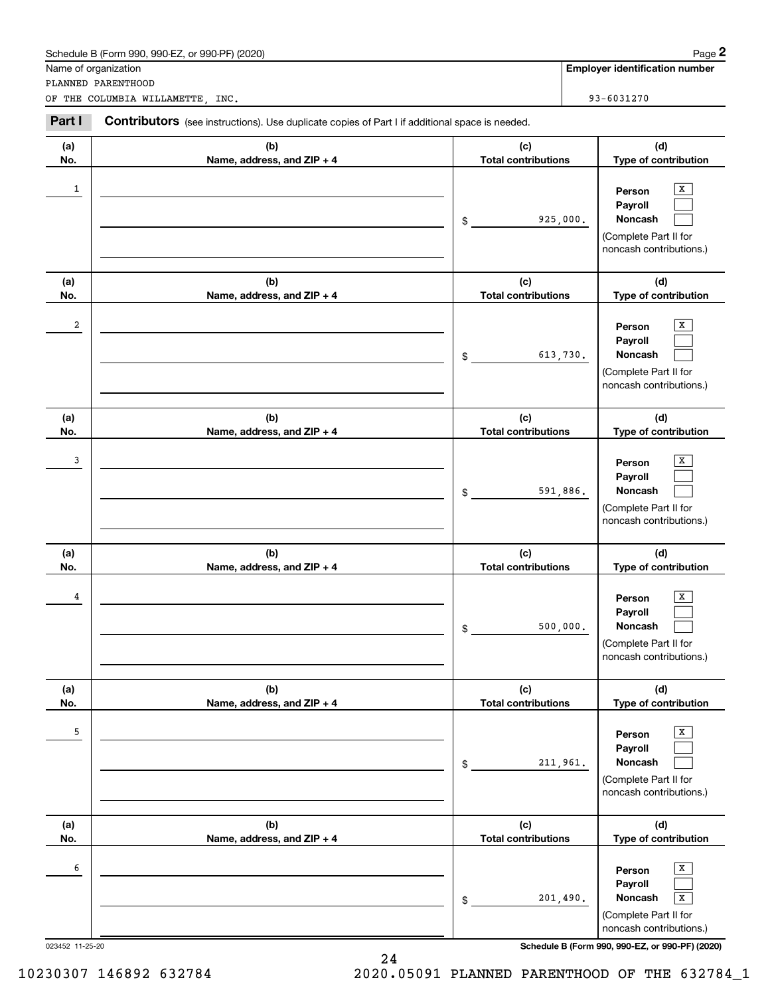|                 | Schedule B (Form 990, 990-EZ, or 990-PF) (2020)                                                |                                   | Page 2                                                                                                                       |
|-----------------|------------------------------------------------------------------------------------------------|-----------------------------------|------------------------------------------------------------------------------------------------------------------------------|
|                 | Name of organization                                                                           |                                   | <b>Employer identification number</b>                                                                                        |
|                 | PLANNED PARENTHOOD<br>OF THE COLUMBIA WILLAMETTE, INC.                                         |                                   | 93-6031270                                                                                                                   |
| Part I          | Contributors (see instructions). Use duplicate copies of Part I if additional space is needed. |                                   |                                                                                                                              |
| (a)<br>No.      | (b)<br>Name, address, and ZIP + 4                                                              | (c)<br><b>Total contributions</b> | (d)<br>Type of contribution                                                                                                  |
| 1               |                                                                                                | \$                                | x<br>Person<br>Pavroll<br>Noncash<br>925,000.<br>(Complete Part II for<br>noncash contributions.)                            |
| (a)<br>No.      | (b)<br>Name, address, and ZIP + 4                                                              | (c)<br><b>Total contributions</b> | (d)<br>Type of contribution                                                                                                  |
| 2               |                                                                                                | \$                                | x<br>Person<br>Payroll<br>Noncash<br>613,730.<br>(Complete Part II for<br>noncash contributions.)                            |
| (a)             | (b)                                                                                            | (c)                               | (d)                                                                                                                          |
| No.<br>3        | Name, address, and ZIP + 4                                                                     | <b>Total contributions</b><br>\$  | Type of contribution<br>x<br>Person<br>Payroll<br>Noncash<br>591,886.<br>(Complete Part II for<br>noncash contributions.)    |
| (a)<br>No.      | (b)<br>Name, address, and ZIP + 4                                                              | (c)<br><b>Total contributions</b> | (d)<br>Type of contribution                                                                                                  |
| 4               |                                                                                                | \$                                | X<br>Person<br>Payroll<br>Noncash<br>500,000.<br>(Complete Part II for<br>noncash contributions.)                            |
| (a)<br>No.      | (b)<br>Name, address, and ZIP + 4                                                              | (c)<br><b>Total contributions</b> | (d)<br>Type of contribution                                                                                                  |
| 5               |                                                                                                | \$                                | x<br>Person<br>Payroll<br>Noncash<br>211,961.<br>(Complete Part II for<br>noncash contributions.)                            |
| (a)<br>No.      | (b)<br>Name, address, and ZIP + 4                                                              | (c)<br><b>Total contributions</b> | (d)<br>Type of contribution                                                                                                  |
| 6               |                                                                                                | \$                                | x<br>Person<br>Payroll<br>Noncash<br>$\overline{\mathbf{X}}$<br>201,490.<br>(Complete Part II for<br>noncash contributions.) |
| 023452 11-25-20 |                                                                                                |                                   | Schedule B (Form 990, 990-EZ, or 990-PF) (2020)                                                                              |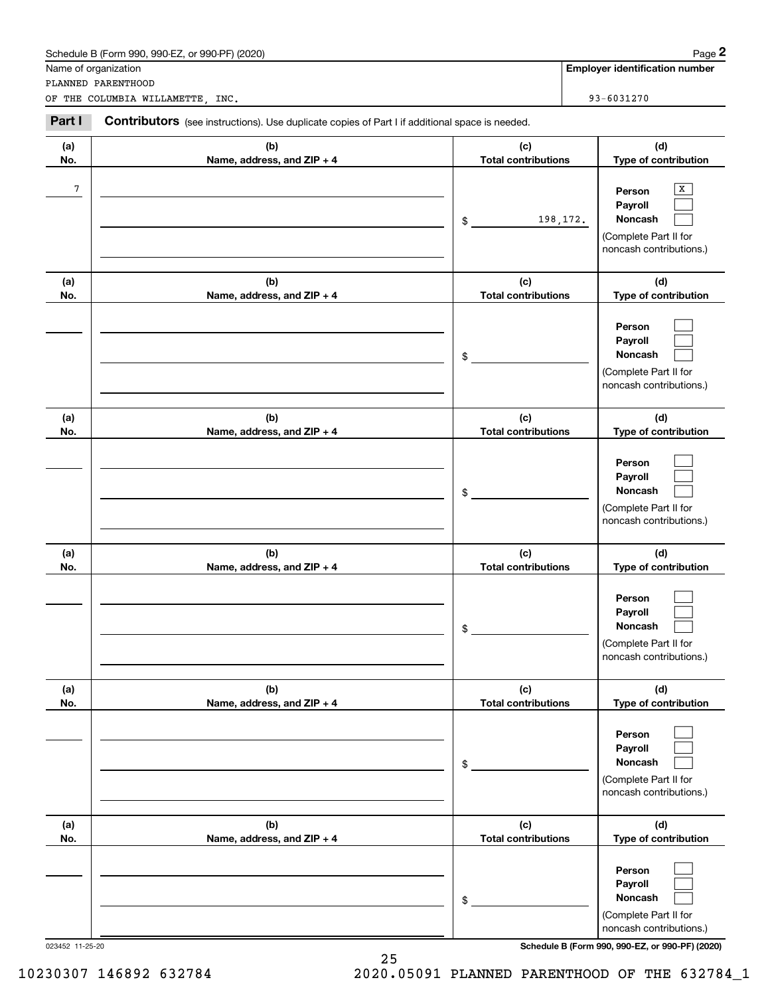|                 | Schedule B (Form 990, 990-EZ, or 990-PF) (2020)                                                |                                   | Page 2                                                                                                   |
|-----------------|------------------------------------------------------------------------------------------------|-----------------------------------|----------------------------------------------------------------------------------------------------------|
|                 | Name of organization<br>PLANNED PARENTHOOD                                                     |                                   | <b>Employer identification number</b>                                                                    |
|                 | OF THE COLUMBIA WILLAMETTE, INC.                                                               |                                   | 93-6031270                                                                                               |
| Part I          | Contributors (see instructions). Use duplicate copies of Part I if additional space is needed. |                                   |                                                                                                          |
| (a)<br>No.      | (b)<br>Name, address, and ZIP + 4                                                              | (c)<br><b>Total contributions</b> | (d)<br>Type of contribution                                                                              |
| 7               |                                                                                                | \$                                | x<br>Person<br>Payroll<br>Noncash<br>198,172.<br>(Complete Part II for<br>noncash contributions.)        |
| (a)<br>No.      | (b)<br>Name, address, and ZIP + 4                                                              | (c)<br><b>Total contributions</b> | (d)<br>Type of contribution                                                                              |
|                 |                                                                                                | \$                                | Person<br>Payroll<br><b>Noncash</b><br>(Complete Part II for<br>noncash contributions.)                  |
| (a)             | (b)                                                                                            | (c)                               | (d)                                                                                                      |
| No.             | Name, address, and ZIP + 4                                                                     | <b>Total contributions</b><br>\$  | Type of contribution<br>Person<br>Payroll<br>Noncash<br>(Complete Part II for<br>noncash contributions.) |
| (a)<br>No.      | (b)<br>Name, address, and ZIP + 4                                                              | (c)<br><b>Total contributions</b> | (d)<br>Type of contribution                                                                              |
|                 |                                                                                                | \$                                | Person<br>Payroll<br>Noncash<br>(Complete Part II for<br>noncash contributions.)                         |
| (a)<br>No.      | (b)<br>Name, address, and ZIP + 4                                                              | (c)<br><b>Total contributions</b> | (d)<br>Type of contribution                                                                              |
|                 |                                                                                                | \$                                | Person<br>Payroll<br>Noncash<br>(Complete Part II for<br>noncash contributions.)                         |
| (a)<br>No.      | (b)<br>Name, address, and ZIP + 4                                                              | (c)<br><b>Total contributions</b> | (d)<br>Type of contribution                                                                              |
|                 |                                                                                                | \$                                | Person<br>Payroll<br>Noncash<br>(Complete Part II for<br>noncash contributions.)                         |
| 023452 11-25-20 |                                                                                                |                                   | Schedule B (Form 990, 990-EZ, or 990-PF) (2020)                                                          |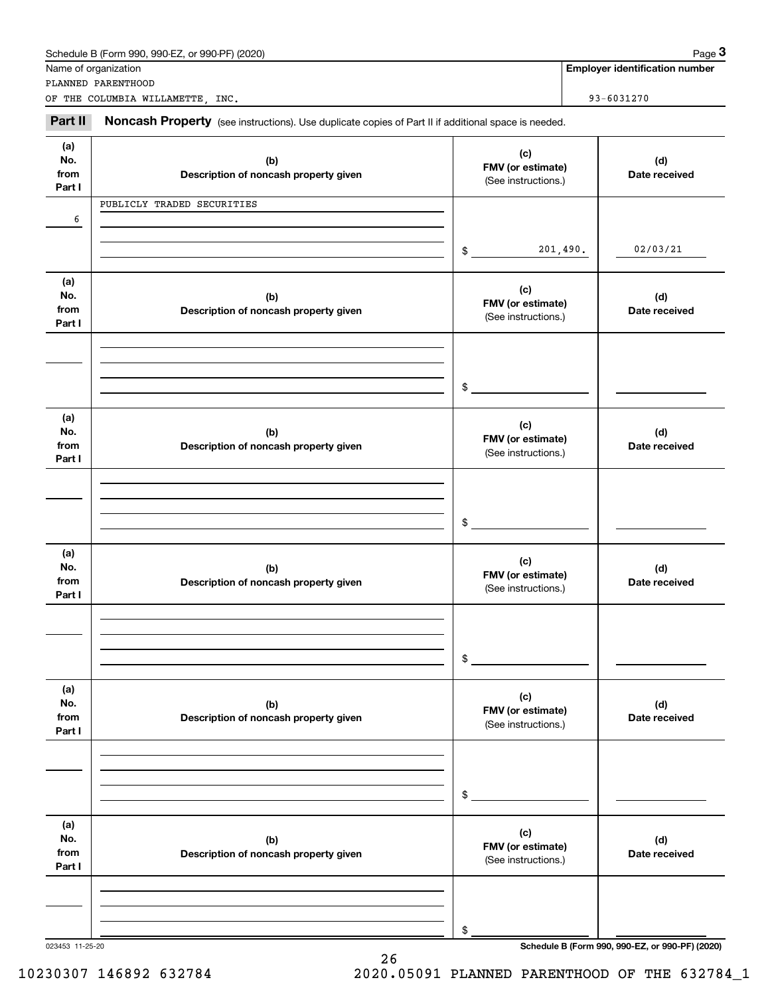|                              | Schedule B (Form 990, 990-EZ, or 990-PF) (2020)                                                     |                                                 | Page 3                                |
|------------------------------|-----------------------------------------------------------------------------------------------------|-------------------------------------------------|---------------------------------------|
|                              | Name of organization                                                                                |                                                 | <b>Employer identification number</b> |
|                              | PLANNED PARENTHOOD                                                                                  |                                                 |                                       |
|                              | OF THE COLUMBIA WILLAMETTE, INC.                                                                    |                                                 | 93-6031270                            |
| Part II                      | Noncash Property (see instructions). Use duplicate copies of Part II if additional space is needed. |                                                 |                                       |
| (a)<br>No.<br>from           | (b)<br>Description of noncash property given                                                        | (c)<br>FMV (or estimate)                        | (d)<br>Date received                  |
| Part I                       |                                                                                                     | (See instructions.)                             |                                       |
|                              | PUBLICLY TRADED SECURITIES                                                                          |                                                 |                                       |
| 6                            |                                                                                                     |                                                 |                                       |
|                              |                                                                                                     | \$                                              | 02/03/21<br>201,490.                  |
| (a)<br>No.<br>from<br>Part I | (b)<br>Description of noncash property given                                                        | (c)<br>FMV (or estimate)<br>(See instructions.) | (d)<br>Date received                  |
|                              |                                                                                                     |                                                 |                                       |
|                              |                                                                                                     | \$                                              |                                       |
| (a)<br>No.<br>from<br>Part I | (b)<br>Description of noncash property given                                                        | (c)<br>FMV (or estimate)<br>(See instructions.) | (d)<br>Date received                  |
|                              |                                                                                                     |                                                 |                                       |
|                              |                                                                                                     | \$                                              |                                       |
| (a)<br>No.<br>from<br>Part I | (b)<br>Description of noncash property given                                                        | (c)<br>FMV (or estimate)<br>(See instructions.) | (d)<br>Date received                  |
|                              |                                                                                                     |                                                 |                                       |
|                              |                                                                                                     | \$                                              |                                       |
| (a)<br>No.<br>from<br>Part I | (b)<br>Description of noncash property given                                                        | (c)<br>FMV (or estimate)<br>(See instructions.) | (d)<br>Date received                  |
|                              |                                                                                                     |                                                 |                                       |
|                              |                                                                                                     | \$                                              |                                       |
| (a)<br>No.<br>from<br>Part I | (b)<br>Description of noncash property given                                                        | (c)<br>FMV (or estimate)<br>(See instructions.) | (d)<br>Date received                  |
|                              |                                                                                                     |                                                 |                                       |
|                              |                                                                                                     |                                                 |                                       |
|                              |                                                                                                     | \$                                              |                                       |

10230307 146892 632784 2020.05091 PLANNED PARENTHOOD OF THE 632784\_1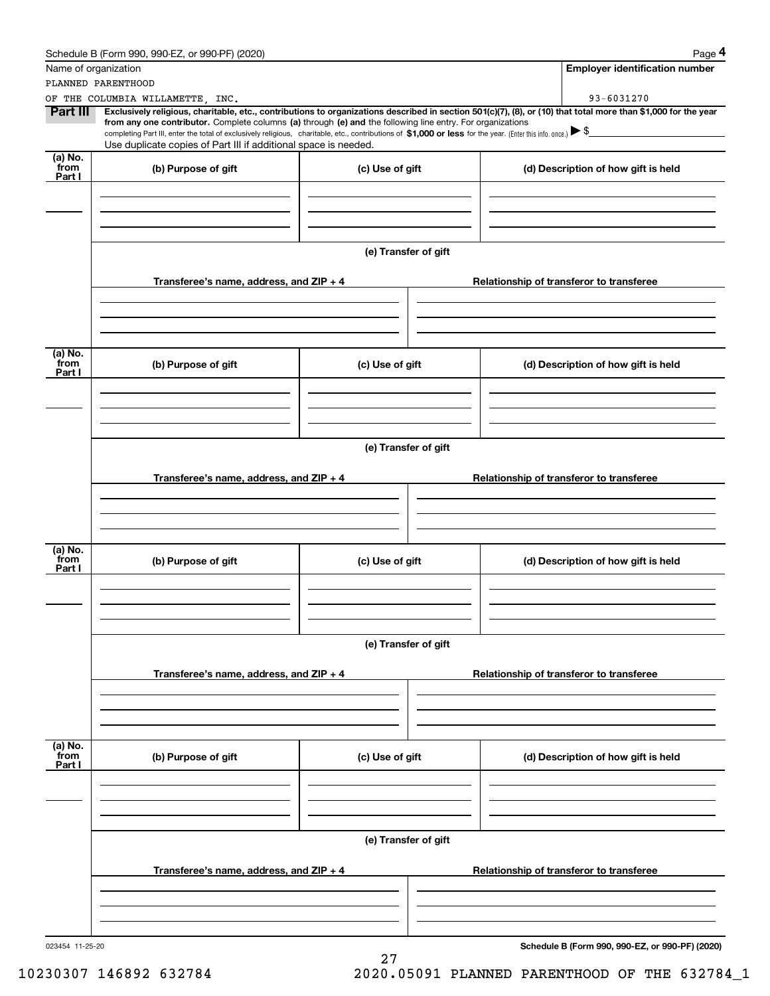|                           | Schedule B (Form 990, 990-EZ, or 990-PF) (2020)                                                                                                                                                                                                      |                      | Page 4                                                                                                                                                                       |  |  |  |  |  |
|---------------------------|------------------------------------------------------------------------------------------------------------------------------------------------------------------------------------------------------------------------------------------------------|----------------------|------------------------------------------------------------------------------------------------------------------------------------------------------------------------------|--|--|--|--|--|
| Name of organization      |                                                                                                                                                                                                                                                      |                      | <b>Employer identification number</b>                                                                                                                                        |  |  |  |  |  |
|                           | PLANNED PARENTHOOD                                                                                                                                                                                                                                   |                      |                                                                                                                                                                              |  |  |  |  |  |
| <b>Part III</b>           | OF THE COLUMBIA WILLAMETTE, INC.<br>from any one contributor. Complete columns (a) through (e) and the following line entry. For organizations                                                                                                       |                      | 93-6031270<br>Exclusively religious, charitable, etc., contributions to organizations described in section 501(c)(7), (8), or (10) that total more than \$1,000 for the year |  |  |  |  |  |
|                           | completing Part III, enter the total of exclusively religious, charitable, etc., contributions of \$1,000 or less for the year. (Enter this info. once.) $\blacktriangleright$ \$<br>Use duplicate copies of Part III if additional space is needed. |                      |                                                                                                                                                                              |  |  |  |  |  |
| (a) No.<br>from<br>Part I | (b) Purpose of gift                                                                                                                                                                                                                                  | (c) Use of gift      | (d) Description of how gift is held                                                                                                                                          |  |  |  |  |  |
|                           |                                                                                                                                                                                                                                                      |                      |                                                                                                                                                                              |  |  |  |  |  |
|                           |                                                                                                                                                                                                                                                      |                      |                                                                                                                                                                              |  |  |  |  |  |
|                           |                                                                                                                                                                                                                                                      | (e) Transfer of gift |                                                                                                                                                                              |  |  |  |  |  |
|                           | Transferee's name, address, and $ZIP + 4$                                                                                                                                                                                                            |                      | Relationship of transferor to transferee                                                                                                                                     |  |  |  |  |  |
|                           |                                                                                                                                                                                                                                                      |                      |                                                                                                                                                                              |  |  |  |  |  |
|                           |                                                                                                                                                                                                                                                      |                      |                                                                                                                                                                              |  |  |  |  |  |
| (a) No.<br>from<br>Part I | (b) Purpose of gift                                                                                                                                                                                                                                  | (c) Use of gift      | (d) Description of how gift is held                                                                                                                                          |  |  |  |  |  |
|                           |                                                                                                                                                                                                                                                      |                      |                                                                                                                                                                              |  |  |  |  |  |
|                           |                                                                                                                                                                                                                                                      |                      |                                                                                                                                                                              |  |  |  |  |  |
|                           | (e) Transfer of gift                                                                                                                                                                                                                                 |                      |                                                                                                                                                                              |  |  |  |  |  |
|                           | Transferee's name, address, and $ZIP + 4$                                                                                                                                                                                                            |                      | Relationship of transferor to transferee                                                                                                                                     |  |  |  |  |  |
|                           |                                                                                                                                                                                                                                                      |                      |                                                                                                                                                                              |  |  |  |  |  |
|                           |                                                                                                                                                                                                                                                      |                      |                                                                                                                                                                              |  |  |  |  |  |
| (a) No.<br>from<br>Part I | (b) Purpose of gift                                                                                                                                                                                                                                  | (c) Use of gift      | (d) Description of how gift is held                                                                                                                                          |  |  |  |  |  |
|                           |                                                                                                                                                                                                                                                      |                      |                                                                                                                                                                              |  |  |  |  |  |
|                           |                                                                                                                                                                                                                                                      |                      |                                                                                                                                                                              |  |  |  |  |  |
|                           |                                                                                                                                                                                                                                                      | (e) Transfer of gift |                                                                                                                                                                              |  |  |  |  |  |
|                           | Transferee's name, address, and $ZIP + 4$                                                                                                                                                                                                            |                      | Relationship of transferor to transferee                                                                                                                                     |  |  |  |  |  |
|                           |                                                                                                                                                                                                                                                      |                      |                                                                                                                                                                              |  |  |  |  |  |
|                           |                                                                                                                                                                                                                                                      |                      |                                                                                                                                                                              |  |  |  |  |  |
| (a) No.<br>from<br>Part I | (b) Purpose of gift                                                                                                                                                                                                                                  | (c) Use of gift      | (d) Description of how gift is held                                                                                                                                          |  |  |  |  |  |
|                           |                                                                                                                                                                                                                                                      |                      |                                                                                                                                                                              |  |  |  |  |  |
|                           |                                                                                                                                                                                                                                                      |                      |                                                                                                                                                                              |  |  |  |  |  |
|                           | (e) Transfer of gift                                                                                                                                                                                                                                 |                      |                                                                                                                                                                              |  |  |  |  |  |
|                           | Transferee's name, address, and $ZIP + 4$                                                                                                                                                                                                            |                      | Relationship of transferor to transferee                                                                                                                                     |  |  |  |  |  |
|                           |                                                                                                                                                                                                                                                      |                      |                                                                                                                                                                              |  |  |  |  |  |
|                           |                                                                                                                                                                                                                                                      |                      |                                                                                                                                                                              |  |  |  |  |  |
|                           |                                                                                                                                                                                                                                                      |                      | 000 DE) (2000)<br>$\sim$ 000, 000 EZ.                                                                                                                                        |  |  |  |  |  |

**Schedule B (Form 990, 990-EZ, or 990-PF) (2020)**

10230307 146892 632784 2020.05091 PLANNED PARENTHOOD OF THE 632784\_1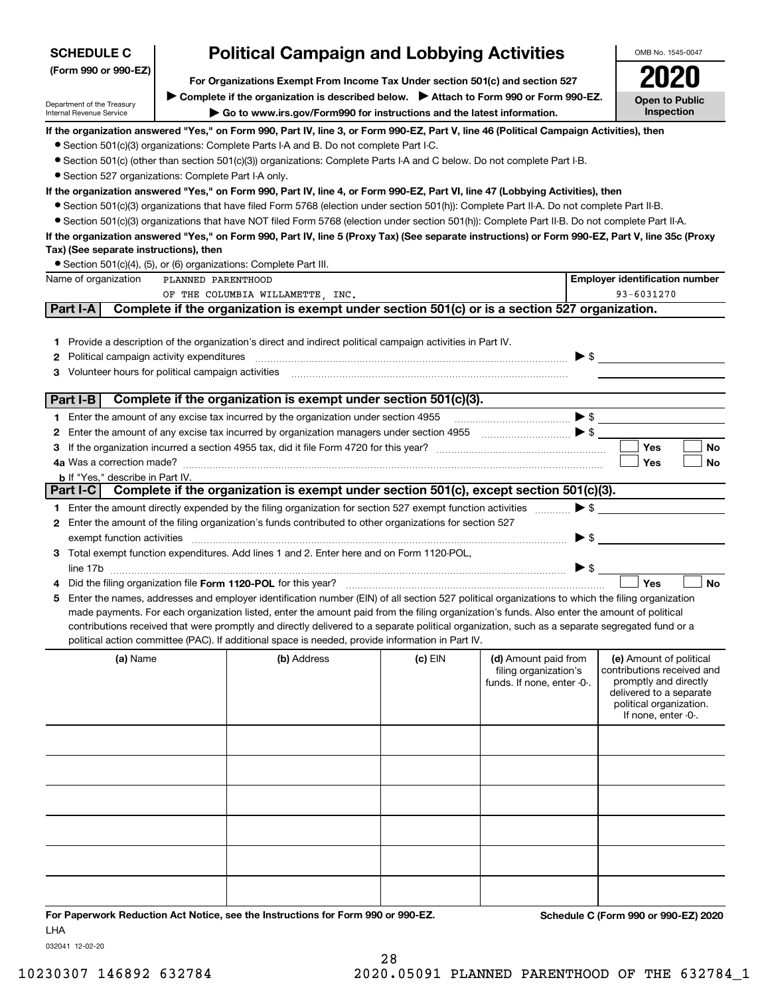| <b>SCHEDULE C</b>                                                                                                                               | <b>Political Campaign and Lobbying Activities</b> |                                                                                                                                                                                                                                                    |           |                                               | OMB No. 1545-0047        |                                                       |  |  |  |
|-------------------------------------------------------------------------------------------------------------------------------------------------|---------------------------------------------------|----------------------------------------------------------------------------------------------------------------------------------------------------------------------------------------------------------------------------------------------------|-----------|-----------------------------------------------|--------------------------|-------------------------------------------------------|--|--|--|
| (Form 990 or 990-EZ)                                                                                                                            |                                                   |                                                                                                                                                                                                                                                    |           |                                               |                          |                                                       |  |  |  |
|                                                                                                                                                 |                                                   | For Organizations Exempt From Income Tax Under section 501(c) and section 527                                                                                                                                                                      |           |                                               |                          |                                                       |  |  |  |
| Department of the Treasury<br>Internal Revenue Service                                                                                          |                                                   | ► Complete if the organization is described below. ► Attach to Form 990 or Form 990-EZ.<br>$\blacktriangleright$ Go to www.irs.gov/Form990 for instructions and the latest information.                                                            |           |                                               |                          | <b>Open to Public</b><br>Inspection                   |  |  |  |
|                                                                                                                                                 |                                                   |                                                                                                                                                                                                                                                    |           |                                               |                          |                                                       |  |  |  |
|                                                                                                                                                 |                                                   | If the organization answered "Yes," on Form 990, Part IV, line 3, or Form 990-EZ, Part V, line 46 (Political Campaign Activities), then<br>• Section 501(c)(3) organizations: Complete Parts I-A and B. Do not complete Part I-C.                  |           |                                               |                          |                                                       |  |  |  |
|                                                                                                                                                 |                                                   | ● Section 501(c) (other than section 501(c)(3)) organizations: Complete Parts I-A and C below. Do not complete Part I-B.                                                                                                                           |           |                                               |                          |                                                       |  |  |  |
| • Section 527 organizations: Complete Part I-A only.                                                                                            |                                                   |                                                                                                                                                                                                                                                    |           |                                               |                          |                                                       |  |  |  |
|                                                                                                                                                 |                                                   | If the organization answered "Yes," on Form 990, Part IV, line 4, or Form 990-EZ, Part VI, line 47 (Lobbying Activities), then                                                                                                                     |           |                                               |                          |                                                       |  |  |  |
|                                                                                                                                                 |                                                   | • Section 501(c)(3) organizations that have filed Form 5768 (election under section 501(h)): Complete Part II-A. Do not complete Part II-B.                                                                                                        |           |                                               |                          |                                                       |  |  |  |
| • Section 501(c)(3) organizations that have NOT filed Form 5768 (election under section 501(h)): Complete Part II-B. Do not complete Part II-A. |                                                   |                                                                                                                                                                                                                                                    |           |                                               |                          |                                                       |  |  |  |
|                                                                                                                                                 |                                                   | If the organization answered "Yes," on Form 990, Part IV, line 5 (Proxy Tax) (See separate instructions) or Form 990-EZ, Part V, line 35c (Proxy                                                                                                   |           |                                               |                          |                                                       |  |  |  |
| Tax) (See separate instructions), then                                                                                                          |                                                   |                                                                                                                                                                                                                                                    |           |                                               |                          |                                                       |  |  |  |
|                                                                                                                                                 |                                                   | • Section 501(c)(4), (5), or (6) organizations: Complete Part III.                                                                                                                                                                                 |           |                                               |                          |                                                       |  |  |  |
| Name of organization                                                                                                                            | PLANNED PARENTHOOD                                |                                                                                                                                                                                                                                                    |           |                                               |                          | <b>Employer identification number</b>                 |  |  |  |
|                                                                                                                                                 |                                                   | OF THE COLUMBIA WILLAMETTE, INC.                                                                                                                                                                                                                   |           |                                               |                          | 93-6031270                                            |  |  |  |
| Part I-A                                                                                                                                        |                                                   | Complete if the organization is exempt under section 501(c) or is a section 527 organization.                                                                                                                                                      |           |                                               |                          |                                                       |  |  |  |
|                                                                                                                                                 |                                                   |                                                                                                                                                                                                                                                    |           |                                               |                          |                                                       |  |  |  |
|                                                                                                                                                 |                                                   | 1 Provide a description of the organization's direct and indirect political campaign activities in Part IV.                                                                                                                                        |           |                                               |                          |                                                       |  |  |  |
| Political campaign activity expenditures<br>2                                                                                                   |                                                   |                                                                                                                                                                                                                                                    |           |                                               | $\triangleright$ \$      |                                                       |  |  |  |
| 3                                                                                                                                               |                                                   |                                                                                                                                                                                                                                                    |           |                                               |                          |                                                       |  |  |  |
| Part I-B                                                                                                                                        |                                                   | Complete if the organization is exempt under section 501(c)(3).                                                                                                                                                                                    |           |                                               |                          |                                                       |  |  |  |
|                                                                                                                                                 |                                                   | 1 Enter the amount of any excise tax incurred by the organization under section 4955                                                                                                                                                               |           | $\bullet$ $\bullet$                           |                          |                                                       |  |  |  |
|                                                                                                                                                 |                                                   |                                                                                                                                                                                                                                                    |           |                                               |                          |                                                       |  |  |  |
| З                                                                                                                                               |                                                   |                                                                                                                                                                                                                                                    |           |                                               |                          | <b>Yes</b><br>No                                      |  |  |  |
| 4a Was a correction made?                                                                                                                       |                                                   |                                                                                                                                                                                                                                                    |           |                                               |                          | <b>Yes</b><br>No                                      |  |  |  |
| <b>b</b> If "Yes," describe in Part IV.                                                                                                         |                                                   |                                                                                                                                                                                                                                                    |           |                                               |                          |                                                       |  |  |  |
|                                                                                                                                                 |                                                   | Part I-C Complete if the organization is exempt under section 501(c), except section 501(c)(3).                                                                                                                                                    |           |                                               |                          |                                                       |  |  |  |
|                                                                                                                                                 |                                                   | 1 Enter the amount directly expended by the filing organization for section 527 exempt function activities                                                                                                                                         |           |                                               | $\blacktriangleright$ \$ |                                                       |  |  |  |
|                                                                                                                                                 |                                                   | 2 Enter the amount of the filing organization's funds contributed to other organizations for section 527                                                                                                                                           |           |                                               |                          |                                                       |  |  |  |
| exempt function activities                                                                                                                      |                                                   |                                                                                                                                                                                                                                                    |           |                                               | $\blacktriangleright$ \$ |                                                       |  |  |  |
|                                                                                                                                                 |                                                   | 3 Total exempt function expenditures. Add lines 1 and 2. Enter here and on Form 1120-POL,                                                                                                                                                          |           |                                               |                          |                                                       |  |  |  |
|                                                                                                                                                 |                                                   |                                                                                                                                                                                                                                                    |           |                                               | $\triangleright$ \$      |                                                       |  |  |  |
|                                                                                                                                                 |                                                   |                                                                                                                                                                                                                                                    |           |                                               |                          | <b>Yes</b><br>No                                      |  |  |  |
|                                                                                                                                                 |                                                   | Enter the names, addresses and employer identification number (EIN) of all section 527 political organizations to which the filing organization                                                                                                    |           |                                               |                          |                                                       |  |  |  |
|                                                                                                                                                 |                                                   | made payments. For each organization listed, enter the amount paid from the filing organization's funds. Also enter the amount of political                                                                                                        |           |                                               |                          |                                                       |  |  |  |
|                                                                                                                                                 |                                                   | contributions received that were promptly and directly delivered to a separate political organization, such as a separate segregated fund or a<br>political action committee (PAC). If additional space is needed, provide information in Part IV. |           |                                               |                          |                                                       |  |  |  |
|                                                                                                                                                 |                                                   |                                                                                                                                                                                                                                                    |           |                                               |                          |                                                       |  |  |  |
| (a) Name                                                                                                                                        |                                                   | (b) Address                                                                                                                                                                                                                                        | $(c)$ EIN | (d) Amount paid from<br>filing organization's |                          | (e) Amount of political<br>contributions received and |  |  |  |
|                                                                                                                                                 |                                                   |                                                                                                                                                                                                                                                    |           | funds. If none, enter -0-.                    |                          | promptly and directly                                 |  |  |  |
|                                                                                                                                                 |                                                   |                                                                                                                                                                                                                                                    |           |                                               |                          | delivered to a separate<br>political organization.    |  |  |  |
|                                                                                                                                                 |                                                   |                                                                                                                                                                                                                                                    |           |                                               |                          | If none, enter -0-.                                   |  |  |  |
|                                                                                                                                                 |                                                   |                                                                                                                                                                                                                                                    |           |                                               |                          |                                                       |  |  |  |
|                                                                                                                                                 |                                                   |                                                                                                                                                                                                                                                    |           |                                               |                          |                                                       |  |  |  |
|                                                                                                                                                 |                                                   |                                                                                                                                                                                                                                                    |           |                                               |                          |                                                       |  |  |  |
|                                                                                                                                                 |                                                   |                                                                                                                                                                                                                                                    |           |                                               |                          |                                                       |  |  |  |
|                                                                                                                                                 |                                                   |                                                                                                                                                                                                                                                    |           |                                               |                          |                                                       |  |  |  |
|                                                                                                                                                 |                                                   |                                                                                                                                                                                                                                                    |           |                                               |                          |                                                       |  |  |  |
|                                                                                                                                                 |                                                   |                                                                                                                                                                                                                                                    |           |                                               |                          |                                                       |  |  |  |
|                                                                                                                                                 |                                                   |                                                                                                                                                                                                                                                    |           |                                               |                          |                                                       |  |  |  |
|                                                                                                                                                 |                                                   |                                                                                                                                                                                                                                                    |           |                                               |                          |                                                       |  |  |  |
|                                                                                                                                                 |                                                   |                                                                                                                                                                                                                                                    |           |                                               |                          |                                                       |  |  |  |
|                                                                                                                                                 |                                                   |                                                                                                                                                                                                                                                    |           |                                               |                          |                                                       |  |  |  |
|                                                                                                                                                 |                                                   |                                                                                                                                                                                                                                                    |           |                                               |                          |                                                       |  |  |  |

**For Paperwork Reduction Act Notice, see the Instructions for Form 990 or 990-EZ. Schedule C (Form 990 or 990-EZ) 2020** LHA

032041 12-02-20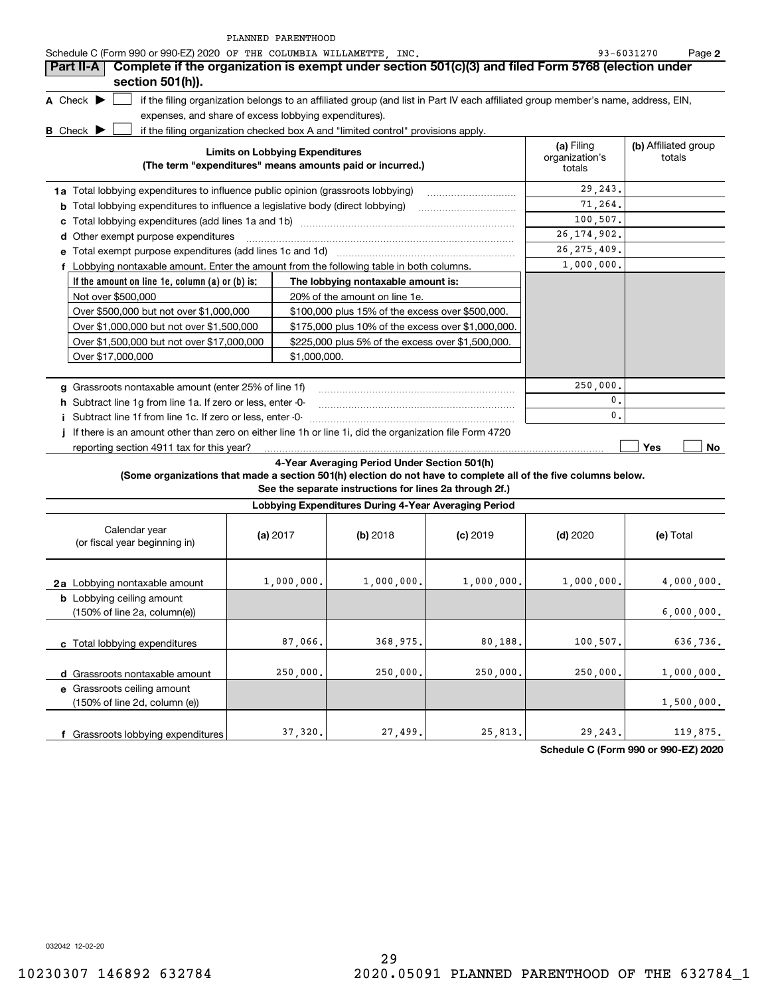|  |  | PLANNED PARENTHOOD |
|--|--|--------------------|
|--|--|--------------------|

Schedule C (Form 990 or 990-EZ) 2020 Page OF THE COLUMBIA WILLAMETTE, INC. 93-6031270

**2**

|                                      |  | section 501(h)).                                                                                                                  |
|--------------------------------------|--|-----------------------------------------------------------------------------------------------------------------------------------|
| A Check $\blacktriangleright$        |  | if the filing organization belongs to an affiliated group (and list in Part IV each affiliated group member's name, address, EIN, |
|                                      |  | expenses, and share of excess lobbying expenditures).                                                                             |
| <b>B</b> Check $\blacktriangleright$ |  | if the filing organization checked box A and "limited control" provisions apply.                                                  |

|   | <b>Limits on Lobbying Expenditures</b><br>(The term "expenditures" means amounts paid or incurred.) | (a) Filing<br>organization's<br>totals                                                                    | (b) Affiliated group<br>totals |           |
|---|-----------------------------------------------------------------------------------------------------|-----------------------------------------------------------------------------------------------------------|--------------------------------|-----------|
|   | 1a Total lobbying expenditures to influence public opinion (grassroots lobbying)                    |                                                                                                           | 29,243.                        |           |
|   |                                                                                                     | <b>b</b> Total lobbying expenditures to influence a legislative body (direct lobbying) <i>manumumumum</i> | 71,264.                        |           |
| C |                                                                                                     |                                                                                                           | 100,507.                       |           |
|   | <b>d</b> Other exempt purpose expenditures                                                          |                                                                                                           | 26, 174, 902.                  |           |
|   |                                                                                                     |                                                                                                           | 26, 275, 409.                  |           |
|   | Lobbying nontaxable amount. Enter the amount from the following table in both columns.              |                                                                                                           | 1,000,000.                     |           |
|   | If the amount on line 1e, column $(a)$ or $(b)$ is:                                                 | The lobbying nontaxable amount is:                                                                        |                                |           |
|   | Not over \$500,000                                                                                  | 20% of the amount on line 1e.                                                                             |                                |           |
|   | Over \$500,000 but not over \$1,000,000                                                             | \$100,000 plus 15% of the excess over \$500,000.                                                          |                                |           |
|   | Over \$1,000,000 but not over \$1,500,000                                                           | \$175,000 plus 10% of the excess over \$1,000,000.                                                        |                                |           |
|   | Over \$1,500,000 but not over \$17,000,000                                                          | \$225,000 plus 5% of the excess over \$1,500,000.                                                         |                                |           |
|   | Over \$17,000,000                                                                                   | \$1,000,000.                                                                                              |                                |           |
|   |                                                                                                     |                                                                                                           |                                |           |
|   | g Grassroots nontaxable amount (enter 25% of line 1f)                                               |                                                                                                           | 250,000.                       |           |
|   | <b>h</b> Subtract line 1g from line 1a. If zero or less, enter -0-                                  |                                                                                                           | 0                              |           |
|   | Subtract line 1f from line 1c. If zero or less, enter -0-                                           |                                                                                                           | $\mathbf{0}$ .                 |           |
|   |                                                                                                     | If there is an amount other than zero on either line 1h or line 1i, did the organization file Form 4720   |                                |           |
|   | reporting section 4911 tax for this year?                                                           |                                                                                                           |                                | Yes<br>No |

### **4-Year Averaging Period Under Section 501(h)**

**(Some organizations that made a section 501(h) election do not have to complete all of the five columns below.**

**See the separate instructions for lines 2a through 2f.)**

| Lobbying Expenditures During 4-Year Averaging Period                                 |            |            |            |            |            |  |  |  |
|--------------------------------------------------------------------------------------|------------|------------|------------|------------|------------|--|--|--|
| Calendar year<br>(or fiscal year beginning in)                                       | (a) $2017$ | $(b)$ 2018 | $(c)$ 2019 | $(d)$ 2020 | (e) Total  |  |  |  |
| 2a Lobbying nontaxable amount                                                        | 1,000,000. | 1,000,000. | 1,000,000. | 1,000,000. | 4,000,000. |  |  |  |
| <b>b</b> Lobbying ceiling amount<br>$(150\% \text{ of line } 2a, \text{ column}(e))$ |            |            |            |            | 6,000,000. |  |  |  |
| Total lobbying expenditures                                                          | 87,066.    | 368,975.   | 80,188.    | 100,507.   | 636,736.   |  |  |  |
| Grassroots nontaxable amount<br>d                                                    | 250,000.   | 250,000.   | 250,000.   | 250,000.   | 1,000,000. |  |  |  |
| e Grassroots ceiling amount<br>(150% of line 2d, column (e))                         |            |            |            |            | 1,500,000. |  |  |  |
| f Grassroots lobbying expenditures                                                   | 37,320.    | 27,499.    | 25,813.    | 29,243.    | 119,875.   |  |  |  |

**Schedule C (Form 990 or 990-EZ) 2020**

032042 12-02-20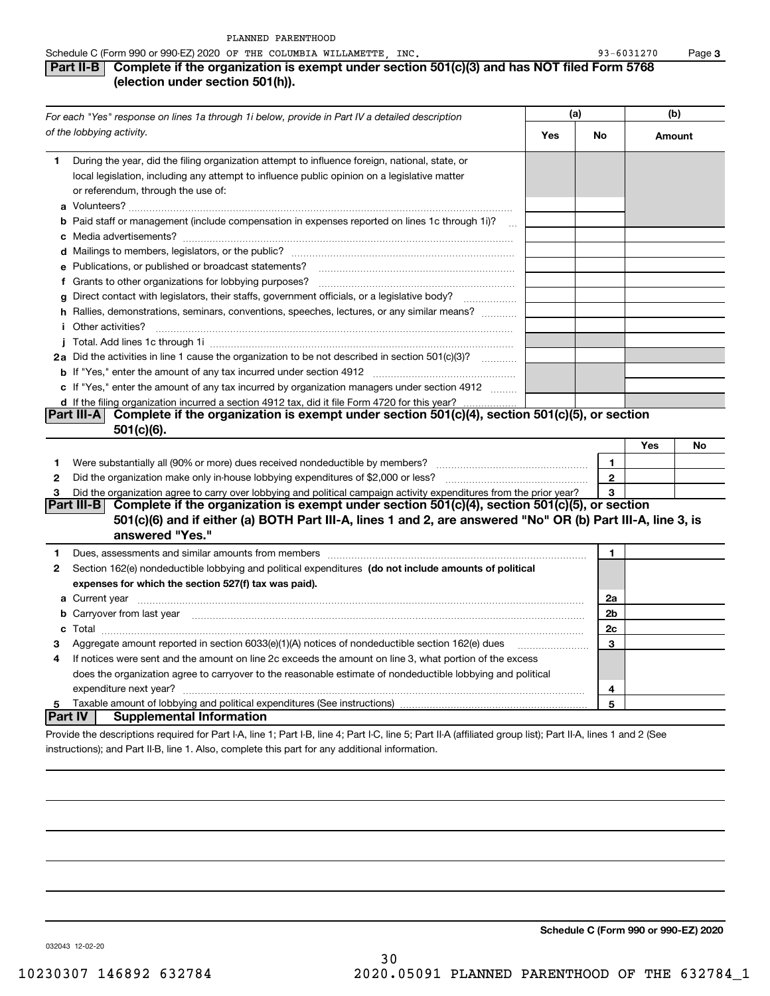032043 12-02-20

| Part II-B $\mid$ Complete if the organization is exempt under section 501(c)(3) and has NOT filed Form 5768 |
|-------------------------------------------------------------------------------------------------------------|
| (election under section 501(h)).                                                                            |

| of the lobbying activity.<br>Yes<br>No<br>Amount<br>During the year, did the filing organization attempt to influence foreign, national, state, or<br>1<br>local legislation, including any attempt to influence public opinion on a legislative matter<br>or referendum, through the use of:<br><b>b</b> Paid staff or management (include compensation in expenses reported on lines 1c through 1i)?<br>$\sim$<br>e Publications, or published or broadcast statements?<br>Direct contact with legislators, their staffs, government officials, or a legislative body?<br>g<br>h Rallies, demonstrations, seminars, conventions, speeches, lectures, or any similar means?<br><i>i</i> Other activities?<br>2a Did the activities in line 1 cause the organization to be not described in section 501(c)(3)?<br>c If "Yes," enter the amount of any tax incurred by organization managers under section 4912<br>d If the filing organization incurred a section 4912 tax, did it file Form 4720 for this year?<br>Complete if the organization is exempt under section 501(c)(4), section 501(c)(5), or section<br>Part III-A I<br>$501(c)(6)$ .<br>Yes<br>No<br>1.<br>1<br>$\mathbf{2}$<br>$\mathbf{2}$<br>Did the organization agree to carry over lobbying and political campaign activity expenditures from the prior year?<br>3<br>3<br>Part III-B<br>Complete if the organization is exempt under section 501(c)(4), section 501(c)(5), or section<br>501(c)(6) and if either (a) BOTH Part III-A, lines 1 and 2, are answered "No" OR (b) Part III-A, line 3, is<br>answered "Yes."<br>Dues, assessments and similar amounts from members [11] matter contracts and similar amounts from members [11] matter and similar amounts from members [11] matter and similar amounts from members [11] matter and similar am<br>1.<br>1<br>Section 162(e) nondeductible lobbying and political expenditures (do not include amounts of political<br>2<br>expenses for which the section 527(f) tax was paid).<br>2a<br>2 <sub>b</sub><br>b Carryover from last year manufactured and contain a series of the contract of the contract of the contract of the contract of the contract of the contract of the contract of the contract of the contract of the contract o<br>2c<br>c<br>3<br>Aggregate amount reported in section $6033(e)(1)(A)$ notices of nondeductible section $162(e)$ dues<br>з<br>If notices were sent and the amount on line 2c exceeds the amount on line 3, what portion of the excess<br>4<br>does the organization agree to carryover to the reasonable estimate of nondeductible lobbying and political<br>4<br>5<br>5<br>Part IV<br><b>Supplemental Information</b> | For each "Yes" response on lines 1a through 1i below, provide in Part IV a detailed description | (a) | (b) |  |
|---------------------------------------------------------------------------------------------------------------------------------------------------------------------------------------------------------------------------------------------------------------------------------------------------------------------------------------------------------------------------------------------------------------------------------------------------------------------------------------------------------------------------------------------------------------------------------------------------------------------------------------------------------------------------------------------------------------------------------------------------------------------------------------------------------------------------------------------------------------------------------------------------------------------------------------------------------------------------------------------------------------------------------------------------------------------------------------------------------------------------------------------------------------------------------------------------------------------------------------------------------------------------------------------------------------------------------------------------------------------------------------------------------------------------------------------------------------------------------------------------------------------------------------------------------------------------------------------------------------------------------------------------------------------------------------------------------------------------------------------------------------------------------------------------------------------------------------------------------------------------------------------------------------------------------------------------------------------------------------------------------------------------------------------------------------------------------------------------------------------------------------------------------------------------------------------------------------------------------------------------------------------------------------------------------------------------------------------------------------------------------------------------------------------------------------------------------------------------------------------------------------------------------------------------------------------------------------------------------------------------------------------------------------------------------------------------|-------------------------------------------------------------------------------------------------|-----|-----|--|
|                                                                                                                                                                                                                                                                                                                                                                                                                                                                                                                                                                                                                                                                                                                                                                                                                                                                                                                                                                                                                                                                                                                                                                                                                                                                                                                                                                                                                                                                                                                                                                                                                                                                                                                                                                                                                                                                                                                                                                                                                                                                                                                                                                                                                                                                                                                                                                                                                                                                                                                                                                                                                                                                                                   |                                                                                                 |     |     |  |
|                                                                                                                                                                                                                                                                                                                                                                                                                                                                                                                                                                                                                                                                                                                                                                                                                                                                                                                                                                                                                                                                                                                                                                                                                                                                                                                                                                                                                                                                                                                                                                                                                                                                                                                                                                                                                                                                                                                                                                                                                                                                                                                                                                                                                                                                                                                                                                                                                                                                                                                                                                                                                                                                                                   |                                                                                                 |     |     |  |
|                                                                                                                                                                                                                                                                                                                                                                                                                                                                                                                                                                                                                                                                                                                                                                                                                                                                                                                                                                                                                                                                                                                                                                                                                                                                                                                                                                                                                                                                                                                                                                                                                                                                                                                                                                                                                                                                                                                                                                                                                                                                                                                                                                                                                                                                                                                                                                                                                                                                                                                                                                                                                                                                                                   |                                                                                                 |     |     |  |
|                                                                                                                                                                                                                                                                                                                                                                                                                                                                                                                                                                                                                                                                                                                                                                                                                                                                                                                                                                                                                                                                                                                                                                                                                                                                                                                                                                                                                                                                                                                                                                                                                                                                                                                                                                                                                                                                                                                                                                                                                                                                                                                                                                                                                                                                                                                                                                                                                                                                                                                                                                                                                                                                                                   |                                                                                                 |     |     |  |
|                                                                                                                                                                                                                                                                                                                                                                                                                                                                                                                                                                                                                                                                                                                                                                                                                                                                                                                                                                                                                                                                                                                                                                                                                                                                                                                                                                                                                                                                                                                                                                                                                                                                                                                                                                                                                                                                                                                                                                                                                                                                                                                                                                                                                                                                                                                                                                                                                                                                                                                                                                                                                                                                                                   |                                                                                                 |     |     |  |
|                                                                                                                                                                                                                                                                                                                                                                                                                                                                                                                                                                                                                                                                                                                                                                                                                                                                                                                                                                                                                                                                                                                                                                                                                                                                                                                                                                                                                                                                                                                                                                                                                                                                                                                                                                                                                                                                                                                                                                                                                                                                                                                                                                                                                                                                                                                                                                                                                                                                                                                                                                                                                                                                                                   |                                                                                                 |     |     |  |
|                                                                                                                                                                                                                                                                                                                                                                                                                                                                                                                                                                                                                                                                                                                                                                                                                                                                                                                                                                                                                                                                                                                                                                                                                                                                                                                                                                                                                                                                                                                                                                                                                                                                                                                                                                                                                                                                                                                                                                                                                                                                                                                                                                                                                                                                                                                                                                                                                                                                                                                                                                                                                                                                                                   |                                                                                                 |     |     |  |
|                                                                                                                                                                                                                                                                                                                                                                                                                                                                                                                                                                                                                                                                                                                                                                                                                                                                                                                                                                                                                                                                                                                                                                                                                                                                                                                                                                                                                                                                                                                                                                                                                                                                                                                                                                                                                                                                                                                                                                                                                                                                                                                                                                                                                                                                                                                                                                                                                                                                                                                                                                                                                                                                                                   |                                                                                                 |     |     |  |
|                                                                                                                                                                                                                                                                                                                                                                                                                                                                                                                                                                                                                                                                                                                                                                                                                                                                                                                                                                                                                                                                                                                                                                                                                                                                                                                                                                                                                                                                                                                                                                                                                                                                                                                                                                                                                                                                                                                                                                                                                                                                                                                                                                                                                                                                                                                                                                                                                                                                                                                                                                                                                                                                                                   |                                                                                                 |     |     |  |
|                                                                                                                                                                                                                                                                                                                                                                                                                                                                                                                                                                                                                                                                                                                                                                                                                                                                                                                                                                                                                                                                                                                                                                                                                                                                                                                                                                                                                                                                                                                                                                                                                                                                                                                                                                                                                                                                                                                                                                                                                                                                                                                                                                                                                                                                                                                                                                                                                                                                                                                                                                                                                                                                                                   |                                                                                                 |     |     |  |
|                                                                                                                                                                                                                                                                                                                                                                                                                                                                                                                                                                                                                                                                                                                                                                                                                                                                                                                                                                                                                                                                                                                                                                                                                                                                                                                                                                                                                                                                                                                                                                                                                                                                                                                                                                                                                                                                                                                                                                                                                                                                                                                                                                                                                                                                                                                                                                                                                                                                                                                                                                                                                                                                                                   |                                                                                                 |     |     |  |
|                                                                                                                                                                                                                                                                                                                                                                                                                                                                                                                                                                                                                                                                                                                                                                                                                                                                                                                                                                                                                                                                                                                                                                                                                                                                                                                                                                                                                                                                                                                                                                                                                                                                                                                                                                                                                                                                                                                                                                                                                                                                                                                                                                                                                                                                                                                                                                                                                                                                                                                                                                                                                                                                                                   |                                                                                                 |     |     |  |
|                                                                                                                                                                                                                                                                                                                                                                                                                                                                                                                                                                                                                                                                                                                                                                                                                                                                                                                                                                                                                                                                                                                                                                                                                                                                                                                                                                                                                                                                                                                                                                                                                                                                                                                                                                                                                                                                                                                                                                                                                                                                                                                                                                                                                                                                                                                                                                                                                                                                                                                                                                                                                                                                                                   |                                                                                                 |     |     |  |
|                                                                                                                                                                                                                                                                                                                                                                                                                                                                                                                                                                                                                                                                                                                                                                                                                                                                                                                                                                                                                                                                                                                                                                                                                                                                                                                                                                                                                                                                                                                                                                                                                                                                                                                                                                                                                                                                                                                                                                                                                                                                                                                                                                                                                                                                                                                                                                                                                                                                                                                                                                                                                                                                                                   |                                                                                                 |     |     |  |
|                                                                                                                                                                                                                                                                                                                                                                                                                                                                                                                                                                                                                                                                                                                                                                                                                                                                                                                                                                                                                                                                                                                                                                                                                                                                                                                                                                                                                                                                                                                                                                                                                                                                                                                                                                                                                                                                                                                                                                                                                                                                                                                                                                                                                                                                                                                                                                                                                                                                                                                                                                                                                                                                                                   |                                                                                                 |     |     |  |
|                                                                                                                                                                                                                                                                                                                                                                                                                                                                                                                                                                                                                                                                                                                                                                                                                                                                                                                                                                                                                                                                                                                                                                                                                                                                                                                                                                                                                                                                                                                                                                                                                                                                                                                                                                                                                                                                                                                                                                                                                                                                                                                                                                                                                                                                                                                                                                                                                                                                                                                                                                                                                                                                                                   |                                                                                                 |     |     |  |
|                                                                                                                                                                                                                                                                                                                                                                                                                                                                                                                                                                                                                                                                                                                                                                                                                                                                                                                                                                                                                                                                                                                                                                                                                                                                                                                                                                                                                                                                                                                                                                                                                                                                                                                                                                                                                                                                                                                                                                                                                                                                                                                                                                                                                                                                                                                                                                                                                                                                                                                                                                                                                                                                                                   |                                                                                                 |     |     |  |
|                                                                                                                                                                                                                                                                                                                                                                                                                                                                                                                                                                                                                                                                                                                                                                                                                                                                                                                                                                                                                                                                                                                                                                                                                                                                                                                                                                                                                                                                                                                                                                                                                                                                                                                                                                                                                                                                                                                                                                                                                                                                                                                                                                                                                                                                                                                                                                                                                                                                                                                                                                                                                                                                                                   |                                                                                                 |     |     |  |
|                                                                                                                                                                                                                                                                                                                                                                                                                                                                                                                                                                                                                                                                                                                                                                                                                                                                                                                                                                                                                                                                                                                                                                                                                                                                                                                                                                                                                                                                                                                                                                                                                                                                                                                                                                                                                                                                                                                                                                                                                                                                                                                                                                                                                                                                                                                                                                                                                                                                                                                                                                                                                                                                                                   |                                                                                                 |     |     |  |
|                                                                                                                                                                                                                                                                                                                                                                                                                                                                                                                                                                                                                                                                                                                                                                                                                                                                                                                                                                                                                                                                                                                                                                                                                                                                                                                                                                                                                                                                                                                                                                                                                                                                                                                                                                                                                                                                                                                                                                                                                                                                                                                                                                                                                                                                                                                                                                                                                                                                                                                                                                                                                                                                                                   |                                                                                                 |     |     |  |
|                                                                                                                                                                                                                                                                                                                                                                                                                                                                                                                                                                                                                                                                                                                                                                                                                                                                                                                                                                                                                                                                                                                                                                                                                                                                                                                                                                                                                                                                                                                                                                                                                                                                                                                                                                                                                                                                                                                                                                                                                                                                                                                                                                                                                                                                                                                                                                                                                                                                                                                                                                                                                                                                                                   |                                                                                                 |     |     |  |
|                                                                                                                                                                                                                                                                                                                                                                                                                                                                                                                                                                                                                                                                                                                                                                                                                                                                                                                                                                                                                                                                                                                                                                                                                                                                                                                                                                                                                                                                                                                                                                                                                                                                                                                                                                                                                                                                                                                                                                                                                                                                                                                                                                                                                                                                                                                                                                                                                                                                                                                                                                                                                                                                                                   |                                                                                                 |     |     |  |
|                                                                                                                                                                                                                                                                                                                                                                                                                                                                                                                                                                                                                                                                                                                                                                                                                                                                                                                                                                                                                                                                                                                                                                                                                                                                                                                                                                                                                                                                                                                                                                                                                                                                                                                                                                                                                                                                                                                                                                                                                                                                                                                                                                                                                                                                                                                                                                                                                                                                                                                                                                                                                                                                                                   |                                                                                                 |     |     |  |
|                                                                                                                                                                                                                                                                                                                                                                                                                                                                                                                                                                                                                                                                                                                                                                                                                                                                                                                                                                                                                                                                                                                                                                                                                                                                                                                                                                                                                                                                                                                                                                                                                                                                                                                                                                                                                                                                                                                                                                                                                                                                                                                                                                                                                                                                                                                                                                                                                                                                                                                                                                                                                                                                                                   |                                                                                                 |     |     |  |
|                                                                                                                                                                                                                                                                                                                                                                                                                                                                                                                                                                                                                                                                                                                                                                                                                                                                                                                                                                                                                                                                                                                                                                                                                                                                                                                                                                                                                                                                                                                                                                                                                                                                                                                                                                                                                                                                                                                                                                                                                                                                                                                                                                                                                                                                                                                                                                                                                                                                                                                                                                                                                                                                                                   |                                                                                                 |     |     |  |
|                                                                                                                                                                                                                                                                                                                                                                                                                                                                                                                                                                                                                                                                                                                                                                                                                                                                                                                                                                                                                                                                                                                                                                                                                                                                                                                                                                                                                                                                                                                                                                                                                                                                                                                                                                                                                                                                                                                                                                                                                                                                                                                                                                                                                                                                                                                                                                                                                                                                                                                                                                                                                                                                                                   |                                                                                                 |     |     |  |
|                                                                                                                                                                                                                                                                                                                                                                                                                                                                                                                                                                                                                                                                                                                                                                                                                                                                                                                                                                                                                                                                                                                                                                                                                                                                                                                                                                                                                                                                                                                                                                                                                                                                                                                                                                                                                                                                                                                                                                                                                                                                                                                                                                                                                                                                                                                                                                                                                                                                                                                                                                                                                                                                                                   |                                                                                                 |     |     |  |
|                                                                                                                                                                                                                                                                                                                                                                                                                                                                                                                                                                                                                                                                                                                                                                                                                                                                                                                                                                                                                                                                                                                                                                                                                                                                                                                                                                                                                                                                                                                                                                                                                                                                                                                                                                                                                                                                                                                                                                                                                                                                                                                                                                                                                                                                                                                                                                                                                                                                                                                                                                                                                                                                                                   |                                                                                                 |     |     |  |
|                                                                                                                                                                                                                                                                                                                                                                                                                                                                                                                                                                                                                                                                                                                                                                                                                                                                                                                                                                                                                                                                                                                                                                                                                                                                                                                                                                                                                                                                                                                                                                                                                                                                                                                                                                                                                                                                                                                                                                                                                                                                                                                                                                                                                                                                                                                                                                                                                                                                                                                                                                                                                                                                                                   |                                                                                                 |     |     |  |
|                                                                                                                                                                                                                                                                                                                                                                                                                                                                                                                                                                                                                                                                                                                                                                                                                                                                                                                                                                                                                                                                                                                                                                                                                                                                                                                                                                                                                                                                                                                                                                                                                                                                                                                                                                                                                                                                                                                                                                                                                                                                                                                                                                                                                                                                                                                                                                                                                                                                                                                                                                                                                                                                                                   |                                                                                                 |     |     |  |
|                                                                                                                                                                                                                                                                                                                                                                                                                                                                                                                                                                                                                                                                                                                                                                                                                                                                                                                                                                                                                                                                                                                                                                                                                                                                                                                                                                                                                                                                                                                                                                                                                                                                                                                                                                                                                                                                                                                                                                                                                                                                                                                                                                                                                                                                                                                                                                                                                                                                                                                                                                                                                                                                                                   |                                                                                                 |     |     |  |
|                                                                                                                                                                                                                                                                                                                                                                                                                                                                                                                                                                                                                                                                                                                                                                                                                                                                                                                                                                                                                                                                                                                                                                                                                                                                                                                                                                                                                                                                                                                                                                                                                                                                                                                                                                                                                                                                                                                                                                                                                                                                                                                                                                                                                                                                                                                                                                                                                                                                                                                                                                                                                                                                                                   |                                                                                                 |     |     |  |
|                                                                                                                                                                                                                                                                                                                                                                                                                                                                                                                                                                                                                                                                                                                                                                                                                                                                                                                                                                                                                                                                                                                                                                                                                                                                                                                                                                                                                                                                                                                                                                                                                                                                                                                                                                                                                                                                                                                                                                                                                                                                                                                                                                                                                                                                                                                                                                                                                                                                                                                                                                                                                                                                                                   |                                                                                                 |     |     |  |
| $\cdots$ $\cdots$ $\cdots$ $\cdots$ $\cdots$ $\cdots$ $\cdots$ $\cdots$ $\cdots$ $\cdots$ $\cdots$ $\cdots$<br>and the state of the state of the                                                                                                                                                                                                                                                                                                                                                                                                                                                                                                                                                                                                                                                                                                                                                                                                                                                                                                                                                                                                                                                                                                                                                                                                                                                                                                                                                                                                                                                                                                                                                                                                                                                                                                                                                                                                                                                                                                                                                                                                                                                                                                                                                                                                                                                                                                                                                                                                                                                                                                                                                  |                                                                                                 |     |     |  |

Provide the descriptions required for Part I-A, line 1; Part I-B, line 4; Part I-C, line 5; Part II-A (affiliated group list); Part II-A, lines 1 and 2 (See instructions); and Part II-B, line 1. Also, complete this part for any additional information.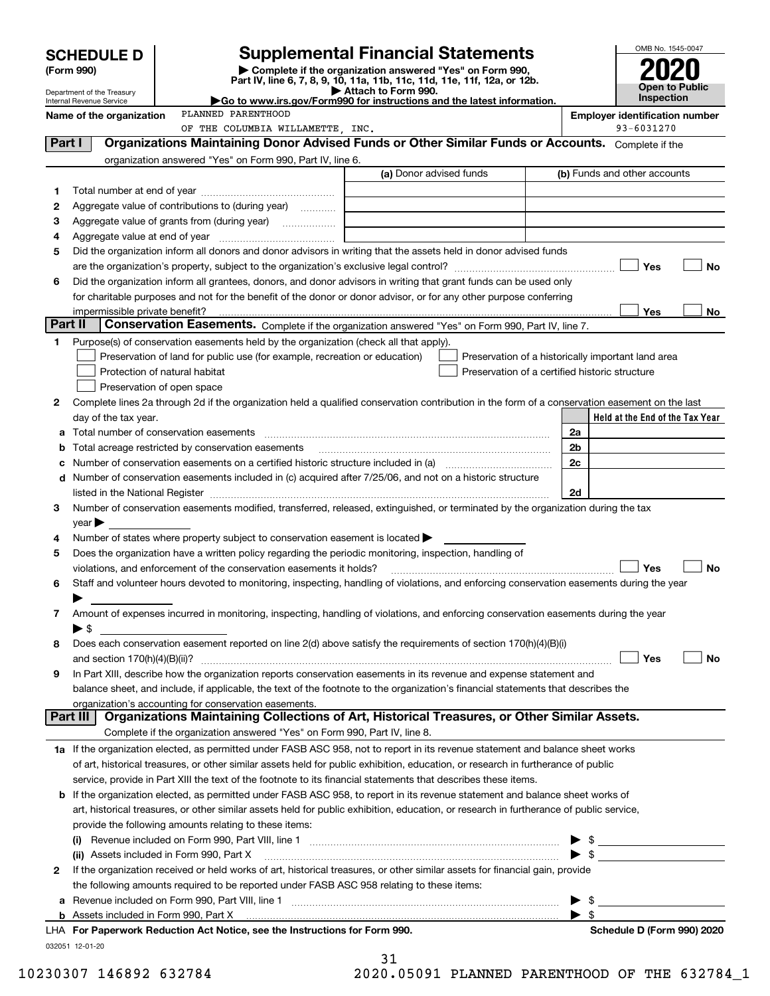|         | <b>SCHEDULE D</b>               | <b>Supplemental Financial Statements</b>                                                                                                                                                                                  |                         |                                                    |                         |                              | OMB No. 1545-0047                     |
|---------|---------------------------------|---------------------------------------------------------------------------------------------------------------------------------------------------------------------------------------------------------------------------|-------------------------|----------------------------------------------------|-------------------------|------------------------------|---------------------------------------|
|         | (Form 990)                      | Complete if the organization answered "Yes" on Form 990,                                                                                                                                                                  |                         |                                                    |                         |                              |                                       |
|         | Department of the Treasury      | Part IV, line 6, 7, 8, 9, 10, 11a, 11b, 11c, 11d, 11e, 11f, 12a, or 12b.                                                                                                                                                  | Attach to Form 990.     |                                                    |                         |                              | <b>Open to Public</b>                 |
|         | Internal Revenue Service        | Go to www.irs.gov/Form990 for instructions and the latest information.<br>PLANNED PARENTHOOD                                                                                                                              |                         |                                                    |                         |                              | Inspection                            |
|         | Name of the organization        | OF THE COLUMBIA WILLAMETTE, INC.                                                                                                                                                                                          |                         |                                                    |                         | 93-6031270                   | <b>Employer identification number</b> |
| Part I  |                                 | Organizations Maintaining Donor Advised Funds or Other Similar Funds or Accounts. Complete if the                                                                                                                         |                         |                                                    |                         |                              |                                       |
|         |                                 | organization answered "Yes" on Form 990, Part IV, line 6.                                                                                                                                                                 |                         |                                                    |                         |                              |                                       |
|         |                                 |                                                                                                                                                                                                                           | (a) Donor advised funds |                                                    |                         | (b) Funds and other accounts |                                       |
| 1       |                                 |                                                                                                                                                                                                                           |                         |                                                    |                         |                              |                                       |
| 2       |                                 | Aggregate value of contributions to (during year)                                                                                                                                                                         |                         |                                                    |                         |                              |                                       |
| З       |                                 |                                                                                                                                                                                                                           |                         |                                                    |                         |                              |                                       |
| 4       |                                 |                                                                                                                                                                                                                           |                         |                                                    |                         |                              |                                       |
| 5       |                                 | Did the organization inform all donors and donor advisors in writing that the assets held in donor advised funds                                                                                                          |                         |                                                    |                         |                              |                                       |
|         |                                 |                                                                                                                                                                                                                           |                         |                                                    |                         |                              | Yes<br>No                             |
| 6       |                                 | Did the organization inform all grantees, donors, and donor advisors in writing that grant funds can be used only                                                                                                         |                         |                                                    |                         |                              |                                       |
|         | impermissible private benefit?  | for charitable purposes and not for the benefit of the donor or donor advisor, or for any other purpose conferring                                                                                                        |                         |                                                    |                         |                              | Yes<br>No                             |
| Part II |                                 | Conservation Easements. Complete if the organization answered "Yes" on Form 990, Part IV, line 7.                                                                                                                         |                         |                                                    |                         |                              |                                       |
| 1.      |                                 | Purpose(s) of conservation easements held by the organization (check all that apply).                                                                                                                                     |                         |                                                    |                         |                              |                                       |
|         |                                 | Preservation of land for public use (for example, recreation or education)                                                                                                                                                |                         | Preservation of a historically important land area |                         |                              |                                       |
|         | Protection of natural habitat   |                                                                                                                                                                                                                           |                         | Preservation of a certified historic structure     |                         |                              |                                       |
|         | Preservation of open space      |                                                                                                                                                                                                                           |                         |                                                    |                         |                              |                                       |
| 2       |                                 | Complete lines 2a through 2d if the organization held a qualified conservation contribution in the form of a conservation easement on the last                                                                            |                         |                                                    |                         |                              |                                       |
|         | day of the tax year.            |                                                                                                                                                                                                                           |                         |                                                    |                         |                              | Held at the End of the Tax Year       |
|         |                                 |                                                                                                                                                                                                                           |                         |                                                    | 2a                      |                              |                                       |
|         |                                 | Total acreage restricted by conservation easements                                                                                                                                                                        |                         |                                                    | 2 <sub>b</sub>          |                              |                                       |
|         |                                 | Number of conservation easements on a certified historic structure included in (a) manufacture included in (a)                                                                                                            |                         |                                                    | 2c                      |                              |                                       |
| d       |                                 | Number of conservation easements included in (c) acquired after 7/25/06, and not on a historic structure                                                                                                                  |                         |                                                    |                         |                              |                                       |
| З       | listed in the National Register | Number of conservation easements modified, transferred, released, extinguished, or terminated by the organization during the tax                                                                                          |                         |                                                    | 2d                      |                              |                                       |
|         | $\vee$ ear                      |                                                                                                                                                                                                                           |                         |                                                    |                         |                              |                                       |
| 4       |                                 | Number of states where property subject to conservation easement is located $\blacktriangleright$                                                                                                                         |                         |                                                    |                         |                              |                                       |
| 5       |                                 | Does the organization have a written policy regarding the periodic monitoring, inspection, handling of                                                                                                                    |                         |                                                    |                         |                              |                                       |
|         |                                 | violations, and enforcement of the conservation easements it holds?                                                                                                                                                       |                         |                                                    |                         |                              | No<br>Yes                             |
| 6       |                                 | Staff and volunteer hours devoted to monitoring, inspecting, handling of violations, and enforcing conservation easements during the year                                                                                 |                         |                                                    |                         |                              |                                       |
|         |                                 |                                                                                                                                                                                                                           |                         |                                                    |                         |                              |                                       |
| 7       |                                 | Amount of expenses incurred in monitoring, inspecting, handling of violations, and enforcing conservation easements during the year                                                                                       |                         |                                                    |                         |                              |                                       |
|         | ▶ \$                            |                                                                                                                                                                                                                           |                         |                                                    |                         |                              |                                       |
| 8       |                                 | Does each conservation easement reported on line 2(d) above satisfy the requirements of section 170(h)(4)(B)(i)                                                                                                           |                         |                                                    |                         |                              |                                       |
| 9       | and section 170(h)(4)(B)(ii)?   | In Part XIII, describe how the organization reports conservation easements in its revenue and expense statement and                                                                                                       |                         |                                                    |                         |                              | Yes<br>No                             |
|         |                                 | balance sheet, and include, if applicable, the text of the footnote to the organization's financial statements that describes the                                                                                         |                         |                                                    |                         |                              |                                       |
|         |                                 | organization's accounting for conservation easements.                                                                                                                                                                     |                         |                                                    |                         |                              |                                       |
|         | Part III                        | Organizations Maintaining Collections of Art, Historical Treasures, or Other Similar Assets.                                                                                                                              |                         |                                                    |                         |                              |                                       |
|         |                                 | Complete if the organization answered "Yes" on Form 990, Part IV, line 8.                                                                                                                                                 |                         |                                                    |                         |                              |                                       |
|         |                                 | 1a If the organization elected, as permitted under FASB ASC 958, not to report in its revenue statement and balance sheet works                                                                                           |                         |                                                    |                         |                              |                                       |
|         |                                 | of art, historical treasures, or other similar assets held for public exhibition, education, or research in furtherance of public                                                                                         |                         |                                                    |                         |                              |                                       |
|         |                                 | service, provide in Part XIII the text of the footnote to its financial statements that describes these items.                                                                                                            |                         |                                                    |                         |                              |                                       |
| b       |                                 | If the organization elected, as permitted under FASB ASC 958, to report in its revenue statement and balance sheet works of                                                                                               |                         |                                                    |                         |                              |                                       |
|         |                                 | art, historical treasures, or other similar assets held for public exhibition, education, or research in furtherance of public service,                                                                                   |                         |                                                    |                         |                              |                                       |
|         |                                 | provide the following amounts relating to these items:                                                                                                                                                                    |                         |                                                    |                         |                              |                                       |
|         |                                 |                                                                                                                                                                                                                           |                         |                                                    |                         |                              |                                       |
|         |                                 | (ii) Assets included in Form 990, Part X                                                                                                                                                                                  |                         |                                                    |                         | $\blacktriangleright$ s      |                                       |
| 2       |                                 | If the organization received or held works of art, historical treasures, or other similar assets for financial gain, provide<br>the following amounts required to be reported under FASB ASC 958 relating to these items: |                         |                                                    |                         |                              |                                       |
| а       |                                 |                                                                                                                                                                                                                           |                         |                                                    | \$                      |                              |                                       |
| b       |                                 | Assets included in Form 990, Part X <i>maching and accountant content in the sets included</i> in Form 990, Part X                                                                                                        |                         |                                                    | $\blacktriangleright$ s |                              |                                       |
|         |                                 | LHA For Paperwork Reduction Act Notice, see the Instructions for Form 990.                                                                                                                                                |                         |                                                    |                         |                              | Schedule D (Form 990) 2020            |
|         | 032051 12-01-20                 |                                                                                                                                                                                                                           |                         |                                                    |                         |                              |                                       |
|         |                                 |                                                                                                                                                                                                                           | ٦1                      |                                                    |                         |                              |                                       |

| 10230307 146892 632784 | 2020.05091 PLANNED PARENTHOOD OF THE 632784 1 |  |
|------------------------|-----------------------------------------------|--|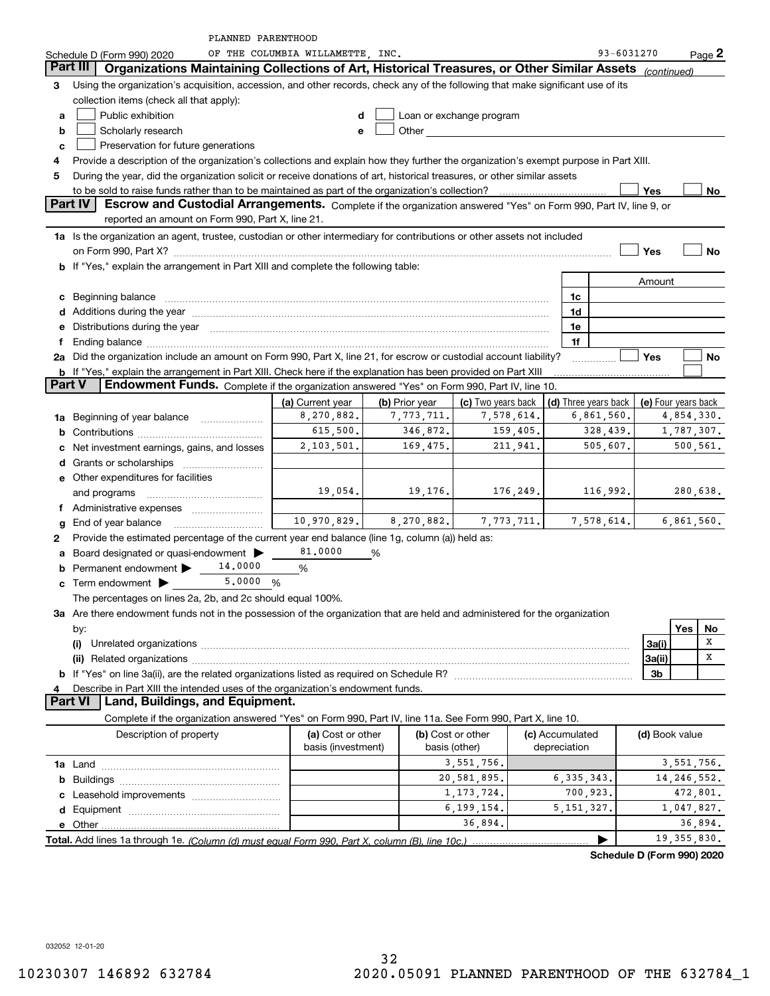|               | PLANNED PARENTHOOD                                                                                                                                                                                                            |                                         |                              |                                    |            |                                 |                                    |                |                                                                                                                                                                   |
|---------------|-------------------------------------------------------------------------------------------------------------------------------------------------------------------------------------------------------------------------------|-----------------------------------------|------------------------------|------------------------------------|------------|---------------------------------|------------------------------------|----------------|-------------------------------------------------------------------------------------------------------------------------------------------------------------------|
|               | Schedule D (Form 990) 2020                                                                                                                                                                                                    | OF THE COLUMBIA WILLAMETTE, INC.        |                              |                                    |            |                                 | 93-6031270                         |                | $Page$ 2                                                                                                                                                          |
|               | Organizations Maintaining Collections of Art, Historical Treasures, or Other Similar Assets (continued)<br>Part III                                                                                                           |                                         |                              |                                    |            |                                 |                                    |                |                                                                                                                                                                   |
| 3             | Using the organization's acquisition, accession, and other records, check any of the following that make significant use of its                                                                                               |                                         |                              |                                    |            |                                 |                                    |                |                                                                                                                                                                   |
|               | collection items (check all that apply):                                                                                                                                                                                      |                                         |                              |                                    |            |                                 |                                    |                |                                                                                                                                                                   |
| a             | Public exhibition                                                                                                                                                                                                             | d                                       |                              | Loan or exchange program           |            |                                 |                                    |                |                                                                                                                                                                   |
| b             | Scholarly research                                                                                                                                                                                                            | e                                       |                              |                                    |            |                                 |                                    |                |                                                                                                                                                                   |
| c             | Preservation for future generations                                                                                                                                                                                           |                                         |                              |                                    |            |                                 |                                    |                |                                                                                                                                                                   |
| 4             | Provide a description of the organization's collections and explain how they further the organization's exempt purpose in Part XIII.                                                                                          |                                         |                              |                                    |            |                                 |                                    |                |                                                                                                                                                                   |
| 5             | During the year, did the organization solicit or receive donations of art, historical treasures, or other similar assets                                                                                                      |                                         |                              |                                    |            |                                 |                                    |                |                                                                                                                                                                   |
|               |                                                                                                                                                                                                                               |                                         |                              |                                    |            |                                 |                                    | Yes            | No                                                                                                                                                                |
|               | <b>Part IV</b><br>Escrow and Custodial Arrangements. Complete if the organization answered "Yes" on Form 990, Part IV, line 9, or                                                                                             |                                         |                              |                                    |            |                                 |                                    |                |                                                                                                                                                                   |
|               | reported an amount on Form 990, Part X, line 21.                                                                                                                                                                              |                                         |                              |                                    |            |                                 |                                    |                |                                                                                                                                                                   |
|               | 1a Is the organization an agent, trustee, custodian or other intermediary for contributions or other assets not included                                                                                                      |                                         |                              |                                    |            |                                 |                                    |                |                                                                                                                                                                   |
|               |                                                                                                                                                                                                                               |                                         |                              |                                    |            |                                 |                                    | Yes            | <b>No</b>                                                                                                                                                         |
|               | b If "Yes," explain the arrangement in Part XIII and complete the following table:                                                                                                                                            |                                         |                              |                                    |            |                                 |                                    |                |                                                                                                                                                                   |
|               |                                                                                                                                                                                                                               |                                         |                              |                                    |            |                                 |                                    | Amount         |                                                                                                                                                                   |
|               | c Beginning balance                                                                                                                                                                                                           |                                         |                              |                                    |            | 1c                              |                                    |                |                                                                                                                                                                   |
|               | d Additions during the year measurement contracts and a state of a state of a state of the state of a state of                                                                                                                |                                         |                              |                                    |            | 1d                              |                                    |                |                                                                                                                                                                   |
| е             | Distributions during the year manufactured and continuum and control of the year manufactured and control of the year manufactured and control of the year manufactured and control of the state of the state of the state of |                                         |                              |                                    |            | 1e                              |                                    |                |                                                                                                                                                                   |
| f             |                                                                                                                                                                                                                               |                                         |                              |                                    |            | 1f                              |                                    |                |                                                                                                                                                                   |
|               | 2a Did the organization include an amount on Form 990, Part X, line 21, for escrow or custodial account liability?                                                                                                            |                                         |                              |                                    |            |                                 |                                    | Yes            | No                                                                                                                                                                |
|               | b If "Yes," explain the arrangement in Part XIII. Check here if the explanation has been provided on Part XIII                                                                                                                |                                         |                              |                                    |            |                                 |                                    |                |                                                                                                                                                                   |
| <b>Part V</b> | Endowment Funds. Complete if the organization answered "Yes" on Form 990, Part IV, line 10.                                                                                                                                   |                                         |                              |                                    |            |                                 |                                    |                |                                                                                                                                                                   |
|               |                                                                                                                                                                                                                               |                                         |                              |                                    |            |                                 |                                    |                |                                                                                                                                                                   |
|               |                                                                                                                                                                                                                               | (a) Current year<br>8,270,882.          | (b) Prior year<br>7,773,711. | (c) Two years back                 | 7,578,614. |                                 | (d) Three years back<br>6,861,560. |                | (e) Four years back                                                                                                                                               |
|               | 1a Beginning of year balance                                                                                                                                                                                                  | 615,500.                                |                              |                                    |            |                                 |                                    |                | 4,854,330.                                                                                                                                                        |
|               |                                                                                                                                                                                                                               |                                         | 346,872.                     |                                    | 159,405.   |                                 | 328,439.                           |                | 1,787,307.                                                                                                                                                        |
|               | c Net investment earnings, gains, and losses                                                                                                                                                                                  | 2,103,501.                              | 169,475.                     |                                    | 211,941.   |                                 | 505,607.                           |                | 500,561.                                                                                                                                                          |
|               |                                                                                                                                                                                                                               |                                         |                              |                                    |            |                                 |                                    |                |                                                                                                                                                                   |
|               | e Other expenditures for facilities                                                                                                                                                                                           |                                         |                              |                                    |            |                                 |                                    |                |                                                                                                                                                                   |
|               | and programs                                                                                                                                                                                                                  | 19,054.                                 | 19, 176.                     |                                    | 176,249.   |                                 | 116,992.                           |                | 280,638.                                                                                                                                                          |
|               |                                                                                                                                                                                                                               |                                         |                              |                                    |            |                                 |                                    |                |                                                                                                                                                                   |
| g             | End of year balance                                                                                                                                                                                                           | 10,970,829.                             | 8,270,882.                   |                                    | 7,773,711. |                                 | 7,578,614.                         |                | 6,861,560.                                                                                                                                                        |
| 2             | Provide the estimated percentage of the current year end balance (line 1g, column (a)) held as:                                                                                                                               |                                         |                              |                                    |            |                                 |                                    |                |                                                                                                                                                                   |
|               | a Board designated or quasi-endowment >                                                                                                                                                                                       | 81,0000                                 | %                            |                                    |            |                                 |                                    |                |                                                                                                                                                                   |
| b             | 14,0000<br>Permanent endowment $\blacktriangleright$                                                                                                                                                                          | %                                       |                              |                                    |            |                                 |                                    |                |                                                                                                                                                                   |
|               | 5.0000 %<br>$\mathbf c$ Term endowment $\blacktriangleright$                                                                                                                                                                  |                                         |                              |                                    |            |                                 |                                    |                |                                                                                                                                                                   |
|               | The percentages on lines 2a, 2b, and 2c should equal 100%.                                                                                                                                                                    |                                         |                              |                                    |            |                                 |                                    |                |                                                                                                                                                                   |
|               | 3a Are there endowment funds not in the possession of the organization that are held and administered for the organization                                                                                                    |                                         |                              |                                    |            |                                 |                                    |                |                                                                                                                                                                   |
|               | by:                                                                                                                                                                                                                           |                                         |                              |                                    |            |                                 |                                    |                | Yes<br>No                                                                                                                                                         |
|               | (i)                                                                                                                                                                                                                           |                                         |                              |                                    |            |                                 |                                    | 3a(i)          | х                                                                                                                                                                 |
|               |                                                                                                                                                                                                                               |                                         |                              |                                    |            |                                 |                                    | 3a(ii)         | X                                                                                                                                                                 |
|               |                                                                                                                                                                                                                               |                                         |                              |                                    |            |                                 |                                    | 3b             |                                                                                                                                                                   |
| 4             | Describe in Part XIII the intended uses of the organization's endowment funds.                                                                                                                                                |                                         |                              |                                    |            |                                 |                                    |                |                                                                                                                                                                   |
|               | Land, Buildings, and Equipment.<br><b>Part VI</b>                                                                                                                                                                             |                                         |                              |                                    |            |                                 |                                    |                |                                                                                                                                                                   |
|               | Complete if the organization answered "Yes" on Form 990, Part IV, line 11a. See Form 990, Part X, line 10.                                                                                                                    |                                         |                              |                                    |            |                                 |                                    |                |                                                                                                                                                                   |
|               | Description of property                                                                                                                                                                                                       | (a) Cost or other<br>basis (investment) |                              | (b) Cost or other<br>basis (other) |            | (c) Accumulated<br>depreciation |                                    | (d) Book value |                                                                                                                                                                   |
|               |                                                                                                                                                                                                                               |                                         |                              | 3,551,756.                         |            |                                 |                                    |                | 3,551,756.                                                                                                                                                        |
|               |                                                                                                                                                                                                                               |                                         |                              | 20,581,895.                        |            | 6,335,343.                      |                                    |                | 14, 246, 552.                                                                                                                                                     |
|               |                                                                                                                                                                                                                               |                                         |                              | 1, 173, 724.                       |            | 700,923.                        |                                    |                | 472,801.                                                                                                                                                          |
|               |                                                                                                                                                                                                                               |                                         |                              |                                    |            |                                 |                                    |                |                                                                                                                                                                   |
|               |                                                                                                                                                                                                                               |                                         |                              | 6, 199, 154.                       |            | 5,151,327.                      |                                    |                | 1,047,827.                                                                                                                                                        |
|               |                                                                                                                                                                                                                               |                                         |                              | 36,894.                            |            |                                 |                                    |                | 36,894.                                                                                                                                                           |
|               |                                                                                                                                                                                                                               |                                         |                              |                                    |            |                                 |                                    |                | 19, 355, 830.<br>$\text{d} \cdot \text{d} = \text{D} \cdot \text{d} = \text{d} \cdot \text{d} = \text{d} \cdot \text{d} \cdot \text{d} = \text{d} \cdot \text{d}$ |

**Schedule D (Form 990) 2020**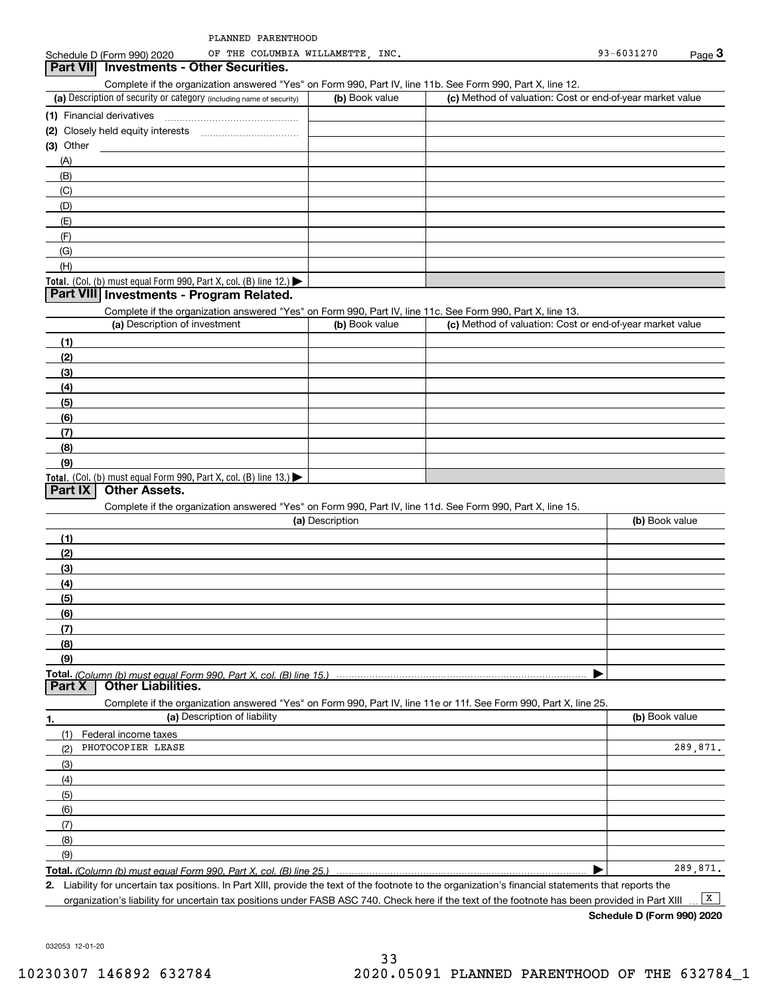Schedule D (Form 990) 2020 OF THE COLUMBIA WILLAMETTE, INC. 93-6031270 Page 3 OF THE COLUMBIA WILLAMETTE,

# **3Part VII Investments - Other Securities.**

Complete if the organization answered "Yes" on Form 990, Part IV, line 11b. See Form 990, Part X, line 12.

| (a) Description of security or category (including name of security)       | (b) Book value | (c) Method of valuation: Cost or end-of-year market value |
|----------------------------------------------------------------------------|----------------|-----------------------------------------------------------|
| (1) Financial derivatives                                                  |                |                                                           |
| (2) Closely held equity interests                                          |                |                                                           |
| (3) Other                                                                  |                |                                                           |
| (A)                                                                        |                |                                                           |
| (B)                                                                        |                |                                                           |
| (C)                                                                        |                |                                                           |
| (D)                                                                        |                |                                                           |
| (E)                                                                        |                |                                                           |
| (F)                                                                        |                |                                                           |
| (G)                                                                        |                |                                                           |
| (H)                                                                        |                |                                                           |
| <b>Total.</b> (Col. (b) must equal Form 990, Part X, col. (B) line $12$ .) |                |                                                           |

# **Part VIII Investments - Program Related.**

Complete if the organization answered "Yes" on Form 990, Part IV, line 11c. See Form 990, Part X, line 13.

| (a) Description of investment                                                          | (b) Book value | (c) Method of valuation: Cost or end-of-year market value |
|----------------------------------------------------------------------------------------|----------------|-----------------------------------------------------------|
| (1)                                                                                    |                |                                                           |
| (2)                                                                                    |                |                                                           |
| $\frac{1}{2}$                                                                          |                |                                                           |
| (4)                                                                                    |                |                                                           |
| $\frac{1}{2}$                                                                          |                |                                                           |
| (6)                                                                                    |                |                                                           |
| $\sqrt{(7)}$                                                                           |                |                                                           |
| (8)                                                                                    |                |                                                           |
| (9)                                                                                    |                |                                                           |
| Total. (Col. (b) must equal Form 990, Part X, col. (B) line 13.) $\blacktriangleright$ |                |                                                           |

## **Part IX Other Assets.**

Complete if the organization answered "Yes" on Form 990, Part IV, line 11d. See Form 990, Part X, line 15.

| (a) Description | (b) Book value |
|-----------------|----------------|
| (1)             |                |
| (2)             |                |
| (3)             |                |
| (4)             |                |
| (5)             |                |
| (6)             |                |
|                 |                |
| (8)             |                |
| (9)             |                |
|                 |                |
|                 |                |

**1.(a)** Description of liability **Book value** Book value Book value Book value Book value Complete if the organization answered "Yes" on Form 990, Part IV, line 11e or 11f. See Form 990, Part X, line 25. (1)(2)(3)(4)(5) (6)(7)(8)(9)Federal income taxes  $\blacktriangleright$ PHOTOCOPIER LEASE 289,871. 289,871.

**Total.**  *(Column (b) must equal Form 990, Part X, col. (B) line 25.)* 

**2.**Liability for uncertain tax positions. In Part XIII, provide the text of the footnote to the organization's financial statements that reports the organization's liability for uncertain tax positions under FASB ASC 740. Check here if the text of the footnote has been provided in Part XIII  $\boxed{\mathbf{X}}$ 

**Schedule D (Form 990) 2020**

032053 12-01-20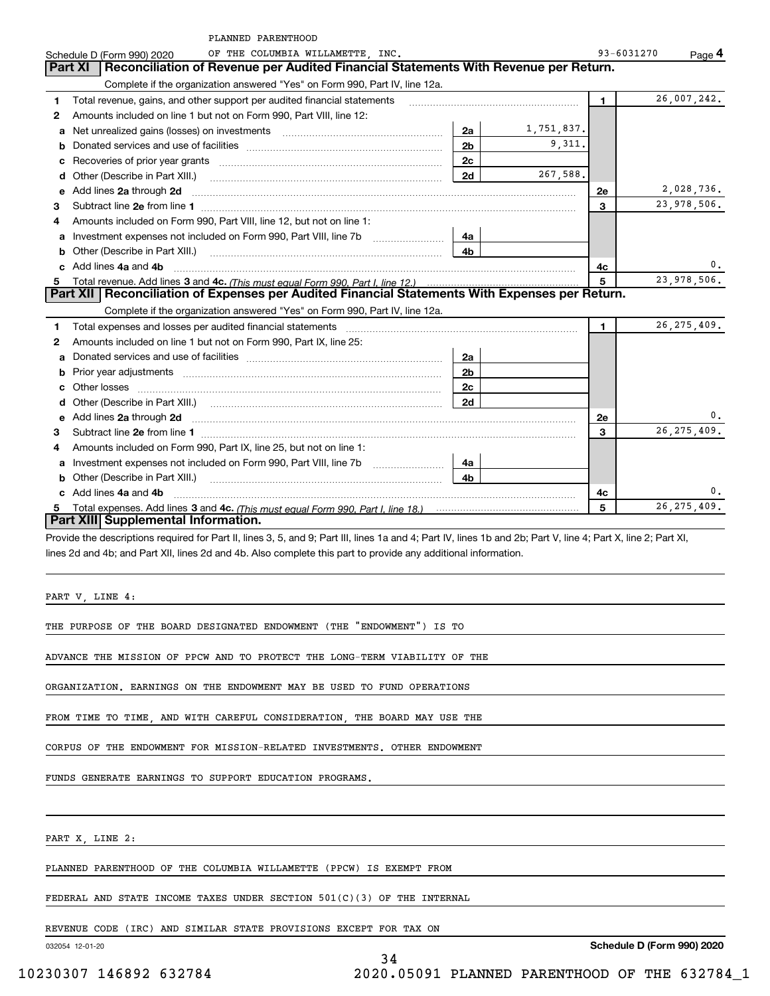|        | PLANNED PARENTHOOD                                                                                                                                                                                                                                                        |                |            |              |               |
|--------|---------------------------------------------------------------------------------------------------------------------------------------------------------------------------------------------------------------------------------------------------------------------------|----------------|------------|--------------|---------------|
|        | OF THE COLUMBIA WILLAMETTE, INC.<br>Schedule D (Form 990) 2020                                                                                                                                                                                                            |                |            | 93-6031270   | Page 4        |
|        | Reconciliation of Revenue per Audited Financial Statements With Revenue per Return.<br>Part XI                                                                                                                                                                            |                |            |              |               |
|        | Complete if the organization answered "Yes" on Form 990, Part IV, line 12a.                                                                                                                                                                                               |                |            |              |               |
| 1      | Total revenue, gains, and other support per audited financial statements                                                                                                                                                                                                  |                |            | 1            | 26,007,242.   |
| 2      | Amounts included on line 1 but not on Form 990, Part VIII, line 12:                                                                                                                                                                                                       |                |            |              |               |
| а      | Net unrealized gains (losses) on investments [11] matter contracts and all of the unrealized gains (losses) on investments [11] matter contracts and all of the unrealized gains (losses) on investments and all of the unreal                                            | 2a             | 1,751,837. |              |               |
| b      |                                                                                                                                                                                                                                                                           | 2 <sub>b</sub> | 9,311.     |              |               |
| с      |                                                                                                                                                                                                                                                                           | 2c             |            |              |               |
| d      | Other (Describe in Part XIII.)                                                                                                                                                                                                                                            | 2d             | 267,588.   |              |               |
| е      | Add lines 2a through 2d                                                                                                                                                                                                                                                   |                |            | 2e           | 2,028,736.    |
| 3      |                                                                                                                                                                                                                                                                           |                |            | 3            | 23,978,506.   |
| 4      | Amounts included on Form 990, Part VIII, line 12, but not on line 1:                                                                                                                                                                                                      |                |            |              |               |
| a      |                                                                                                                                                                                                                                                                           | 4a             |            |              |               |
| b      |                                                                                                                                                                                                                                                                           | 4b             |            |              |               |
| c      | Add lines 4a and 4b                                                                                                                                                                                                                                                       |                |            | 4c           | 0.            |
| 5.     | Part XII   Reconciliation of Expenses per Audited Financial Statements With Expenses per Return.                                                                                                                                                                          |                |            | 5            | 23, 978, 506. |
|        |                                                                                                                                                                                                                                                                           |                |            |              |               |
|        | Complete if the organization answered "Yes" on Form 990, Part IV, line 12a.                                                                                                                                                                                               |                |            |              | 26, 275, 409. |
| 1      | Total expenses and losses per audited financial statements [11] [11] Total expenses and losses per audited financial statements [11] [11] Total expenses and losses per audited financial statements<br>Amounts included on line 1 but not on Form 990, Part IX, line 25: |                |            | $\mathbf{1}$ |               |
| 2<br>a |                                                                                                                                                                                                                                                                           | 2a             |            |              |               |
| b      |                                                                                                                                                                                                                                                                           | 2 <sub>b</sub> |            |              |               |
|        |                                                                                                                                                                                                                                                                           | 2c             |            |              |               |
| d      |                                                                                                                                                                                                                                                                           | 2d             |            |              |               |
| е      | Add lines 2a through 2d <b>contract and all anomalisation</b> and all anomalisation of the state of the state of the state of the state of the state of the state of the state of the state of the state of the state of the state                                        |                |            | 2e           | 0.            |
| з      |                                                                                                                                                                                                                                                                           |                |            | 3            | 26, 275, 409. |
| 4      | Amounts included on Form 990, Part IX, line 25, but not on line 1:                                                                                                                                                                                                        |                |            |              |               |
| a      | Investment expenses not included on Form 990, Part VIII, line 7b [11, 111, 111, 111]                                                                                                                                                                                      | 4a             |            |              |               |
| b      | Other (Describe in Part XIII.) [100] [100] [100] [100] [100] [100] [100] [100] [100] [100] [100] [100] [100] [                                                                                                                                                            | 4b.            |            |              |               |
|        | c Add lines 4a and 4b                                                                                                                                                                                                                                                     |                |            | 4c           | 0.            |
| 5.     |                                                                                                                                                                                                                                                                           |                |            | 5            | 26, 275, 409. |
|        | Part XIII Supplemental Information.                                                                                                                                                                                                                                       |                |            |              |               |
|        | Provide the descriptions required for Part II, lines 3, 5, and 9; Part III, lines 1a and 4; Part IV, lines 1b and 2b; Part V, line 4; Part X, line 2; Part XI,                                                                                                            |                |            |              |               |
|        | lines 2d and 4b; and Part XII, lines 2d and 4b. Also complete this part to provide any additional information.                                                                                                                                                            |                |            |              |               |
|        |                                                                                                                                                                                                                                                                           |                |            |              |               |
|        |                                                                                                                                                                                                                                                                           |                |            |              |               |
|        | PART V, LINE 4:                                                                                                                                                                                                                                                           |                |            |              |               |
|        | THE PURPOSE OF THE BOARD DESIGNATED ENDOWMENT (THE "ENDOWMENT") IS TO                                                                                                                                                                                                     |                |            |              |               |
|        |                                                                                                                                                                                                                                                                           |                |            |              |               |
|        | ADVANCE THE MISSION OF PPCW AND TO PROTECT THE LONG-TERM VIABILITY OF THE                                                                                                                                                                                                 |                |            |              |               |
|        |                                                                                                                                                                                                                                                                           |                |            |              |               |
|        | ORGANIZATION. EARNINGS ON THE ENDOWMENT MAY BE USED TO FUND OPERATIONS                                                                                                                                                                                                    |                |            |              |               |
|        | FROM TIME TO TIME, AND WITH CAREFUL CONSIDERATION, THE BOARD MAY USE THE                                                                                                                                                                                                  |                |            |              |               |
|        | CORPUS OF THE ENDOWMENT FOR MISSION-RELATED INVESTMENTS. OTHER ENDOWMENT                                                                                                                                                                                                  |                |            |              |               |
|        | FUNDS GENERATE EARNINGS TO SUPPORT EDUCATION PROGRAMS.                                                                                                                                                                                                                    |                |            |              |               |
|        |                                                                                                                                                                                                                                                                           |                |            |              |               |
|        |                                                                                                                                                                                                                                                                           |                |            |              |               |
|        | PART X, LINE 2:                                                                                                                                                                                                                                                           |                |            |              |               |
|        |                                                                                                                                                                                                                                                                           |                |            |              |               |

PLANNED PARENTHOOD OF THE COLUMBIA WILLAMETTE (PPCW) IS EXEMPT FROM

FEDERAL AND STATE INCOME TAXES UNDER SECTION 501(C)(3) OF THE INTERNAL

REVENUE CODE (IRC) AND SIMILAR STATE PROVISIONS EXCEPT FOR TAX ON

032054 12-01-20

**Schedule D (Form 990) 2020**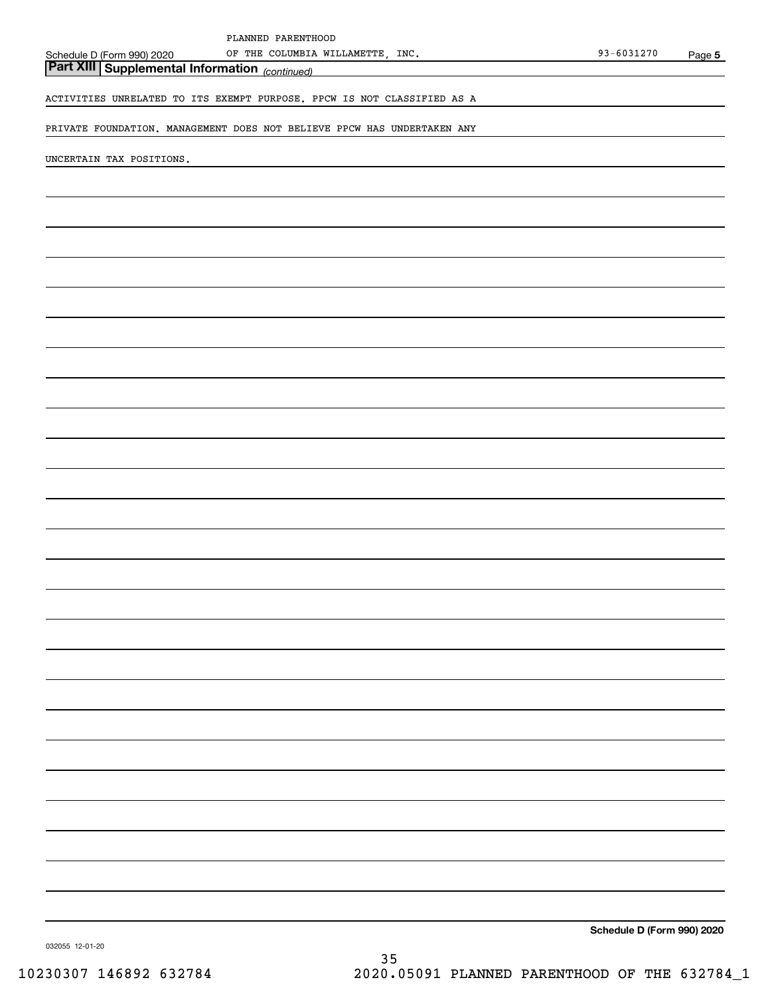| PLANNED PARENTHOOD<br>OF THE COLUMBIA WILLAMETTE, INC.<br>Schedule D (Form 990) 2020<br><u> 1989 - Johann John Stone, mars et al.</u> | 93-6031270                 | Page 5 |
|---------------------------------------------------------------------------------------------------------------------------------------|----------------------------|--------|
| Part XIII Supplemental Information (continued)                                                                                        |                            |        |
| ACTIVITIES UNRELATED TO ITS EXEMPT PURPOSE. PPCW IS NOT CLASSIFIED AS A                                                               |                            |        |
| PRIVATE FOUNDATION. MANAGEMENT DOES NOT BELIEVE PPCW HAS UNDERTAKEN ANY                                                               |                            |        |
| UNCERTAIN TAX POSITIONS.                                                                                                              |                            |        |
|                                                                                                                                       |                            |        |
|                                                                                                                                       |                            |        |
|                                                                                                                                       |                            |        |
|                                                                                                                                       |                            |        |
|                                                                                                                                       |                            |        |
|                                                                                                                                       |                            |        |
|                                                                                                                                       |                            |        |
|                                                                                                                                       |                            |        |
|                                                                                                                                       |                            |        |
|                                                                                                                                       |                            |        |
|                                                                                                                                       |                            |        |
|                                                                                                                                       |                            |        |
|                                                                                                                                       |                            |        |
|                                                                                                                                       |                            |        |
|                                                                                                                                       |                            |        |
|                                                                                                                                       |                            |        |
|                                                                                                                                       |                            |        |
|                                                                                                                                       |                            |        |
|                                                                                                                                       |                            |        |
|                                                                                                                                       |                            |        |
|                                                                                                                                       |                            |        |
|                                                                                                                                       |                            |        |
|                                                                                                                                       |                            |        |
|                                                                                                                                       |                            |        |
|                                                                                                                                       |                            |        |
|                                                                                                                                       | Schedule D (Form 990) 2020 |        |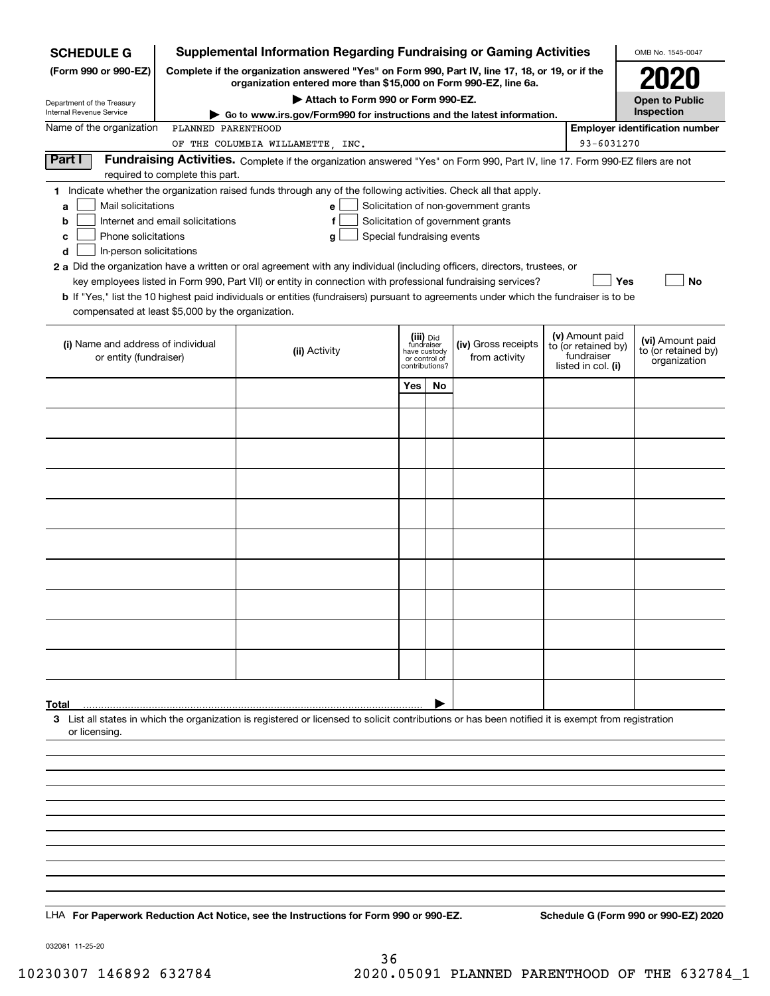| <b>SCHEDULE G</b>                                                                                                                             | <b>Supplemental Information Regarding Fundraising or Gaming Activities</b>                      |                                                                                                                                                                                                                                                                                                                                                                                                                                                                                                                                                    | OMB No. 1545-0047                            |                            |                                                                            |  |                                                                            |                                                         |
|-----------------------------------------------------------------------------------------------------------------------------------------------|-------------------------------------------------------------------------------------------------|----------------------------------------------------------------------------------------------------------------------------------------------------------------------------------------------------------------------------------------------------------------------------------------------------------------------------------------------------------------------------------------------------------------------------------------------------------------------------------------------------------------------------------------------------|----------------------------------------------|----------------------------|----------------------------------------------------------------------------|--|----------------------------------------------------------------------------|---------------------------------------------------------|
| (Form 990 or 990-EZ)                                                                                                                          | Complete if the organization answered "Yes" on Form 990, Part IV, line 17, 18, or 19, or if the | <b>2020</b>                                                                                                                                                                                                                                                                                                                                                                                                                                                                                                                                        |                                              |                            |                                                                            |  |                                                                            |                                                         |
|                                                                                                                                               |                                                                                                 | <b>Open to Public</b>                                                                                                                                                                                                                                                                                                                                                                                                                                                                                                                              |                                              |                            |                                                                            |  |                                                                            |                                                         |
| Department of the Treasury<br>Internal Revenue Service                                                                                        |                                                                                                 | Attach to Form 990 or Form 990-EZ.<br>Go to www.irs.gov/Form990 for instructions and the latest information.                                                                                                                                                                                                                                                                                                                                                                                                                                       |                                              |                            |                                                                            |  |                                                                            | Inspection                                              |
| Name of the organization                                                                                                                      | PLANNED PARENTHOOD                                                                              |                                                                                                                                                                                                                                                                                                                                                                                                                                                                                                                                                    |                                              |                            |                                                                            |  |                                                                            | <b>Employer identification number</b>                   |
|                                                                                                                                               |                                                                                                 | OF THE COLUMBIA WILLAMETTE, INC.                                                                                                                                                                                                                                                                                                                                                                                                                                                                                                                   |                                              |                            |                                                                            |  | 93-6031270                                                                 |                                                         |
| Part I                                                                                                                                        | required to complete this part.                                                                 | Fundraising Activities. Complete if the organization answered "Yes" on Form 990, Part IV, line 17. Form 990-EZ filers are not                                                                                                                                                                                                                                                                                                                                                                                                                      |                                              |                            |                                                                            |  |                                                                            |                                                         |
| Mail solicitations<br>a<br>b<br>Phone solicitations<br>с<br>In-person solicitations<br>d<br>compensated at least \$5,000 by the organization. | Internet and email solicitations                                                                | 1 Indicate whether the organization raised funds through any of the following activities. Check all that apply.<br>е<br>f<br>Special fundraising events<br>g<br>2 a Did the organization have a written or oral agreement with any individual (including officers, directors, trustees, or<br>key employees listed in Form 990, Part VII) or entity in connection with professional fundraising services?<br>b If "Yes," list the 10 highest paid individuals or entities (fundraisers) pursuant to agreements under which the fundraiser is to be |                                              |                            | Solicitation of non-government grants<br>Solicitation of government grants |  | Yes                                                                        | No                                                      |
| (i) Name and address of individual<br>or entity (fundraiser)                                                                                  |                                                                                                 | (ii) Activity                                                                                                                                                                                                                                                                                                                                                                                                                                                                                                                                      | fundraiser<br>have custody<br>contributions? | (iii) Did<br>or control of | (iv) Gross receipts<br>from activity                                       |  | (v) Amount paid<br>to (or retained by)<br>fundraiser<br>listed in col. (i) | (vi) Amount paid<br>to (or retained by)<br>organization |
|                                                                                                                                               |                                                                                                 |                                                                                                                                                                                                                                                                                                                                                                                                                                                                                                                                                    | Yes                                          | No                         |                                                                            |  |                                                                            |                                                         |
|                                                                                                                                               |                                                                                                 |                                                                                                                                                                                                                                                                                                                                                                                                                                                                                                                                                    |                                              |                            |                                                                            |  |                                                                            |                                                         |
|                                                                                                                                               |                                                                                                 |                                                                                                                                                                                                                                                                                                                                                                                                                                                                                                                                                    |                                              |                            |                                                                            |  |                                                                            |                                                         |
|                                                                                                                                               |                                                                                                 |                                                                                                                                                                                                                                                                                                                                                                                                                                                                                                                                                    |                                              |                            |                                                                            |  |                                                                            |                                                         |
|                                                                                                                                               |                                                                                                 |                                                                                                                                                                                                                                                                                                                                                                                                                                                                                                                                                    |                                              |                            |                                                                            |  |                                                                            |                                                         |
|                                                                                                                                               |                                                                                                 |                                                                                                                                                                                                                                                                                                                                                                                                                                                                                                                                                    |                                              |                            |                                                                            |  |                                                                            |                                                         |
|                                                                                                                                               |                                                                                                 |                                                                                                                                                                                                                                                                                                                                                                                                                                                                                                                                                    |                                              |                            |                                                                            |  |                                                                            |                                                         |
|                                                                                                                                               |                                                                                                 |                                                                                                                                                                                                                                                                                                                                                                                                                                                                                                                                                    |                                              |                            |                                                                            |  |                                                                            |                                                         |
|                                                                                                                                               |                                                                                                 |                                                                                                                                                                                                                                                                                                                                                                                                                                                                                                                                                    |                                              |                            |                                                                            |  |                                                                            |                                                         |
|                                                                                                                                               |                                                                                                 |                                                                                                                                                                                                                                                                                                                                                                                                                                                                                                                                                    |                                              |                            |                                                                            |  |                                                                            |                                                         |
|                                                                                                                                               |                                                                                                 |                                                                                                                                                                                                                                                                                                                                                                                                                                                                                                                                                    |                                              |                            |                                                                            |  |                                                                            |                                                         |
|                                                                                                                                               |                                                                                                 |                                                                                                                                                                                                                                                                                                                                                                                                                                                                                                                                                    |                                              |                            |                                                                            |  |                                                                            |                                                         |
| Total                                                                                                                                         |                                                                                                 |                                                                                                                                                                                                                                                                                                                                                                                                                                                                                                                                                    |                                              |                            |                                                                            |  |                                                                            |                                                         |
| or licensing.                                                                                                                                 |                                                                                                 | 3 List all states in which the organization is registered or licensed to solicit contributions or has been notified it is exempt from registration                                                                                                                                                                                                                                                                                                                                                                                                 |                                              |                            |                                                                            |  |                                                                            |                                                         |
|                                                                                                                                               |                                                                                                 |                                                                                                                                                                                                                                                                                                                                                                                                                                                                                                                                                    |                                              |                            |                                                                            |  |                                                                            |                                                         |
|                                                                                                                                               |                                                                                                 |                                                                                                                                                                                                                                                                                                                                                                                                                                                                                                                                                    |                                              |                            |                                                                            |  |                                                                            |                                                         |
|                                                                                                                                               |                                                                                                 |                                                                                                                                                                                                                                                                                                                                                                                                                                                                                                                                                    |                                              |                            |                                                                            |  |                                                                            |                                                         |
|                                                                                                                                               |                                                                                                 |                                                                                                                                                                                                                                                                                                                                                                                                                                                                                                                                                    |                                              |                            |                                                                            |  |                                                                            |                                                         |
|                                                                                                                                               |                                                                                                 |                                                                                                                                                                                                                                                                                                                                                                                                                                                                                                                                                    |                                              |                            |                                                                            |  |                                                                            |                                                         |
|                                                                                                                                               |                                                                                                 |                                                                                                                                                                                                                                                                                                                                                                                                                                                                                                                                                    |                                              |                            |                                                                            |  |                                                                            |                                                         |
|                                                                                                                                               |                                                                                                 |                                                                                                                                                                                                                                                                                                                                                                                                                                                                                                                                                    |                                              |                            |                                                                            |  |                                                                            |                                                         |
|                                                                                                                                               |                                                                                                 |                                                                                                                                                                                                                                                                                                                                                                                                                                                                                                                                                    |                                              |                            |                                                                            |  |                                                                            |                                                         |
|                                                                                                                                               |                                                                                                 |                                                                                                                                                                                                                                                                                                                                                                                                                                                                                                                                                    |                                              |                            |                                                                            |  |                                                                            |                                                         |
|                                                                                                                                               |                                                                                                 | LHA For Paperwork Reduction Act Notice, see the Instructions for Form 990 or 990-EZ.                                                                                                                                                                                                                                                                                                                                                                                                                                                               |                                              |                            |                                                                            |  |                                                                            | Schedule G (Form 990 or 990-EZ) 2020                    |

032081 11-25-20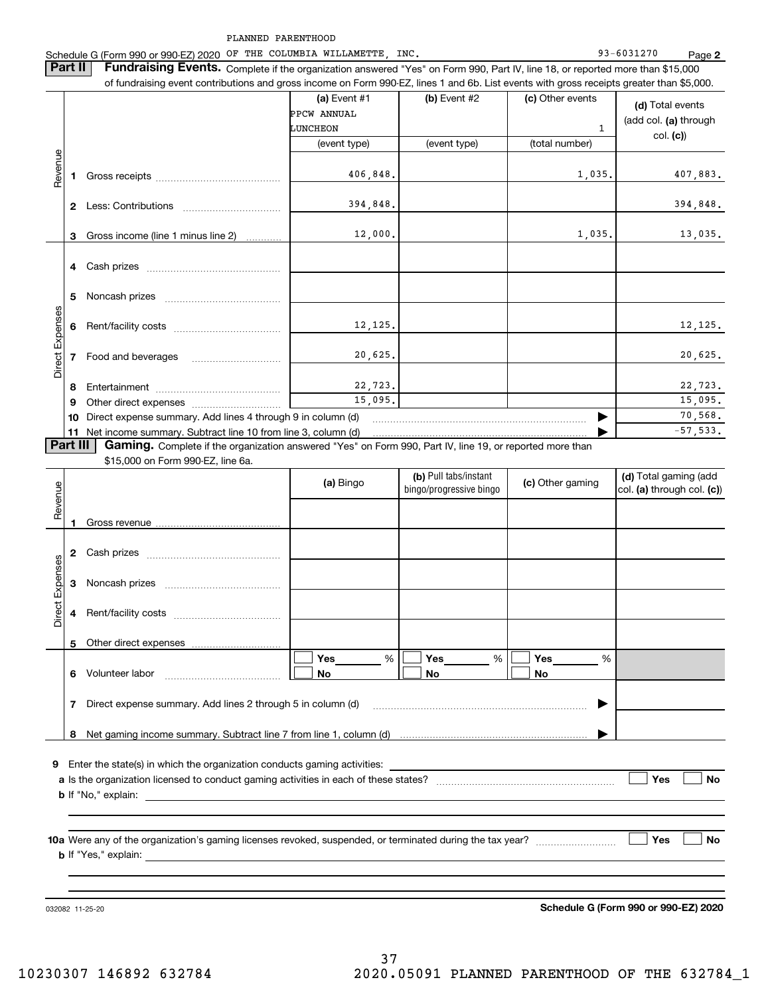|                 | Schedule G (Form 990 or 990-EZ) 2020 OF THE COLUMBIA WILLAMETTE, INC.                                                                                                                                                                                                                 | PLANNED PARENTHOOD            |                                                  |                                | 93-6031270<br>Page 2                                |
|-----------------|---------------------------------------------------------------------------------------------------------------------------------------------------------------------------------------------------------------------------------------------------------------------------------------|-------------------------------|--------------------------------------------------|--------------------------------|-----------------------------------------------------|
|                 | Part II<br>Fundraising Events. Complete if the organization answered "Yes" on Form 990, Part IV, line 18, or reported more than \$15,000<br>of fundraising event contributions and gross income on Form 990-EZ, lines 1 and 6b. List events with gross receipts greater than \$5,000. |                               |                                                  |                                |                                                     |
|                 |                                                                                                                                                                                                                                                                                       | (a) Event $#1$<br>PPCW ANNUAL | $(b)$ Event #2                                   | (c) Other events               | (d) Total events                                    |
| Revenue         |                                                                                                                                                                                                                                                                                       | LUNCHEON<br>(event type)      | (event type)                                     | $\mathbf{1}$<br>(total number) | (add col. (a) through<br>col. (c)                   |
|                 |                                                                                                                                                                                                                                                                                       | 406,848.                      |                                                  | 1,035.                         | 407,883.                                            |
|                 | 2.                                                                                                                                                                                                                                                                                    | 394,848.                      |                                                  |                                | 394,848.                                            |
|                 | Gross income (line 1 minus line 2)<br>3                                                                                                                                                                                                                                               | 12,000.                       |                                                  | 1,035.                         | 13,035.                                             |
|                 | 4                                                                                                                                                                                                                                                                                     |                               |                                                  |                                |                                                     |
|                 | 5                                                                                                                                                                                                                                                                                     |                               |                                                  |                                |                                                     |
| Direct Expenses | 6                                                                                                                                                                                                                                                                                     | 12,125.                       |                                                  |                                | 12,125.                                             |
|                 | Food and beverages<br>7                                                                                                                                                                                                                                                               | 20,625.                       |                                                  |                                | 20,625.                                             |
|                 | 8                                                                                                                                                                                                                                                                                     | 22,723.                       |                                                  |                                | 22,723.                                             |
|                 | 9<br>Direct expense summary. Add lines 4 through 9 in column (d)<br>10                                                                                                                                                                                                                | 15,095.                       |                                                  | ▶                              | 15,095.<br>70,568.                                  |
|                 | 11 Net income summary. Subtract line 10 from line 3, column (d)                                                                                                                                                                                                                       |                               |                                                  |                                | $-57,533.$                                          |
|                 | Part III<br>Gaming. Complete if the organization answered "Yes" on Form 990, Part IV, line 19, or reported more than                                                                                                                                                                  |                               |                                                  |                                |                                                     |
| Revenue         | \$15,000 on Form 990-EZ, line 6a.                                                                                                                                                                                                                                                     | (a) Bingo                     | (b) Pull tabs/instant<br>bingo/progressive bingo | (c) Other gaming               | (d) Total gaming (add<br>col. (a) through col. (c)) |
|                 |                                                                                                                                                                                                                                                                                       |                               |                                                  |                                |                                                     |
|                 | 2                                                                                                                                                                                                                                                                                     |                               |                                                  |                                |                                                     |
|                 |                                                                                                                                                                                                                                                                                       |                               |                                                  |                                |                                                     |
|                 | 3                                                                                                                                                                                                                                                                                     |                               |                                                  |                                |                                                     |
|                 | 4                                                                                                                                                                                                                                                                                     |                               |                                                  |                                |                                                     |
| Direct Expenses | Other direct expenses<br>5                                                                                                                                                                                                                                                            |                               |                                                  |                                |                                                     |
|                 | Volunteer labor<br>6                                                                                                                                                                                                                                                                  | %<br>Yes<br>No                | Yes<br>%<br>No                                   | Yes_<br>%<br>No                |                                                     |
|                 | Direct expense summary. Add lines 2 through 5 in column (d)<br>7                                                                                                                                                                                                                      |                               |                                                  | ▶                              |                                                     |
|                 | 8                                                                                                                                                                                                                                                                                     |                               |                                                  |                                |                                                     |
| 9               | Enter the state(s) in which the organization conducts gaming activities:                                                                                                                                                                                                              |                               |                                                  |                                |                                                     |
|                 | <b>b</b> If "No," explain:                                                                                                                                                                                                                                                            |                               |                                                  |                                | Yes<br><b>No</b>                                    |

032082 11-25-20

**Schedule G (Form 990 or 990-EZ) 2020**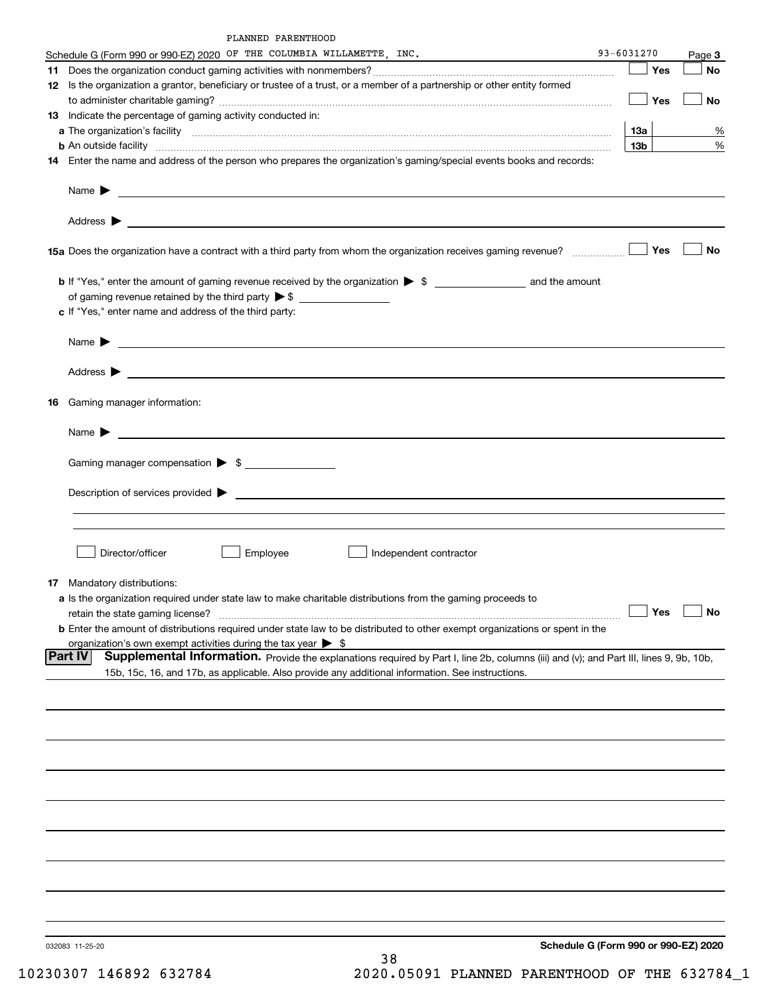| PLANNED PARENTHOOD |
|--------------------|
|                    |

|    | Schedule G (Form 990 or 990-EZ) 2020 OF THE COLUMBIA WILLAMETTE, INC.                                                                             | 93-6031270      |            | Page 3    |
|----|---------------------------------------------------------------------------------------------------------------------------------------------------|-----------------|------------|-----------|
| 11 |                                                                                                                                                   |                 | Yes        | No        |
|    | 12 Is the organization a grantor, beneficiary or trustee of a trust, or a member of a partnership or other entity formed                          |                 |            |           |
|    |                                                                                                                                                   |                 | │ Yes      | No        |
|    | 13 Indicate the percentage of gaming activity conducted in:                                                                                       |                 |            |           |
|    |                                                                                                                                                   | 13a             |            | %         |
|    | <b>b</b> An outside facility <i>www.communicality www.communicality.communicality www.communicality www.communicality.com</i>                     | 13 <sub>b</sub> |            | $\%$      |
|    | 14 Enter the name and address of the person who prepares the organization's gaming/special events books and records:                              |                 |            |           |
|    |                                                                                                                                                   |                 |            |           |
|    |                                                                                                                                                   |                 |            |           |
|    |                                                                                                                                                   |                 |            |           |
|    |                                                                                                                                                   |                 |            | No        |
|    |                                                                                                                                                   |                 |            |           |
|    |                                                                                                                                                   |                 |            |           |
|    | c If "Yes," enter name and address of the third party:                                                                                            |                 |            |           |
|    |                                                                                                                                                   |                 |            |           |
|    |                                                                                                                                                   |                 |            |           |
|    |                                                                                                                                                   |                 |            |           |
|    |                                                                                                                                                   |                 |            |           |
|    |                                                                                                                                                   |                 |            |           |
|    |                                                                                                                                                   |                 |            |           |
|    | 16 Gaming manager information:                                                                                                                    |                 |            |           |
|    |                                                                                                                                                   |                 |            |           |
|    | Name $\blacktriangleright$ $\bot$                                                                                                                 |                 |            |           |
|    |                                                                                                                                                   |                 |            |           |
|    | Gaming manager compensation > \$                                                                                                                  |                 |            |           |
|    |                                                                                                                                                   |                 |            |           |
|    |                                                                                                                                                   |                 |            |           |
|    |                                                                                                                                                   |                 |            |           |
|    |                                                                                                                                                   |                 |            |           |
|    |                                                                                                                                                   |                 |            |           |
|    | Director/officer<br>Employee<br>Independent contractor                                                                                            |                 |            |           |
|    |                                                                                                                                                   |                 |            |           |
|    | <b>17</b> Mandatory distributions:                                                                                                                |                 |            |           |
|    | a Is the organization required under state law to make charitable distributions from the gaming proceeds to                                       |                 |            |           |
|    | retain the state gaming license?                                                                                                                  |                 | $\Box$ Yes | $\Box$ No |
|    | <b>b</b> Enter the amount of distributions required under state law to be distributed to other exempt organizations or spent in the               |                 |            |           |
|    | organization's own exempt activities during the tax year $\triangleright$ \$                                                                      |                 |            |           |
|    | Part IV<br>Supplemental Information. Provide the explanations required by Part I, line 2b, columns (iii) and (v); and Part III, lines 9, 9b, 10b, |                 |            |           |
|    | 15b, 15c, 16, and 17b, as applicable. Also provide any additional information. See instructions.                                                  |                 |            |           |
|    |                                                                                                                                                   |                 |            |           |
|    |                                                                                                                                                   |                 |            |           |
|    |                                                                                                                                                   |                 |            |           |
|    |                                                                                                                                                   |                 |            |           |
|    |                                                                                                                                                   |                 |            |           |
|    |                                                                                                                                                   |                 |            |           |
|    |                                                                                                                                                   |                 |            |           |
|    |                                                                                                                                                   |                 |            |           |
|    |                                                                                                                                                   |                 |            |           |
|    |                                                                                                                                                   |                 |            |           |
|    |                                                                                                                                                   |                 |            |           |
|    |                                                                                                                                                   |                 |            |           |
|    |                                                                                                                                                   |                 |            |           |
|    |                                                                                                                                                   |                 |            |           |
|    |                                                                                                                                                   |                 |            |           |
|    |                                                                                                                                                   |                 |            |           |
|    |                                                                                                                                                   |                 |            |           |
|    |                                                                                                                                                   |                 |            |           |
|    | Schedule G (Form 990 or 990-EZ) 2020<br>032083 11-25-20                                                                                           |                 |            |           |
|    | 38                                                                                                                                                |                 |            |           |

38 10230307 146892 632784 2020.05091 PLANNED PARENTHOOD OF THE 632784\_1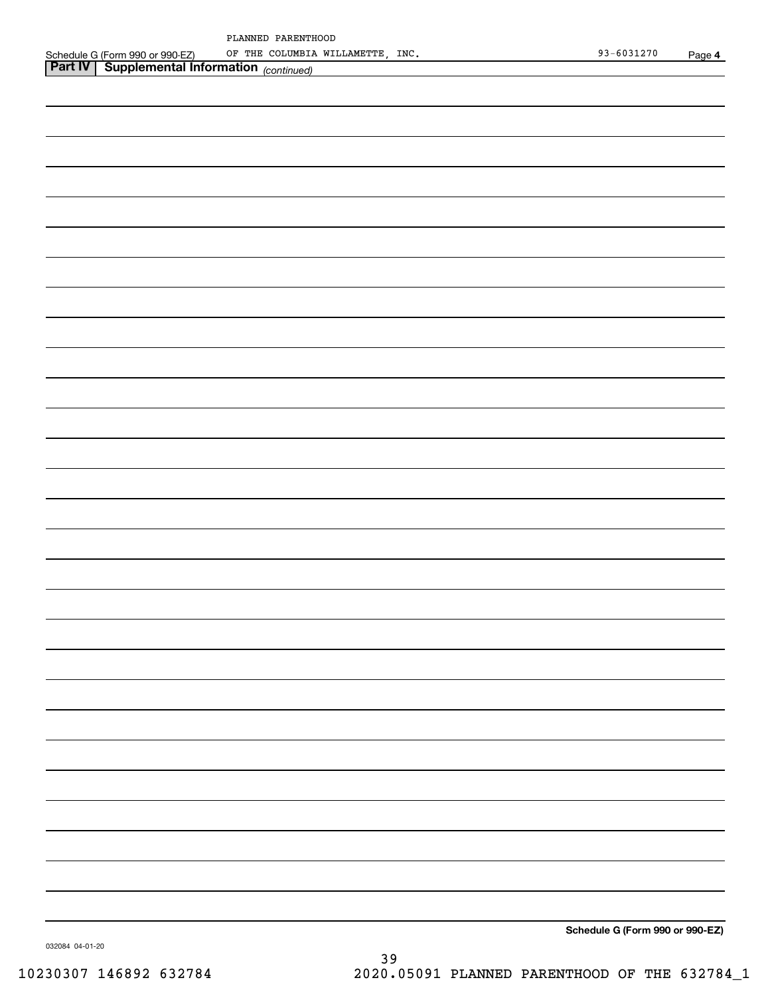| PLANNED PARENTHOOD         |  |
|----------------------------|--|
| OF THE COLUMBIA WILLAMETTE |  |

| OF THE COLUMBIA WILLAMETTE, INC.                                                                         | 93-6031270 | Page 4 |
|----------------------------------------------------------------------------------------------------------|------------|--------|
| Schedule G (Form 990 or 990-EZ) OF THE COLUMBIA<br><b>Part IV   Supplemental Information</b> (continued) |            |        |
|                                                                                                          |            |        |
|                                                                                                          |            |        |
|                                                                                                          |            |        |
|                                                                                                          |            |        |
|                                                                                                          |            |        |
|                                                                                                          |            |        |
|                                                                                                          |            |        |
|                                                                                                          |            |        |
|                                                                                                          |            |        |
|                                                                                                          |            |        |
|                                                                                                          |            |        |
|                                                                                                          |            |        |
|                                                                                                          |            |        |
|                                                                                                          |            |        |
|                                                                                                          |            |        |
|                                                                                                          |            |        |
|                                                                                                          |            |        |
|                                                                                                          |            |        |
|                                                                                                          |            |        |
|                                                                                                          |            |        |
|                                                                                                          |            |        |
|                                                                                                          |            |        |
|                                                                                                          |            |        |
|                                                                                                          |            |        |
|                                                                                                          |            |        |
|                                                                                                          |            |        |
|                                                                                                          |            |        |
|                                                                                                          |            |        |
|                                                                                                          |            |        |
|                                                                                                          |            |        |
|                                                                                                          |            |        |
|                                                                                                          |            |        |
|                                                                                                          |            |        |
|                                                                                                          |            |        |
|                                                                                                          |            |        |
|                                                                                                          |            |        |
|                                                                                                          |            |        |
|                                                                                                          |            |        |
|                                                                                                          |            |        |
|                                                                                                          |            |        |
|                                                                                                          |            |        |
|                                                                                                          |            |        |
|                                                                                                          |            |        |
|                                                                                                          |            |        |
|                                                                                                          |            |        |
|                                                                                                          |            |        |
|                                                                                                          |            |        |
|                                                                                                          |            |        |
|                                                                                                          |            |        |
|                                                                                                          |            |        |
|                                                                                                          |            |        |
|                                                                                                          |            |        |
|                                                                                                          |            |        |
|                                                                                                          |            |        |
|                                                                                                          |            |        |
|                                                                                                          |            |        |
|                                                                                                          |            |        |
|                                                                                                          |            |        |
|                                                                                                          |            |        |
|                                                                                                          |            |        |
|                                                                                                          |            |        |
|                                                                                                          |            |        |
|                                                                                                          |            |        |
|                                                                                                          |            |        |
|                                                                                                          |            |        |

**Schedule G (Form 990 or 990-EZ)**

032084 04-01-20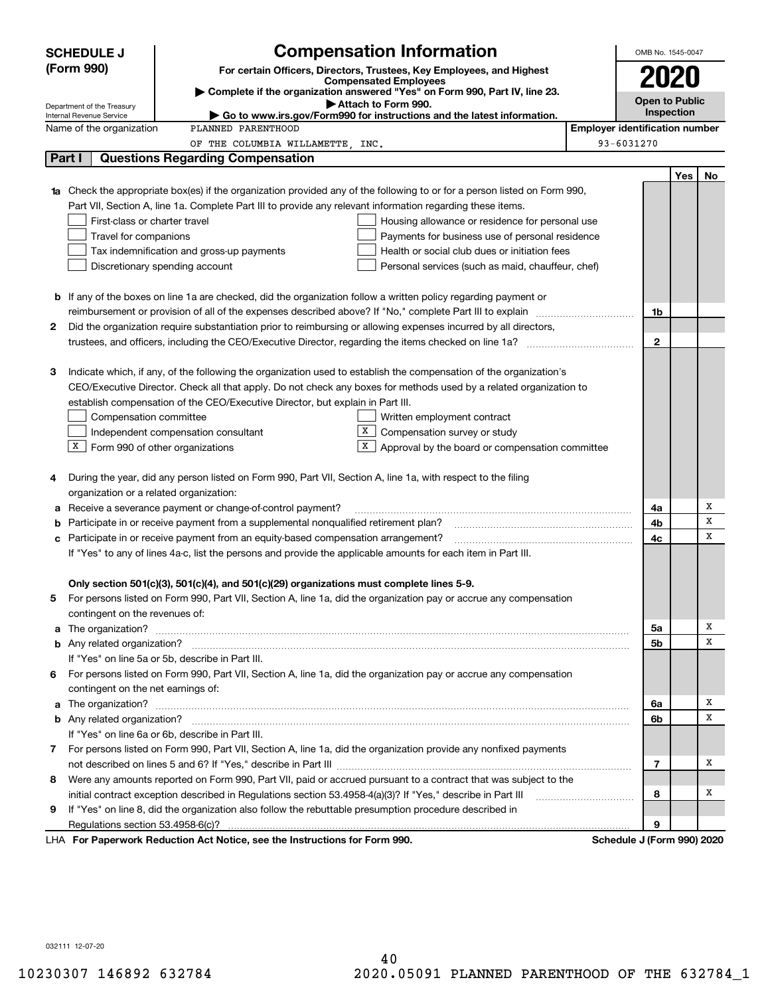| <b>SCHEDULE J</b> |                                                        | <b>Compensation Information</b>                                                                                        | OMB No. 1545-0047                     |     |    |
|-------------------|--------------------------------------------------------|------------------------------------------------------------------------------------------------------------------------|---------------------------------------|-----|----|
| (Form 990)        |                                                        | For certain Officers, Directors, Trustees, Key Employees, and Highest                                                  |                                       |     |    |
|                   |                                                        | <b>Compensated Employees</b>                                                                                           | 2020                                  |     |    |
|                   |                                                        | Complete if the organization answered "Yes" on Form 990, Part IV, line 23.<br>Attach to Form 990.                      | <b>Open to Public</b>                 |     |    |
|                   | Department of the Treasury<br>Internal Revenue Service | $\blacktriangleright$ Go to www.irs.gov/Form990 for instructions and the latest information.                           | Inspection                            |     |    |
|                   | Name of the organization                               | PLANNED PARENTHOOD                                                                                                     | <b>Employer identification number</b> |     |    |
|                   |                                                        | OF THE COLUMBIA WILLAMETTE, INC.                                                                                       | 93-6031270                            |     |    |
| Part I            |                                                        | <b>Questions Regarding Compensation</b>                                                                                |                                       |     |    |
|                   |                                                        |                                                                                                                        |                                       | Yes | No |
|                   |                                                        | Check the appropriate box(es) if the organization provided any of the following to or for a person listed on Form 990, |                                       |     |    |
|                   |                                                        | Part VII, Section A, line 1a. Complete Part III to provide any relevant information regarding these items.             |                                       |     |    |
|                   | First-class or charter travel                          | Housing allowance or residence for personal use                                                                        |                                       |     |    |
|                   | Travel for companions                                  | Payments for business use of personal residence                                                                        |                                       |     |    |
|                   |                                                        | Health or social club dues or initiation fees<br>Tax indemnification and gross-up payments                             |                                       |     |    |
|                   | Discretionary spending account                         | Personal services (such as maid, chauffeur, chef)                                                                      |                                       |     |    |
|                   |                                                        |                                                                                                                        |                                       |     |    |
|                   |                                                        | <b>b</b> If any of the boxes on line 1a are checked, did the organization follow a written policy regarding payment or |                                       |     |    |
|                   |                                                        |                                                                                                                        | 1b                                    |     |    |
| 2                 |                                                        | Did the organization require substantiation prior to reimbursing or allowing expenses incurred by all directors,       |                                       |     |    |
|                   |                                                        |                                                                                                                        | $\mathbf{2}$                          |     |    |
|                   |                                                        |                                                                                                                        |                                       |     |    |
| З                 |                                                        | Indicate which, if any, of the following the organization used to establish the compensation of the organization's     |                                       |     |    |
|                   |                                                        | CEO/Executive Director. Check all that apply. Do not check any boxes for methods used by a related organization to     |                                       |     |    |
|                   |                                                        | establish compensation of the CEO/Executive Director, but explain in Part III.                                         |                                       |     |    |
|                   | Compensation committee                                 | Written employment contract                                                                                            |                                       |     |    |
|                   |                                                        | x<br>Compensation survey or study<br>Independent compensation consultant                                               |                                       |     |    |
| х                 | $\perp$ Form 990 of other organizations                | Approval by the board or compensation committee                                                                        |                                       |     |    |
|                   |                                                        |                                                                                                                        |                                       |     |    |
| 4                 |                                                        | During the year, did any person listed on Form 990, Part VII, Section A, line 1a, with respect to the filing           |                                       |     |    |
|                   | organization or a related organization:                |                                                                                                                        |                                       |     |    |
| а                 |                                                        | Receive a severance payment or change-of-control payment?                                                              | 4a                                    |     | Х  |
| b                 |                                                        | Participate in or receive payment from a supplemental nonqualified retirement plan?                                    | 4b                                    |     | X  |
| с                 |                                                        | Participate in or receive payment from an equity-based compensation arrangement?                                       | 4с                                    |     | X  |
|                   |                                                        | If "Yes" to any of lines 4a-c, list the persons and provide the applicable amounts for each item in Part III.          |                                       |     |    |
|                   |                                                        |                                                                                                                        |                                       |     |    |
|                   |                                                        | Only section 501(c)(3), 501(c)(4), and 501(c)(29) organizations must complete lines 5-9.                               |                                       |     |    |
|                   |                                                        | For persons listed on Form 990, Part VII, Section A, line 1a, did the organization pay or accrue any compensation      |                                       |     |    |
|                   | contingent on the revenues of:                         |                                                                                                                        |                                       |     |    |
|                   |                                                        |                                                                                                                        | 5a                                    |     | х  |
|                   |                                                        |                                                                                                                        | 5b                                    |     | x  |
|                   |                                                        | If "Yes" on line 5a or 5b, describe in Part III.                                                                       |                                       |     |    |
| 6                 |                                                        | For persons listed on Form 990, Part VII, Section A, line 1a, did the organization pay or accrue any compensation      |                                       |     |    |
|                   | contingent on the net earnings of:                     |                                                                                                                        |                                       |     |    |
|                   |                                                        |                                                                                                                        | 6a                                    |     | х  |
|                   |                                                        |                                                                                                                        | 6b                                    |     | x  |
|                   |                                                        | If "Yes" on line 6a or 6b, describe in Part III.                                                                       |                                       |     |    |
|                   |                                                        | 7 For persons listed on Form 990, Part VII, Section A, line 1a, did the organization provide any nonfixed payments     |                                       |     |    |
|                   |                                                        |                                                                                                                        | 7                                     |     | х  |
| 8                 |                                                        | Were any amounts reported on Form 990, Part VII, paid or accrued pursuant to a contract that was subject to the        |                                       |     |    |
|                   |                                                        | initial contract exception described in Regulations section 53.4958-4(a)(3)? If "Yes," describe in Part III            | 8                                     |     | х  |
| 9                 |                                                        | If "Yes" on line 8, did the organization also follow the rebuttable presumption procedure described in                 |                                       |     |    |
|                   |                                                        |                                                                                                                        | 9                                     |     |    |
|                   |                                                        | LHA For Paperwork Reduction Act Notice, see the Instructions for Form 990.                                             | Schedule J (Form 990) 2020            |     |    |
|                   |                                                        |                                                                                                                        |                                       |     |    |

032111 12-07-20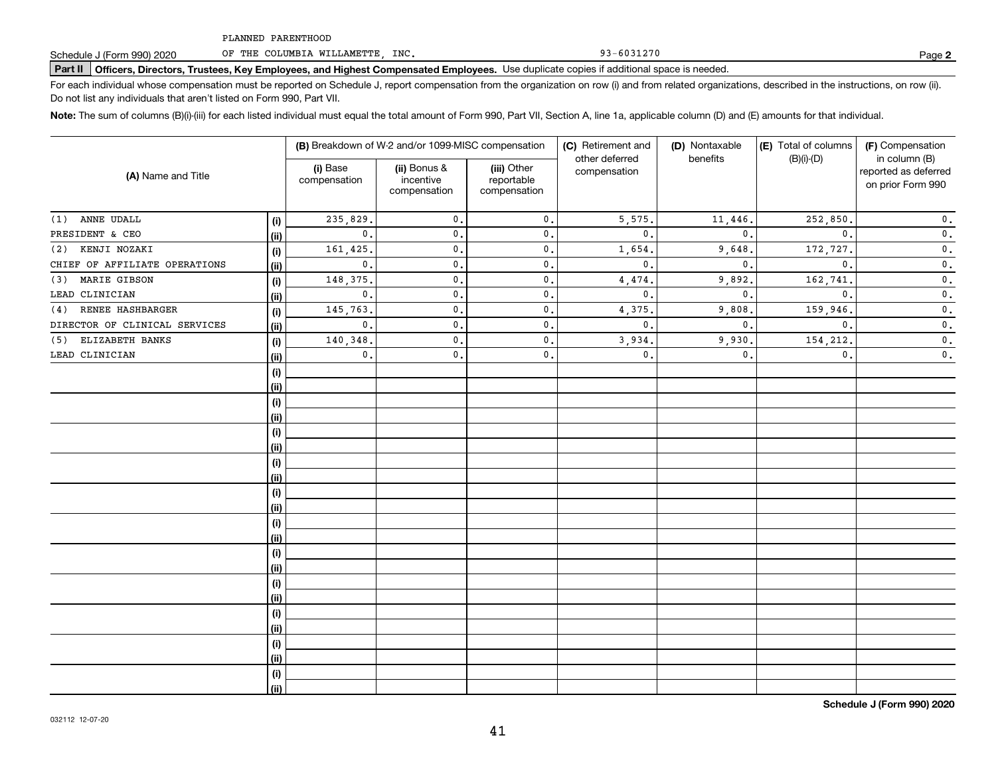OF THE COLUMBIA WILLAMETTE, INC.

# **Part II Officers, Directors, Trustees, Key Employees, and Highest Compensated Employees.**  Schedule J (Form 990) 2020 Page Use duplicate copies if additional space is needed.

For each individual whose compensation must be reported on Schedule J, report compensation from the organization on row (i) and from related organizations, described in the instructions, on row (ii). Do not list any individuals that aren't listed on Form 990, Part VII.

**Note:**  The sum of columns (B)(i)-(iii) for each listed individual must equal the total amount of Form 990, Part VII, Section A, line 1a, applicable column (D) and (E) amounts for that individual.

| (A) Name and Title            |      |                          | (B) Breakdown of W-2 and/or 1099-MISC compensation |                                           | (C) Retirement and             | (D) Nontaxable | (E) Total of columns | (F) Compensation                                           |  |
|-------------------------------|------|--------------------------|----------------------------------------------------|-------------------------------------------|--------------------------------|----------------|----------------------|------------------------------------------------------------|--|
|                               |      | (i) Base<br>compensation | (ii) Bonus &<br>incentive<br>compensation          | (iii) Other<br>reportable<br>compensation | other deferred<br>compensation | benefits       | $(B)(i)-(D)$         | in column (B)<br>reported as deferred<br>on prior Form 990 |  |
| ANNE UDALL<br>(1)             | (i)  | 235,829.                 | $\mathbf{0}$ .                                     | $\mathsf{0}\,.$                           | 5,575                          | 11,446.        | 252,850.             | $\mathbf 0$ .                                              |  |
| PRESIDENT & CEO               | (ii) | $\mathbf{0}$ .           | 0.                                                 | $\mathbf{0}$ .                            | $\mathbf{0}$                   | $\mathbf{0}$ . | $\mathbf{0}$ .       | $\mathbf 0$ .                                              |  |
| KENJI NOZAKI<br>(2)           | (i)  | 161,425.                 | $\mathbf 0$ .                                      | $\mathbf{0}$ .                            | 1,654                          | 9,648          | 172,727.             | $\mathbf 0$ .                                              |  |
| CHIEF OF AFFILIATE OPERATIONS | (ii) | $\mathbf{0}$ .           | $\mathbf{0}$ .                                     | $\mathbf{0}$ .                            | $\mathbf{0}$ .                 | 0.             | $\mathbf{0}$ .       | $\mathbf 0$ .                                              |  |
| MARIE GIBSON<br>(3)           | (i)  | 148,375.                 | $\mathbf{0}$ .                                     | $\mathbf{0}$ .                            | 4,474                          | 9,892          | 162,741.             | $\mathbf 0$ .                                              |  |
| LEAD CLINICIAN                | (ii) | $\mathbf{0}$ .           | $\mathbf{0}$ .                                     | $\mathbf{0}$ .                            | $\mathbf{0}$                   | 0.             | $\mathbf{0}$ .       | $\mathbf 0$ .                                              |  |
| RENEE HASHBARGER<br>(4)       | (i)  | 145,763.                 | $\mathbf{0}$ .                                     | $\mathbf{0}$ .                            | 4,375                          | 9,808          | 159,946.             | $\mathbf 0$ .                                              |  |
| DIRECTOR OF CLINICAL SERVICES | (ii) | $\mathbf{0}$ .           | $\mathbf{0}$ .                                     | $\mathbf{0}$ .                            | $\mathbf{0}$                   | $\mathbf{0}$ . | $\mathbf{0}$ .       | $\mathbf 0$ .                                              |  |
| ELIZABETH BANKS<br>(5)        | (i)  | 140,348.                 | $\mathbf{0}$ .                                     | $\mathbf{0}$ .                            | 3,934                          | 9,930.         | 154, 212.            | $\overline{\mathbf{0}}$ .                                  |  |
| LEAD CLINICIAN                | (ii) | $\mathbf{0}$ .           | 0.                                                 | $\mathbf{0}$ .                            | $\mathbf 0$ .                  | 0.             | $\mathbf{0}$ .       | $\overline{\mathbf{0}}$ .                                  |  |
|                               | (i)  |                          |                                                    |                                           |                                |                |                      |                                                            |  |
|                               | (ii) |                          |                                                    |                                           |                                |                |                      |                                                            |  |
|                               | (i)  |                          |                                                    |                                           |                                |                |                      |                                                            |  |
|                               | (ii) |                          |                                                    |                                           |                                |                |                      |                                                            |  |
|                               | (i)  |                          |                                                    |                                           |                                |                |                      |                                                            |  |
|                               | (ii) |                          |                                                    |                                           |                                |                |                      |                                                            |  |
|                               | (i)  |                          |                                                    |                                           |                                |                |                      |                                                            |  |
|                               | (ii) |                          |                                                    |                                           |                                |                |                      |                                                            |  |
|                               | (i)  |                          |                                                    |                                           |                                |                |                      |                                                            |  |
|                               | (ii) |                          |                                                    |                                           |                                |                |                      |                                                            |  |
|                               | (i)  |                          |                                                    |                                           |                                |                |                      |                                                            |  |
|                               | (ii) |                          |                                                    |                                           |                                |                |                      |                                                            |  |
|                               | (i)  |                          |                                                    |                                           |                                |                |                      |                                                            |  |
|                               | (ii) |                          |                                                    |                                           |                                |                |                      |                                                            |  |
|                               | (i)  |                          |                                                    |                                           |                                |                |                      |                                                            |  |
|                               | (ii) |                          |                                                    |                                           |                                |                |                      |                                                            |  |
|                               | (i)  |                          |                                                    |                                           |                                |                |                      |                                                            |  |
|                               | (ii) |                          |                                                    |                                           |                                |                |                      |                                                            |  |
|                               | (i)  |                          |                                                    |                                           |                                |                |                      |                                                            |  |
|                               | (ii) |                          |                                                    |                                           |                                |                |                      |                                                            |  |
|                               | (i)  |                          |                                                    |                                           |                                |                |                      |                                                            |  |
|                               | (ii) |                          |                                                    |                                           |                                |                |                      |                                                            |  |

**Schedule J (Form 990) 2020**

**2**

93-6031270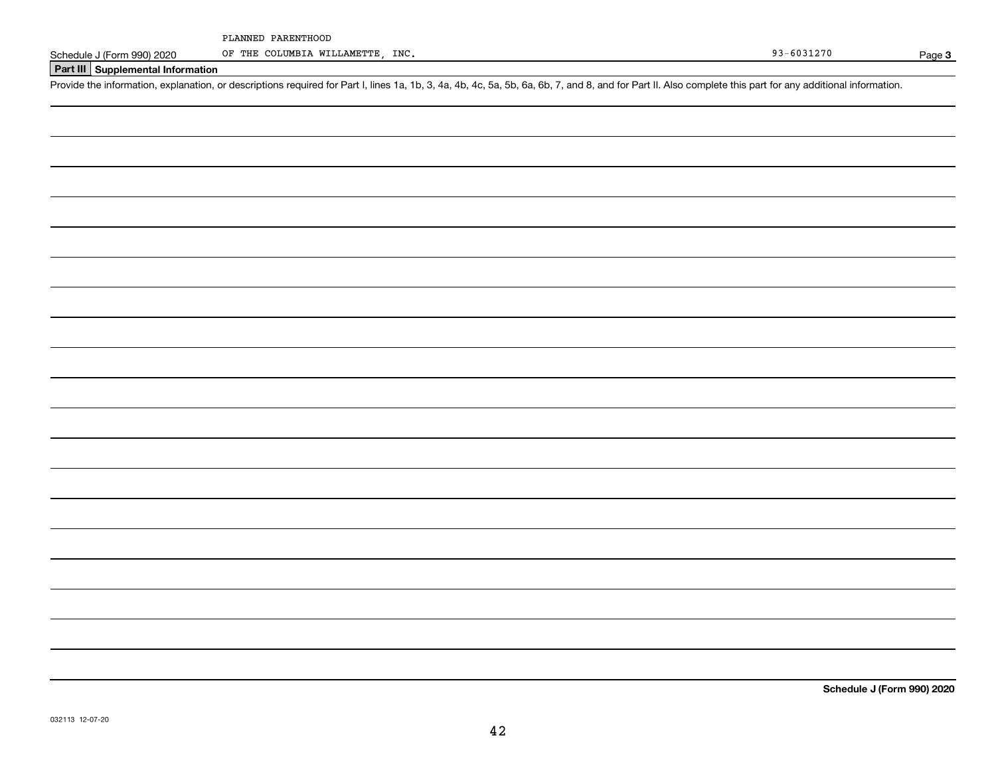OF THE COLUMBIA WILLAMETTE, INC.

Page 3

## **Part III Supplemental Information**

Schedule J (Form 990) 2020 OF THE COLUMBIA WILLAMETTE, INC.<br>Part III Supplemental Information<br>Provide the information, explanation, or descriptions required for Part I, lines 1a, 1b, 3, 4a, 4b, 4c, 5a, 5b, 6a, 6b, 7, and 8

**Schedule J (Form 990) 2020**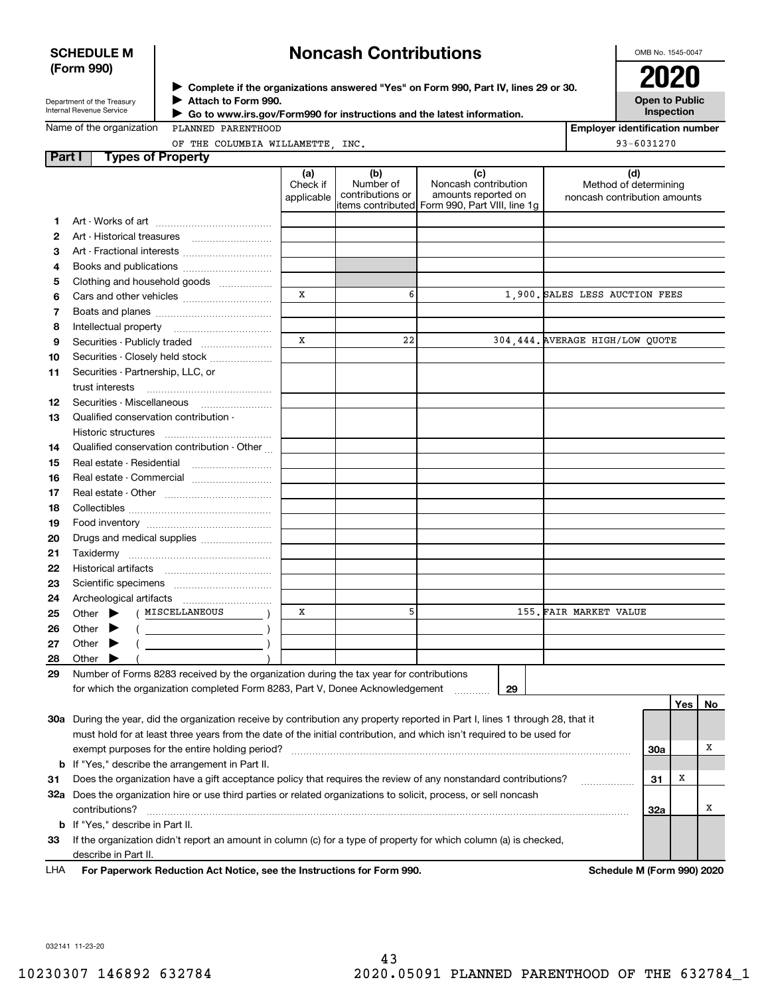## **SCHEDULE M (Form 990)**

# **Noncash Contributions**

OMB No. 1545-0047

| Department of the Treasury |
|----------------------------|
| Internal Revenue Service   |

**Complete if the organizations answered "Yes" on Form 990, Part IV, lines 29 or 30.** <sup>J</sup>**2020 Attach to Form 990.** J

 **Go to www.irs.gov/Form990 for instructions and the latest information.** J

**Open to Public Inspection**

**Employer identification number**

93-6031270

Name of the organization

PLANNED PARENTHOOD OF THE COLUMBIA WILLAMETTE, INC.

| Part I | <b>Types of Property</b>                                                                                                       |                               |                                      |                                                                                                      |                                                              |            |     |    |
|--------|--------------------------------------------------------------------------------------------------------------------------------|-------------------------------|--------------------------------------|------------------------------------------------------------------------------------------------------|--------------------------------------------------------------|------------|-----|----|
|        |                                                                                                                                | (a)<br>Check if<br>applicable | (b)<br>Number of<br>contributions or | (c)<br>Noncash contribution<br>amounts reported on<br>items contributed Form 990, Part VIII, line 1g | (d)<br>Method of determining<br>noncash contribution amounts |            |     |    |
| 1      |                                                                                                                                |                               |                                      |                                                                                                      |                                                              |            |     |    |
| 2      |                                                                                                                                |                               |                                      |                                                                                                      |                                                              |            |     |    |
| 3      | Art - Fractional interests                                                                                                     |                               |                                      |                                                                                                      |                                                              |            |     |    |
| 4      | Books and publications                                                                                                         |                               |                                      |                                                                                                      |                                                              |            |     |    |
| 5      | Clothing and household goods                                                                                                   |                               |                                      |                                                                                                      |                                                              |            |     |    |
| 6      |                                                                                                                                | x                             | 6                                    |                                                                                                      | 1,900. SALES LESS AUCTION FEES                               |            |     |    |
| 7      |                                                                                                                                |                               |                                      |                                                                                                      |                                                              |            |     |    |
| 8      |                                                                                                                                |                               |                                      |                                                                                                      |                                                              |            |     |    |
| 9      | Securities - Publicly traded                                                                                                   | x                             | 22                                   |                                                                                                      | 304, 444. AVERAGE HIGH/LOW QUOTE                             |            |     |    |
| 10     | Securities - Closely held stock                                                                                                |                               |                                      |                                                                                                      |                                                              |            |     |    |
| 11     | Securities - Partnership, LLC, or                                                                                              |                               |                                      |                                                                                                      |                                                              |            |     |    |
|        | trust interests                                                                                                                |                               |                                      |                                                                                                      |                                                              |            |     |    |
| 12     |                                                                                                                                |                               |                                      |                                                                                                      |                                                              |            |     |    |
| 13     | Qualified conservation contribution -                                                                                          |                               |                                      |                                                                                                      |                                                              |            |     |    |
|        | Historic structures                                                                                                            |                               |                                      |                                                                                                      |                                                              |            |     |    |
| 14     | Qualified conservation contribution - Other                                                                                    |                               |                                      |                                                                                                      |                                                              |            |     |    |
| 15     | Real estate - Residential                                                                                                      |                               |                                      |                                                                                                      |                                                              |            |     |    |
| 16     |                                                                                                                                |                               |                                      |                                                                                                      |                                                              |            |     |    |
| 17     |                                                                                                                                |                               |                                      |                                                                                                      |                                                              |            |     |    |
| 18     |                                                                                                                                |                               |                                      |                                                                                                      |                                                              |            |     |    |
| 19     |                                                                                                                                |                               |                                      |                                                                                                      |                                                              |            |     |    |
| 20     | Drugs and medical supplies                                                                                                     |                               |                                      |                                                                                                      |                                                              |            |     |    |
| 21     |                                                                                                                                |                               |                                      |                                                                                                      |                                                              |            |     |    |
| 22     |                                                                                                                                |                               |                                      |                                                                                                      |                                                              |            |     |    |
| 23     |                                                                                                                                |                               |                                      |                                                                                                      |                                                              |            |     |    |
| 24     |                                                                                                                                |                               |                                      |                                                                                                      |                                                              |            |     |    |
| 25     | ( MISCELLANEOUS<br>Other $\blacktriangleright$                                                                                 | х                             | 5                                    |                                                                                                      | 155. FAIR MARKET VALUE                                       |            |     |    |
| 26     | Other<br>▶                                                                                                                     |                               |                                      |                                                                                                      |                                                              |            |     |    |
| 27     | Other<br>▸                                                                                                                     |                               |                                      |                                                                                                      |                                                              |            |     |    |
| 28     | Other<br>▶                                                                                                                     |                               |                                      |                                                                                                      |                                                              |            |     |    |
| 29     | Number of Forms 8283 received by the organization during the tax year for contributions                                        |                               |                                      |                                                                                                      |                                                              |            |     |    |
|        | for which the organization completed Form 8283, Part V, Donee Acknowledgement                                                  |                               |                                      | 29<br>.                                                                                              |                                                              |            |     |    |
|        |                                                                                                                                |                               |                                      |                                                                                                      |                                                              |            | Yes | No |
|        | 30a During the year, did the organization receive by contribution any property reported in Part I, lines 1 through 28, that it |                               |                                      |                                                                                                      |                                                              |            |     |    |
|        | must hold for at least three years from the date of the initial contribution, and which isn't required to be used for          |                               |                                      |                                                                                                      |                                                              |            |     |    |
|        | exempt purposes for the entire holding period?                                                                                 |                               |                                      |                                                                                                      |                                                              | <b>30a</b> |     | х  |
|        | <b>b</b> If "Yes," describe the arrangement in Part II.                                                                        |                               |                                      |                                                                                                      |                                                              |            |     |    |
| 31     | Does the organization have a gift acceptance policy that requires the review of any nonstandard contributions?                 |                               |                                      |                                                                                                      | .                                                            | 31         | Х   |    |
|        | 32a Does the organization hire or use third parties or related organizations to solicit, process, or sell noncash              |                               |                                      |                                                                                                      |                                                              |            |     |    |
|        | contributions?                                                                                                                 |                               |                                      |                                                                                                      |                                                              | 32a        |     | х  |
|        | <b>b</b> If "Yes," describe in Part II.                                                                                        |                               |                                      |                                                                                                      |                                                              |            |     |    |
| 33     | If the organization didn't report an amount in column (c) for a type of property for which column (a) is checked,              |                               |                                      |                                                                                                      |                                                              |            |     |    |
|        | describe in Part II.                                                                                                           |                               |                                      |                                                                                                      |                                                              |            |     |    |

**For Paperwork Reduction Act Notice, see the Instructions for Form 990. Schedule M (Form 990) 2020** LHA

032141 11-23-20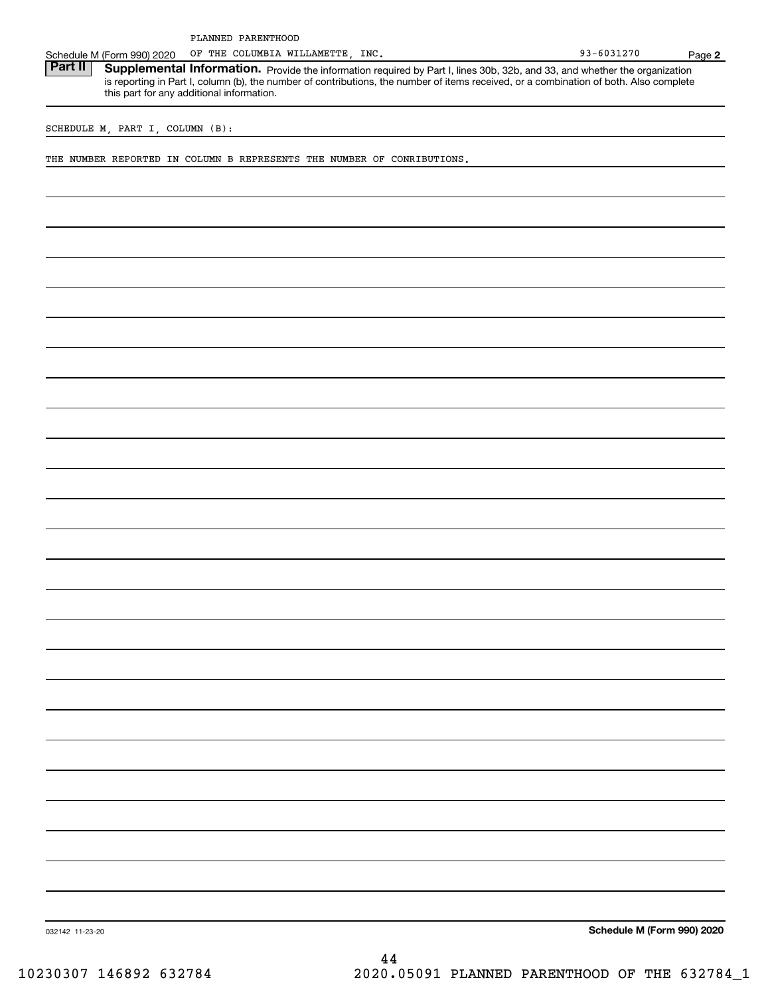OF THE COLUMBIA WILLAMETTE,

Schedule M (Form 990) 2020 OF THE COLUMBIA WILLAMETTE, INC.<br>**Part II** Supplemental Information. Provide the information required by Part I. lines 30b. 32b. and 33. and whether the c Part II | Supplemental Information. Provide the information required by Part I, lines 30b, 32b, and 33, and whether the organization is reporting in Part I, column (b), the number of contributions, the number of items received, or a combination of both. Also complete this part for any additional information.

SCHEDULE M, PART I, COLUMN (B):

THE NUMBER REPORTED IN COLUMN B REPRESENTS THE NUMBER OF CONRIBUTIONS.

**Schedule M (Form 990) 2020**

**2**

032142 11-23-20

44 10230307 146892 632784 2020.05091 PLANNED PARENTHOOD OF THE 632784\_1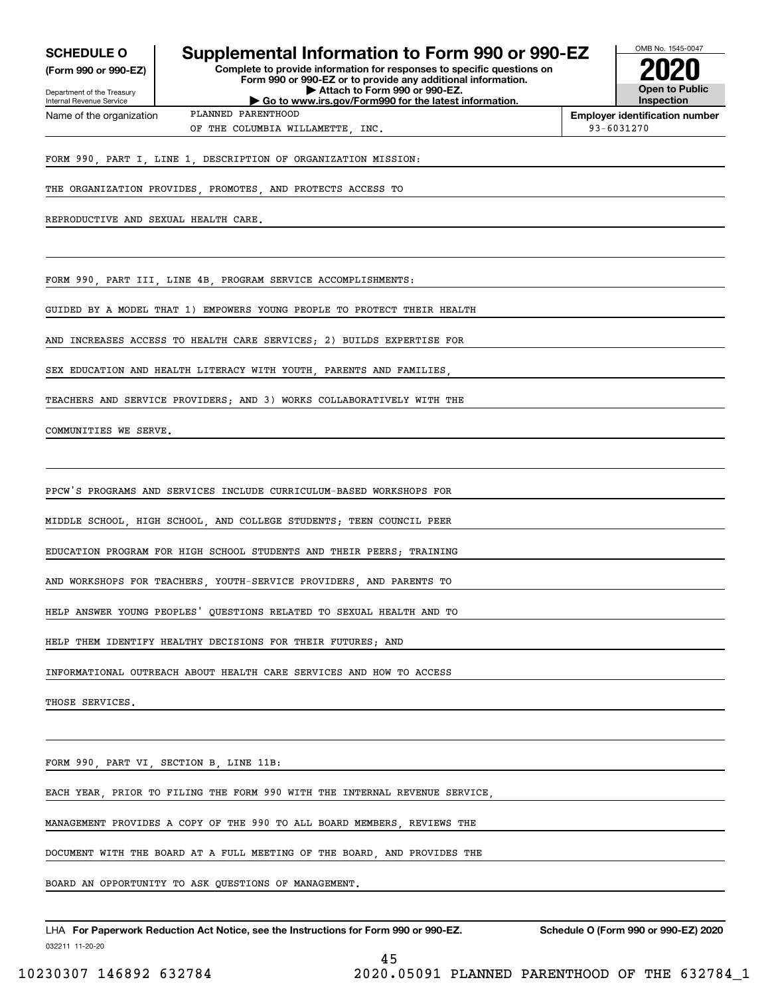| <b>SCHEDULE O</b>                                      |                                                                                                                                                                                          |      |                                       |  |  |  |  |  |
|--------------------------------------------------------|------------------------------------------------------------------------------------------------------------------------------------------------------------------------------------------|------|---------------------------------------|--|--|--|--|--|
| (Form 990 or 990-EZ)                                   | Supplemental Information to Form 990 or 990-EZ<br>Complete to provide information for responses to specific questions on<br>Form 990 or 990-EZ or to provide any additional information. | 2020 |                                       |  |  |  |  |  |
| Department of the Treasury<br>Internal Revenue Service | Attach to Form 990 or 990-EZ.<br>Go to www.irs.gov/Form990 for the latest information.                                                                                                   |      | Open to Public<br><b>Inspection</b>   |  |  |  |  |  |
| Name of the organization                               | PLANNED PARENTHOOD                                                                                                                                                                       |      | <b>Employer identification number</b> |  |  |  |  |  |
|                                                        | OF THE COLUMBIA WILLAMETTE INC.                                                                                                                                                          |      | 93-6031270                            |  |  |  |  |  |

### FORM 990, PART I, LINE 1, DESCRIPTION OF ORGANIZATION MISSION:

THE ORGANIZATION PROVIDES, PROMOTES, AND PROTECTS ACCESS TO

REPRODUCTIVE AND SEXUAL HEALTH CARE.

FORM 990, PART III, LINE 4B, PROGRAM SERVICE ACCOMPLISHMENTS:

GUIDED BY A MODEL THAT 1) EMPOWERS YOUNG PEOPLE TO PROTECT THEIR HEALTH

AND INCREASES ACCESS TO HEALTH CARE SERVICES; 2) BUILDS EXPERTISE FOR

SEX EDUCATION AND HEALTH LITERACY WITH YOUTH, PARENTS AND FAMILIES,

TEACHERS AND SERVICE PROVIDERS; AND 3) WORKS COLLABORATIVELY WITH THE

COMMUNITIES WE SERVE.

PPCW'S PROGRAMS AND SERVICES INCLUDE CURRICULUM-BASED WORKSHOPS FOR

MIDDLE SCHOOL, HIGH SCHOOL, AND COLLEGE STUDENTS; TEEN COUNCIL PEER

EDUCATION PROGRAM FOR HIGH SCHOOL STUDENTS AND THEIR PEERS; TRAINING

AND WORKSHOPS FOR TEACHERS, YOUTH-SERVICE PROVIDERS, AND PARENTS TO

HELP ANSWER YOUNG PEOPLES' QUESTIONS RELATED TO SEXUAL HEALTH AND TO

HELP THEM IDENTIFY HEALTHY DECISIONS FOR THEIR FUTURES; AND

INFORMATIONAL OUTREACH ABOUT HEALTH CARE SERVICES AND HOW TO ACCESS

THOSE SERVICES.

FORM 990, PART VI, SECTION B, LINE 11B:

EACH YEAR, PRIOR TO FILING THE FORM 990 WITH THE INTERNAL REVENUE SERVICE,

MANAGEMENT PROVIDES A COPY OF THE 990 TO ALL BOARD MEMBERS, REVIEWS THE

DOCUMENT WITH THE BOARD AT A FULL MEETING OF THE BOARD, AND PROVIDES THE

BOARD AN OPPORTUNITY TO ASK QUESTIONS OF MANAGEMENT.

032211 11-20-20 LHA For Paperwork Reduction Act Notice, see the Instructions for Form 990 or 990-EZ. Schedule O (Form 990 or 990-EZ) 2020

10230307 146892 632784 2020.05091 PLANNED PARENTHOOD OF THE 632784\_1

45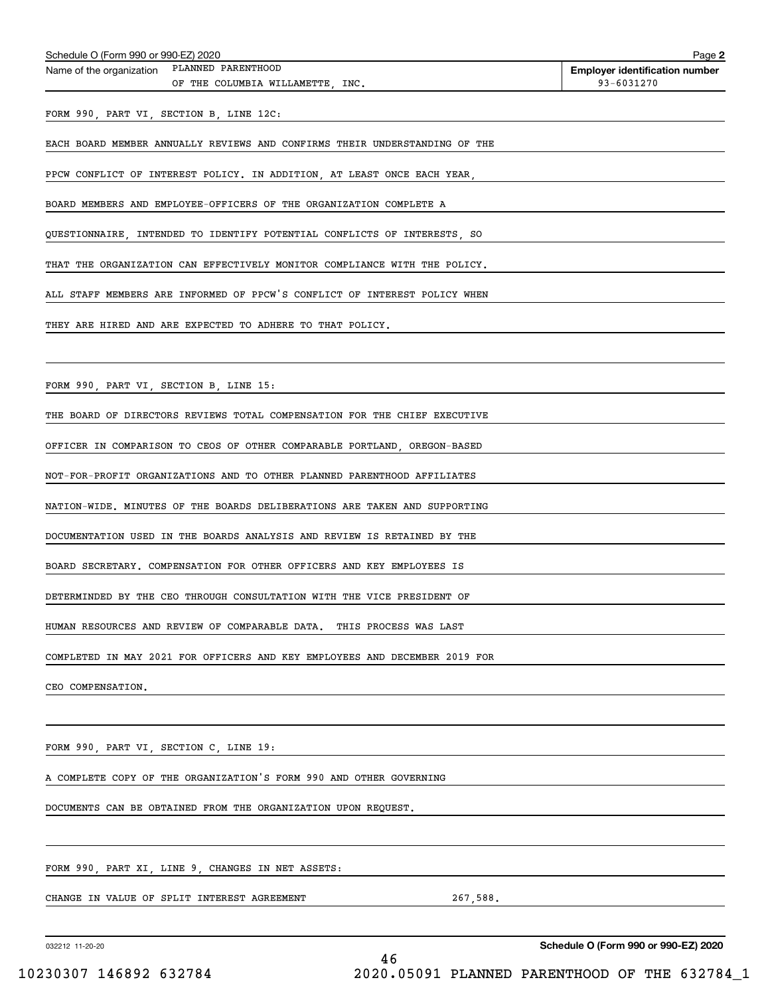| PPCW CONFLICT OF INTEREST POLICY. IN ADDITION, AT LEAST ONCE EACH YEAR,    |                                     |
|----------------------------------------------------------------------------|-------------------------------------|
| BOARD MEMBERS AND EMPLOYEE-OFFICERS OF THE ORGANIZATION COMPLETE A         |                                     |
| QUESTIONNAIRE, INTENDED TO IDENTIFY POTENTIAL CONFLICTS OF INTERESTS, SO   |                                     |
| THAT THE ORGANIZATION CAN EFFECTIVELY MONITOR COMPLIANCE WITH THE POLICY.  |                                     |
| ALL STAFF MEMBERS ARE INFORMED OF PPCW'S CONFLICT OF INTEREST POLICY WHEN  |                                     |
| THEY ARE HIRED AND ARE EXPECTED TO ADHERE TO THAT POLICY.                  |                                     |
|                                                                            |                                     |
| FORM 990, PART VI, SECTION B, LINE 15:                                     |                                     |
| THE BOARD OF DIRECTORS REVIEWS TOTAL COMPENSATION FOR THE CHIEF EXECUTIVE  |                                     |
| OFFICER IN COMPARISON TO CEOS OF OTHER COMPARABLE PORTLAND, OREGON-BASED   |                                     |
| NOT-FOR-PROFIT ORGANIZATIONS AND TO OTHER PLANNED PARENTHOOD AFFILIATES    |                                     |
| NATION-WIDE. MINUTES OF THE BOARDS DELIBERATIONS ARE TAKEN AND SUPPORTING  |                                     |
| DOCUMENTATION USED IN THE BOARDS ANALYSIS AND REVIEW IS RETAINED BY THE    |                                     |
| BOARD SECRETARY. COMPENSATION FOR OTHER OFFICERS AND KEY EMPLOYEES IS      |                                     |
| DETERMINDED BY THE CEO THROUGH CONSULTATION WITH THE VICE PRESIDENT OF     |                                     |
| HUMAN RESOURCES AND REVIEW OF COMPARABLE DATA. THIS PROCESS WAS LAST       |                                     |
| COMPLETED IN MAY 2021 FOR OFFICERS AND KEY EMPLOYEES AND DECEMBER 2019 FOR |                                     |
| CEO COMPENSATION.                                                          |                                     |
|                                                                            |                                     |
| FORM 990, PART VI, SECTION C, LINE 19:                                     |                                     |
| A COMPLETE COPY OF THE ORGANIZATION'S FORM 990 AND OTHER GOVERNING         |                                     |
| DOCUMENTS CAN BE OBTAINED FROM THE ORGANIZATION UPON REQUEST.              |                                     |
|                                                                            |                                     |
| FORM 990, PART XI, LINE 9, CHANGES IN NET ASSETS:                          |                                     |
| CHANGE IN VALUE OF SPLIT INTEREST AGREEMENT<br>267,588.                    |                                     |
|                                                                            |                                     |
| 032212 11-20-20                                                            | Schedule O (Form 990 or 990-EZ) 202 |

OF THE COLUMBIA WILLAMETTE, INC.  $93-6031270$ 

# FORM 990, PART VI, SECTION B, LINE 12C:

EACH BOARD MEMBER ANNUALLY REVIEWS AND CONFIRMS THEIR UNDERSTANDING OF THE

**Schedule O (Form 990 or 990-EZ) 2020**

**Employer identification number**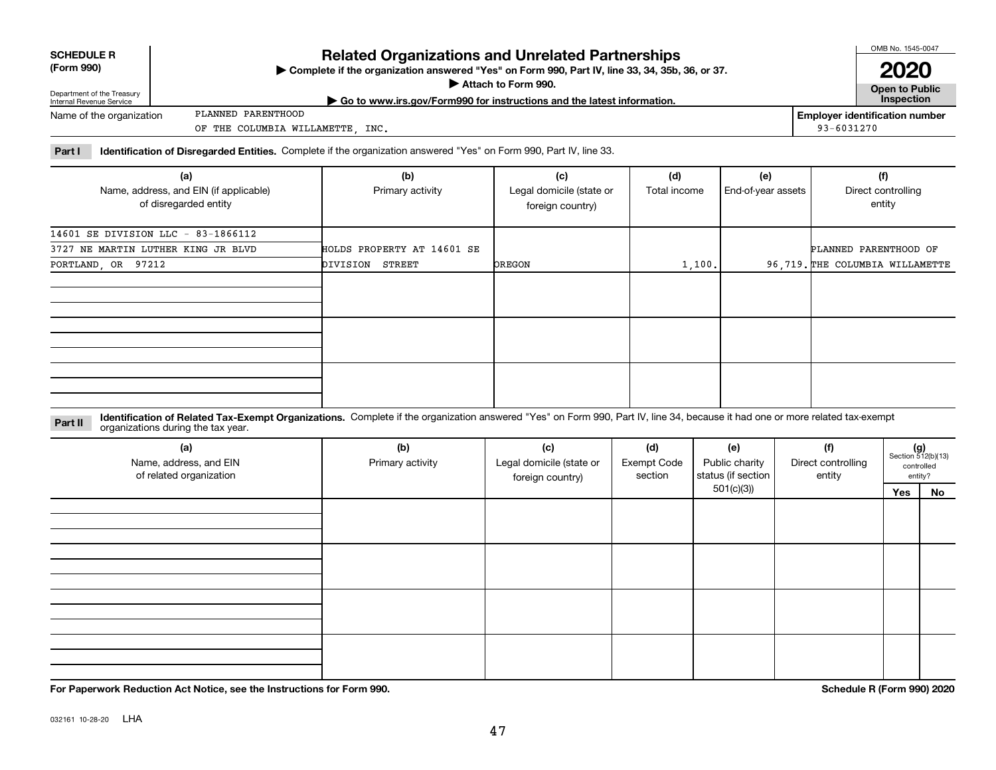| <b>SCHEDULE R</b>                          |  |
|--------------------------------------------|--|
| $\mathbf{r}$ , $\mathbf{r}$ , $\mathbf{r}$ |  |

**(Form 990)**

# **Related Organizations and Unrelated Partnerships**

**Complete if the organization answered "Yes" on Form 990, Part IV, line 33, 34, 35b, 36, or 37.** |

**Attach to Form 990.**  |

**Open to Public 2020**

OMB No. 1545-0047

Department of the Treasury Internal Revenue Service Name of the organization

**| Go to www.irs.gov/Form990 for instructions and the latest information. Inspection** PLANNED PARENTHOOD

**Employer identification number** 93-6031270

OF THE COLUMBIA WILLAMETTE, INC.

**Part I Identification of Disregarded Entities.**  Complete if the organization answered "Yes" on Form 990, Part IV, line 33.

| (a)<br>Name, address, and EIN (if applicable)<br>of disregarded entity | (b)<br>Primary activity    | (c)<br>Legal domicile (state or<br>foreign country) | (d)<br>Total income | (e)<br>End-of-year assets | (f)<br>Direct controlling<br>entity |
|------------------------------------------------------------------------|----------------------------|-----------------------------------------------------|---------------------|---------------------------|-------------------------------------|
| 14601 SE DIVISION LLC - 83-1866112                                     |                            |                                                     |                     |                           |                                     |
| 3727 NE MARTIN LUTHER KING JR BLVD                                     | HOLDS PROPERTY AT 14601 SE |                                                     |                     |                           | PLANNED PARENTHOOD OF               |
| PORTLAND, OR 97212                                                     | DIVISION STREET            | <b>OREGON</b>                                       | 1,100.              |                           | 96.719. THE COLUMBIA WILLAMETTE     |
|                                                                        |                            |                                                     |                     |                           |                                     |
|                                                                        |                            |                                                     |                     |                           |                                     |
|                                                                        |                            |                                                     |                     |                           |                                     |

**Identification of Related Tax-Exempt Organizations.** Complete if the organization answered "Yes" on Form 990, Part IV, line 34, because it had one or more related tax-exempt **Part II** organizations during the tax year.

| (a)<br>Name, address, and EIN<br>of related organization | (b)<br>Primary activity | (c)<br>Legal domicile (state or<br>foreign country) | (d)<br><b>Exempt Code</b><br>section | (e)<br>Public charity<br>status (if section | (f)<br>Direct controlling<br>entity | $(g)$<br>Section 512(b)(13) | controlled<br>entity? |
|----------------------------------------------------------|-------------------------|-----------------------------------------------------|--------------------------------------|---------------------------------------------|-------------------------------------|-----------------------------|-----------------------|
|                                                          |                         |                                                     |                                      | 501(c)(3)                                   |                                     | Yes                         | No                    |
|                                                          |                         |                                                     |                                      |                                             |                                     |                             |                       |
|                                                          |                         |                                                     |                                      |                                             |                                     |                             |                       |
|                                                          |                         |                                                     |                                      |                                             |                                     |                             |                       |

**For Paperwork Reduction Act Notice, see the Instructions for Form 990. Schedule R (Form 990) 2020**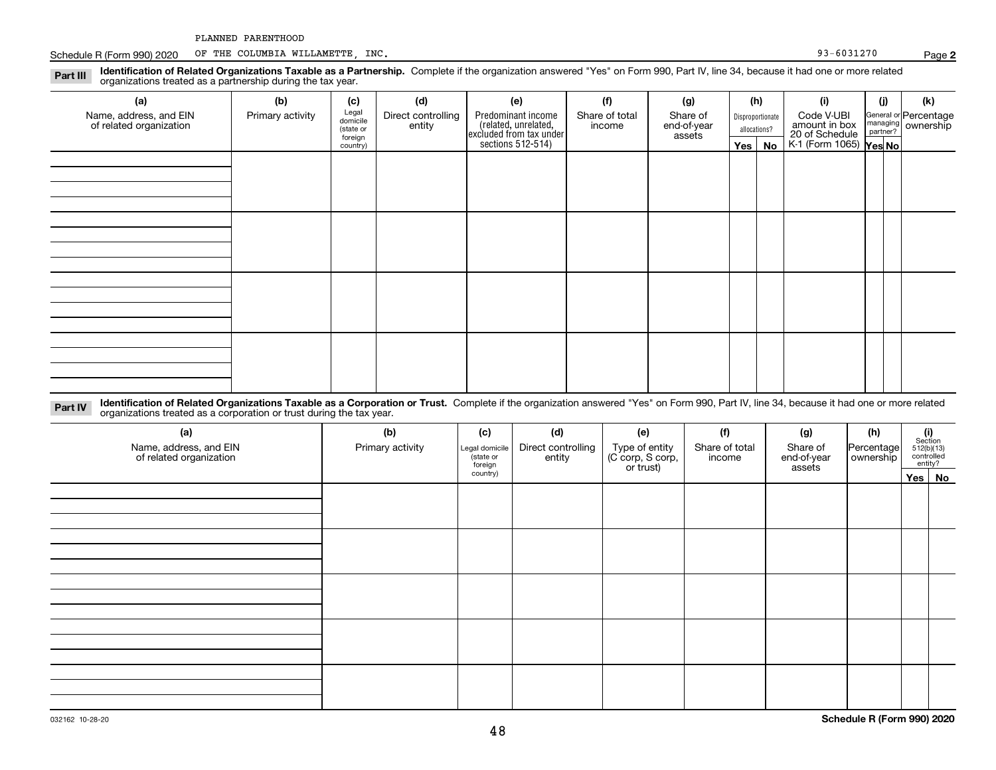Schedule R (Form 990) 2020 Page OF THE COLUMBIA WILLAMETTE, INC. 93-6031270

| Part III |                                                             | Identification of Related Organizations Taxable as a Partnership. Complete if the organization answered "Yes" on Form 990, Part IV, line 34, because it had one or more related |
|----------|-------------------------------------------------------------|---------------------------------------------------------------------------------------------------------------------------------------------------------------------------------|
|          | organizations treated as a partnership during the tax year. |                                                                                                                                                                                 |

| organizations treated as a partneronip dannig the tax year. |                  |                                           |                              |                                                                                            |                          |                                   |     |                                  |                                               |     |                                                         |  |
|-------------------------------------------------------------|------------------|-------------------------------------------|------------------------------|--------------------------------------------------------------------------------------------|--------------------------|-----------------------------------|-----|----------------------------------|-----------------------------------------------|-----|---------------------------------------------------------|--|
| (a)                                                         | (b)              | (c)                                       | (d)                          | (e)                                                                                        | (f)                      | (g)                               |     | (h)                              | (i)                                           | (j) | (k)                                                     |  |
| Name, address, and EIN<br>of related organization           | Primary activity | Legal<br>domicile<br>(state or<br>foreign | Direct controlling<br>entity | Predominant income<br>(related, unrelated,<br>excluded from tax under<br>sections 512-514) | Share of total<br>income | Share of<br>end-of-year<br>assets |     | Disproportionate<br>allocations? | Code V-UBI<br>amount in box<br>20 of Schedule |     | General or Percentage<br>managing ownership<br>partner? |  |
|                                                             |                  | country)                                  |                              |                                                                                            |                          |                                   | Yes | No                               | K-1 (Form 1065) Yes No                        |     |                                                         |  |
|                                                             |                  |                                           |                              |                                                                                            |                          |                                   |     |                                  |                                               |     |                                                         |  |
|                                                             |                  |                                           |                              |                                                                                            |                          |                                   |     |                                  |                                               |     |                                                         |  |
|                                                             |                  |                                           |                              |                                                                                            |                          |                                   |     |                                  |                                               |     |                                                         |  |
|                                                             |                  |                                           |                              |                                                                                            |                          |                                   |     |                                  |                                               |     |                                                         |  |
|                                                             |                  |                                           |                              |                                                                                            |                          |                                   |     |                                  |                                               |     |                                                         |  |
|                                                             |                  |                                           |                              |                                                                                            |                          |                                   |     |                                  |                                               |     |                                                         |  |
|                                                             |                  |                                           |                              |                                                                                            |                          |                                   |     |                                  |                                               |     |                                                         |  |
|                                                             |                  |                                           |                              |                                                                                            |                          |                                   |     |                                  |                                               |     |                                                         |  |
|                                                             |                  |                                           |                              |                                                                                            |                          |                                   |     |                                  |                                               |     |                                                         |  |
|                                                             |                  |                                           |                              |                                                                                            |                          |                                   |     |                                  |                                               |     |                                                         |  |
|                                                             |                  |                                           |                              |                                                                                            |                          |                                   |     |                                  |                                               |     |                                                         |  |
|                                                             |                  |                                           |                              |                                                                                            |                          |                                   |     |                                  |                                               |     |                                                         |  |
|                                                             |                  |                                           |                              |                                                                                            |                          |                                   |     |                                  |                                               |     |                                                         |  |
|                                                             |                  |                                           |                              |                                                                                            |                          |                                   |     |                                  |                                               |     |                                                         |  |
|                                                             |                  |                                           |                              |                                                                                            |                          |                                   |     |                                  |                                               |     |                                                         |  |
|                                                             |                  |                                           |                              |                                                                                            |                          |                                   |     |                                  |                                               |     |                                                         |  |

**Identification of Related Organizations Taxable as a Corporation or Trust.** Complete if the organization answered "Yes" on Form 990, Part IV, line 34, because it had one or more related **Part IV** organizations treated as a corporation or trust during the tax year.

| (a)<br>Name, address, and EIN<br>of related organization | (b)<br>Primary activity | (c)<br>Legal domicile<br>(state or<br>foreign | (d)<br>Direct controlling<br>entity | (e)<br>Type of entity<br>(C corp, S corp,<br>or trust) | (f)<br>Share of total<br>income | (g)<br>Share of<br>end-of-year<br>assets | (h)<br>Percentage<br>  ownership | $\begin{array}{c} \textbf{(i)}\\ \text{Section}\\ 512 \text{(b)} \text{(13)}\\ \text{controlled}\end{array}$ | entity? |
|----------------------------------------------------------|-------------------------|-----------------------------------------------|-------------------------------------|--------------------------------------------------------|---------------------------------|------------------------------------------|----------------------------------|--------------------------------------------------------------------------------------------------------------|---------|
|                                                          |                         | country)                                      |                                     |                                                        |                                 |                                          |                                  |                                                                                                              | Yes No  |
|                                                          |                         |                                               |                                     |                                                        |                                 |                                          |                                  |                                                                                                              |         |
|                                                          |                         |                                               |                                     |                                                        |                                 |                                          |                                  |                                                                                                              |         |
|                                                          |                         |                                               |                                     |                                                        |                                 |                                          |                                  |                                                                                                              |         |
|                                                          |                         |                                               |                                     |                                                        |                                 |                                          |                                  |                                                                                                              |         |
|                                                          |                         |                                               |                                     |                                                        |                                 |                                          |                                  |                                                                                                              |         |
|                                                          |                         |                                               |                                     |                                                        |                                 |                                          |                                  |                                                                                                              |         |
|                                                          |                         |                                               |                                     |                                                        |                                 |                                          |                                  |                                                                                                              |         |
|                                                          |                         |                                               |                                     |                                                        |                                 |                                          |                                  |                                                                                                              |         |
|                                                          |                         |                                               |                                     |                                                        |                                 |                                          |                                  |                                                                                                              |         |
|                                                          |                         |                                               |                                     |                                                        |                                 |                                          |                                  |                                                                                                              |         |
|                                                          |                         |                                               |                                     |                                                        |                                 |                                          |                                  |                                                                                                              |         |
|                                                          |                         |                                               |                                     |                                                        |                                 |                                          |                                  |                                                                                                              |         |
|                                                          |                         |                                               |                                     |                                                        |                                 |                                          |                                  |                                                                                                              |         |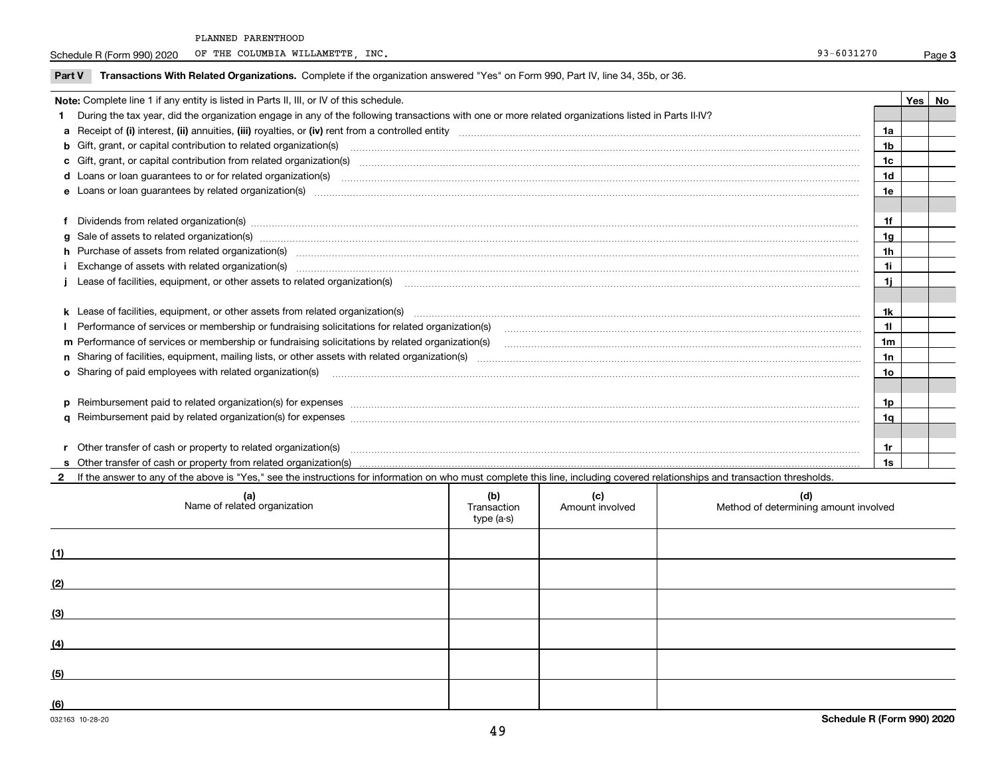Schedule R (Form 990) 2020 Page OF THE COLUMBIA WILLAMETTE, INC. 93-6031270

**Part V** T**ransactions With Related Organizations.** Complete if the organization answered "Yes" on Form 990, Part IV, line 34, 35b, or 36.

| Note: Complete line 1 if any entity is listed in Parts II, III, or IV of this schedule.                                                                                                                                               |                                                                                                                                                                                                                                      |                |  |  |  |  |  |  |
|---------------------------------------------------------------------------------------------------------------------------------------------------------------------------------------------------------------------------------------|--------------------------------------------------------------------------------------------------------------------------------------------------------------------------------------------------------------------------------------|----------------|--|--|--|--|--|--|
|                                                                                                                                                                                                                                       | 1 During the tax year, did the organization engage in any of the following transactions with one or more related organizations listed in Parts II-IV?                                                                                |                |  |  |  |  |  |  |
|                                                                                                                                                                                                                                       |                                                                                                                                                                                                                                      | 1a             |  |  |  |  |  |  |
|                                                                                                                                                                                                                                       | <b>b</b> Gift, grant, or capital contribution to related organization(s)                                                                                                                                                             | 1 <sub>b</sub> |  |  |  |  |  |  |
|                                                                                                                                                                                                                                       | c Gift, grant, or capital contribution from related organization(s)                                                                                                                                                                  | 1c             |  |  |  |  |  |  |
|                                                                                                                                                                                                                                       | <b>d</b> Loans or loan quarantees to or for related organization(s)<br>1d                                                                                                                                                            |                |  |  |  |  |  |  |
|                                                                                                                                                                                                                                       | e Loans or loan guarantees by related organization(s) manufactured and content to content the content of the content of the content of the content of the content of the content of the content of the content of the content<br>1e  |                |  |  |  |  |  |  |
|                                                                                                                                                                                                                                       |                                                                                                                                                                                                                                      |                |  |  |  |  |  |  |
|                                                                                                                                                                                                                                       | f Dividends from related organization(s) material contracts and contracts are contracted as a contract of the contract or contract or contract or contract or contract or contract or contract or contract or contract or cont       | 1f             |  |  |  |  |  |  |
|                                                                                                                                                                                                                                       | g Sale of assets to related organization(s) www.assettion.com/www.assettion.com/www.assettion.com/www.assettion.com/www.assettion.com/www.assettion.com/www.assettion.com/www.assettion.com/www.assettion.com/www.assettion.co       | 1g             |  |  |  |  |  |  |
|                                                                                                                                                                                                                                       | h Purchase of assets from related organization(s) manufactured content to content the content of the content of the content of the content of the content of the content of the content of the content of the content of the c<br>1h |                |  |  |  |  |  |  |
|                                                                                                                                                                                                                                       | i Exchange of assets with related organization(s) www.communically.communically.communically.communically.communically.communically.communically.communically.communically.communically.communically.communically.communically<br>1i |                |  |  |  |  |  |  |
| j Lease of facilities, equipment, or other assets to related organization(s) mature material content content to the account of the content of facilities, equipment, or other assets to related organization(s) material conte<br>1i. |                                                                                                                                                                                                                                      |                |  |  |  |  |  |  |
|                                                                                                                                                                                                                                       |                                                                                                                                                                                                                                      |                |  |  |  |  |  |  |
|                                                                                                                                                                                                                                       | k Lease of facilities, equipment, or other assets from related organization(s) manufaction content and content to the assets from related organization(s) manufaction content and content and content and content and content        | 1k             |  |  |  |  |  |  |
|                                                                                                                                                                                                                                       | I Performance of services or membership or fundraising solicitations for related organization(s)                                                                                                                                     | 11             |  |  |  |  |  |  |
|                                                                                                                                                                                                                                       | m Performance of services or membership or fundraising solicitations by related organization(s)                                                                                                                                      | 1 <sub>m</sub> |  |  |  |  |  |  |
|                                                                                                                                                                                                                                       |                                                                                                                                                                                                                                      | 1n             |  |  |  |  |  |  |
|                                                                                                                                                                                                                                       | <b>o</b> Sharing of paid employees with related organization(s)                                                                                                                                                                      | 10             |  |  |  |  |  |  |
|                                                                                                                                                                                                                                       |                                                                                                                                                                                                                                      |                |  |  |  |  |  |  |
|                                                                                                                                                                                                                                       | p Reimbursement paid to related organization(s) for expenses [111] resummations continuum contract to related organization(s) for expenses [11] resummations continuum contract to related organization(s) for expenses [11]         | 1p             |  |  |  |  |  |  |
|                                                                                                                                                                                                                                       |                                                                                                                                                                                                                                      | 1a             |  |  |  |  |  |  |
|                                                                                                                                                                                                                                       |                                                                                                                                                                                                                                      |                |  |  |  |  |  |  |
|                                                                                                                                                                                                                                       | r Other transfer of cash or property to related organization(s)                                                                                                                                                                      | 1r             |  |  |  |  |  |  |
|                                                                                                                                                                                                                                       |                                                                                                                                                                                                                                      | 1s             |  |  |  |  |  |  |

032163 10-28-20 **2**If the answer to any of the above is "Yes," see the instructions for information on who must complete this line, including covered relationships and transaction thresholds. **(a) (b) (c) (d) (1) (2) (3) (4) (5) (6)Schedule R (Form 990) 2020** Name of related organization  $\vert$  Transaction type (a-s) Amount involved letter are method of determining amount involved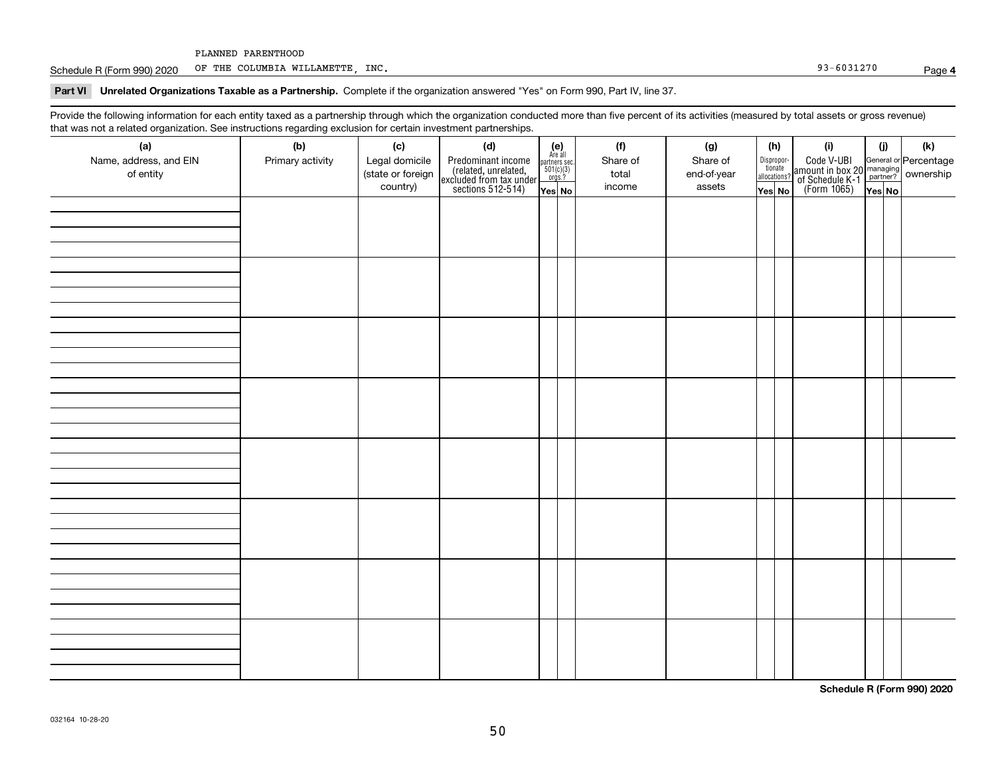Schedule R (Form 990) 2020 Page OF THE COLUMBIA WILLAMETTE, INC. 93-6031270

**Part VI Unrelated Organizations Taxable as a Partnership. Complete if the organization answered "Yes" on Form 990, Part IV, line 37.** 

Provide the following information for each entity taxed as a partnership through which the organization conducted more than five percent of its activities (measured by total assets or gross revenue) that was not a related organization. See instructions regarding exclusion for certain investment partnerships.

| (a)<br>Name, address, and EIN<br>of entity | (b)<br>Primary activity | (c)<br>Legal domicile<br>(state or foreign<br>country) | (d)<br>Predominant income<br>(related, unrelated,<br>excluded from tax under<br>sections 512-514) | $\begin{array}{c} \textbf{(e)}\\ \text{Are all} \\ \text{partners sec.}\\ 501(c)(3)\\ \text{orgs.?} \end{array}$<br>$Yes$ No | (f)<br>Share of<br>total<br>income | (g)<br>Share of<br>end-of-year<br>assets | (h)<br>Dispropor-<br>tionate<br>allocations?<br>Yes No | (i)<br>Code V-UBI<br>amount in box 20 managing<br>of Schedule K-1 partner? ownership<br>(Form 1065)<br>ves No | (i)<br>Yes No | (k) |
|--------------------------------------------|-------------------------|--------------------------------------------------------|---------------------------------------------------------------------------------------------------|------------------------------------------------------------------------------------------------------------------------------|------------------------------------|------------------------------------------|--------------------------------------------------------|---------------------------------------------------------------------------------------------------------------|---------------|-----|
|                                            |                         |                                                        |                                                                                                   |                                                                                                                              |                                    |                                          |                                                        |                                                                                                               |               |     |
|                                            |                         |                                                        |                                                                                                   |                                                                                                                              |                                    |                                          |                                                        |                                                                                                               |               |     |
|                                            |                         |                                                        |                                                                                                   |                                                                                                                              |                                    |                                          |                                                        |                                                                                                               |               |     |
|                                            |                         |                                                        |                                                                                                   |                                                                                                                              |                                    |                                          |                                                        |                                                                                                               |               |     |
|                                            |                         |                                                        |                                                                                                   |                                                                                                                              |                                    |                                          |                                                        |                                                                                                               |               |     |
|                                            |                         |                                                        |                                                                                                   |                                                                                                                              |                                    |                                          |                                                        |                                                                                                               |               |     |
|                                            |                         |                                                        |                                                                                                   |                                                                                                                              |                                    |                                          |                                                        |                                                                                                               |               |     |
|                                            |                         |                                                        |                                                                                                   |                                                                                                                              |                                    |                                          |                                                        |                                                                                                               |               |     |

**Schedule R (Form 990) 2020**